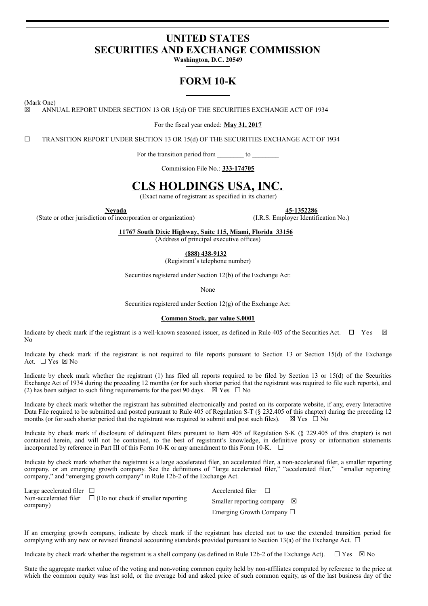# **UNITED STATES SECURITIES AND EXCHANGE COMMISSION**

**Washington, D.C. 20549**

# **FORM 10-K**

(Mark One)

☒ ANNUAL REPORT UNDER SECTION 13 OR 15(d) OF THE SECURITIES EXCHANGE ACT OF 1934

For the fiscal year ended: **May 31, 2017**

☐ TRANSITION REPORT UNDER SECTION 13 OR 15(d) OF THE SECURITIES EXCHANGE ACT OF 1934

For the transition period from to

Commission File No.: **333-174705**

# **CLS HOLDINGS USA, INC.**

(Exact name of registrant as specified in its charter)

(State or other jurisdiction of incorporation or organization) (I.R.S. Employer Identification No.)

**Nevada 45-1352286**

**11767 South Dixie Highway, Suite 115, Miami, Florida 33156**

(Address of principal executive offices)

**(888) 438-9132**

(Registrant's telephone number)

Securities registered under Section 12(b) of the Exchange Act:

None

Securities registered under Section 12(g) of the Exchange Act:

## **Common Stock, par value \$.0001**

Indicate by check mark if the registrant is a well-known seasoned issuer, as defined in Rule 405 of the Securities Act.  $\Box$  Yes  $\boxtimes$ No

Indicate by check mark if the registrant is not required to file reports pursuant to Section 13 or Section 15(d) of the Exchange Act.  $\Box$  Yes  $\boxtimes$  No

Indicate by check mark whether the registrant (1) has filed all reports required to be filed by Section 13 or 15(d) of the Securities Exchange Act of 1934 during the preceding 12 months (or for such shorter period that the registrant was required to file such reports), and (2) has been subject to such filing requirements for the past 90 days.  $\boxtimes$  Yes  $\Box$  No

Indicate by check mark whether the registrant has submitted electronically and posted on its corporate website, if any, every Interactive Data File required to be submitted and posted pursuant to Rule 405 of Regulation S-T (§ 232.405 of this chapter) during the preceding 12 months (or for such shorter period that the registrant was required to submit and post such files).  $\boxtimes$  Yes  $\Box$  No

Indicate by check mark if disclosure of delinquent filers pursuant to Item 405 of Regulation S-K (§ 229.405 of this chapter) is not contained herein, and will not be contained, to the best of registrant's knowledge, in definitive proxy or information statements incorporated by reference in Part III of this Form 10-K or any amendment to this Form 10-K.  $\Box$ 

Indicate by check mark whether the registrant is a large accelerated filer, an accelerated filer, a non-accelerated filer, a smaller reporting company, or an emerging growth company. See the definitions of "large accelerated filer," "accelerated filer," "smaller reporting company," and "emerging growth company" in Rule 12b-2 of the Exchange Act.

| Large accelerated filer $\Box$ |                                                                 | Accelerated filer $\Box$       |   |
|--------------------------------|-----------------------------------------------------------------|--------------------------------|---|
| company)                       | Non-accelerated filer $\Box$ (Do not check if smaller reporting | Smaller reporting company      | ⊠ |
|                                |                                                                 | Emerging Growth Company $\Box$ |   |

If an emerging growth company, indicate by check mark if the registrant has elected not to use the extended transition period for complying with any new or revised financial accounting standards provided pursuant to Section 13(a) of the Exchange Act.  $\Box$ 

Indicate by check mark whether the registrant is a shell company (as defined in Rule 12b-2 of the Exchange Act).  $\Box$  Yes  $\boxtimes$  No

State the aggregate market value of the voting and non-voting common equity held by non-affiliates computed by reference to the price at which the common equity was last sold, or the average bid and asked price of such common equity, as of the last business day of the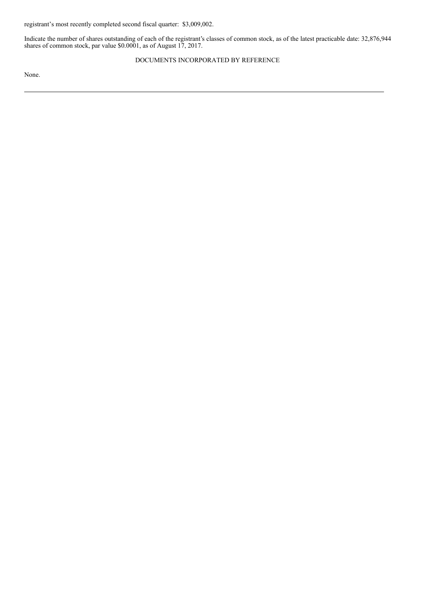registrant's most recently completed second fiscal quarter: \$3,009,002.

Indicate the number of shares outstanding of each of the registrant's classes of common stock, as of the latest practicable date: 32,876,944 shares of common stock, par value \$0.0001, as of August 17, 2017.

## DOCUMENTS INCORPORATED BY REFERENCE

None.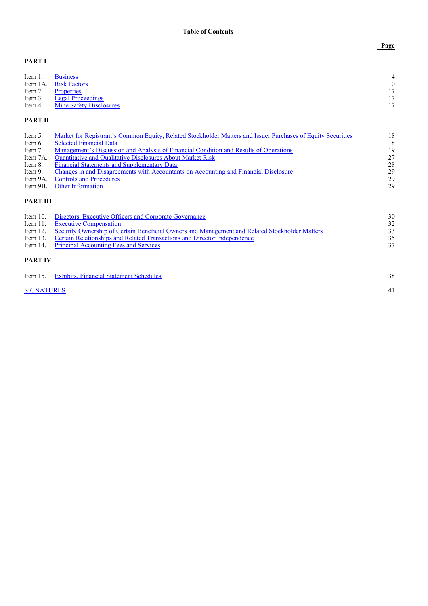**Page**

## **PART I**

| Item 1. Business |                                 | 4  |
|------------------|---------------------------------|----|
|                  | Item 1A. Risk Factors           | 10 |
|                  | Item 2. Properties              | 17 |
|                  | Item 3. Legal Proceedings       | 17 |
|                  | Item 4. Mine Safety Disclosures | 17 |
|                  |                                 |    |

## **PART II**

| Item 5.<br>Item 6.<br>Item 7.<br>Item 7A.<br>Item 8.<br>Item 9.<br>Item 9A.<br>Item 9B. | Market for Registrant's Common Equity, Related Stockholder Matters and Issuer Purchases of Equity Securities<br><b>Selected Financial Data</b><br>Management's Discussion and Analysis of Financial Condition and Results of Operations<br><b>Ouantitative and Qualitative Disclosures About Market Risk</b><br><b>Financial Statements and Supplementary Data</b><br>Changes in and Disagreements with Accountants on Accounting and Financial Disclosure<br><b>Controls and Procedures</b><br><b>Other Information</b> | 18<br>18<br>19<br>27<br>28<br>29<br>29<br>29 |
|-----------------------------------------------------------------------------------------|--------------------------------------------------------------------------------------------------------------------------------------------------------------------------------------------------------------------------------------------------------------------------------------------------------------------------------------------------------------------------------------------------------------------------------------------------------------------------------------------------------------------------|----------------------------------------------|
| <b>PART III</b>                                                                         |                                                                                                                                                                                                                                                                                                                                                                                                                                                                                                                          |                                              |
| Item $10$ .<br>Item 11.<br>Item 12.<br>Item $13$ .<br>Item $14$ .                       | Directors, Executive Officers and Corporate Governance<br><b>Executive Compensation</b><br>Security Ownership of Certain Beneficial Owners and Management and Related Stockholder Matters<br>Certain Relationships and Related Transactions and Director Independence<br><b>Principal Accounting Fees and Services</b>                                                                                                                                                                                                   | 30<br>32<br>33<br>35<br>37                   |
| <b>PART IV</b>                                                                          |                                                                                                                                                                                                                                                                                                                                                                                                                                                                                                                          |                                              |
| Item $15$ .                                                                             | <b>Exhibits, Financial Statement Schedules</b>                                                                                                                                                                                                                                                                                                                                                                                                                                                                           | 38                                           |
| <b>SIGNATURES</b>                                                                       |                                                                                                                                                                                                                                                                                                                                                                                                                                                                                                                          | 41                                           |
|                                                                                         |                                                                                                                                                                                                                                                                                                                                                                                                                                                                                                                          |                                              |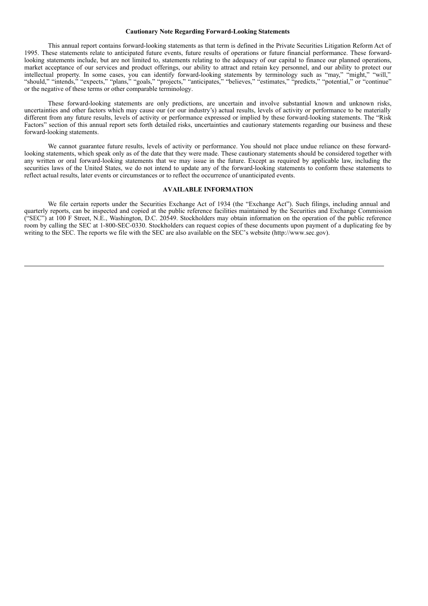## **Cautionary Note Regarding Forward-Looking Statements**

This annual report contains forward-looking statements as that term is defined in the Private Securities Litigation Reform Act of 1995. These statements relate to anticipated future events, future results of operations or future financial performance. These forwardlooking statements include, but are not limited to, statements relating to the adequacy of our capital to finance our planned operations, market acceptance of our services and product offerings, our ability to attract and retain key personnel, and our ability to protect our intellectual property. In some cases, you can identify forward-looking statements by terminology such as "may," "might," "will," "should," "intends," "expects," "plans," "goals," "projects," "anticipates," "believes," "estimates," "predicts," "potential," or "continue" or the negative of these terms or other comparable terminology.

These forward-looking statements are only predictions, are uncertain and involve substantial known and unknown risks, uncertainties and other factors which may cause our (or our industry's) actual results, levels of activity or performance to be materially different from any future results, levels of activity or performance expressed or implied by these forward-looking statements. The "Risk Factors" section of this annual report sets forth detailed risks, uncertainties and cautionary statements regarding our business and these forward-looking statements.

We cannot guarantee future results, levels of activity or performance. You should not place undue reliance on these forwardlooking statements, which speak only as of the date that they were made. These cautionary statements should be considered together with any written or oral forward-looking statements that we may issue in the future. Except as required by applicable law, including the securities laws of the United States, we do not intend to update any of the forward-looking statements to conform these statements to reflect actual results, later events or circumstances or to reflect the occurrence of unanticipated events.

## **AVAILABLE INFORMATION**

We file certain reports under the Securities Exchange Act of 1934 (the "Exchange Act"). Such filings, including annual and quarterly reports, can be inspected and copied at the public reference facilities maintained by the Securities and Exchange Commission ("SEC") at 100 F Street, N.E., Washington, D.C. 20549. Stockholders may obtain information on the operation of the public reference room by calling the SEC at 1-800-SEC-0330. Stockholders can request copies of these documents upon payment of a duplicating fee by writing to the SEC. The reports we file with the SEC are also available on the SEC's website (http://www.sec.gov).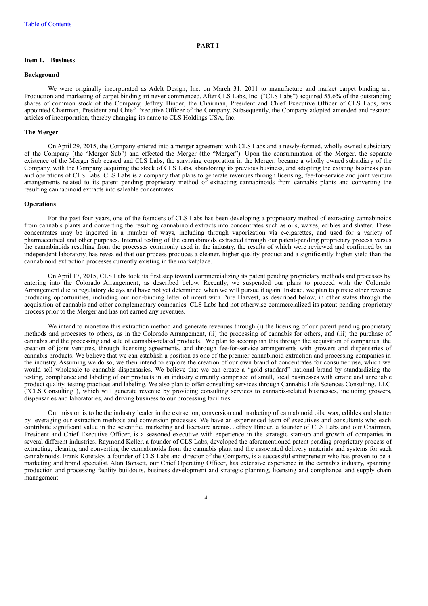## **PART I**

## **Item 1. Business**

### **Background**

We were originally incorporated as Adelt Design, Inc. on March 31, 2011 to manufacture and market carpet binding art. Production and marketing of carpet binding art never commenced. After CLS Labs, Inc. ("CLS Labs") acquired 55.6% of the outstanding shares of common stock of the Company, Jeffrey Binder, the Chairman, President and Chief Executive Officer of CLS Labs, was appointed Chairman, President and Chief Executive Officer of the Company. Subsequently, the Company adopted amended and restated articles of incorporation, thereby changing its name to CLS Holdings USA, Inc.

#### **The Merger**

On April 29, 2015, the Company entered into a merger agreement with CLS Labs and a newly-formed, wholly owned subsidiary of the Company (the "Merger Sub") and effected the Merger (the "Merger"). Upon the consummation of the Merger, the separate existence of the Merger Sub ceased and CLS Labs, the surviving corporation in the Merger, became a wholly owned subsidiary of the Company, with the Company acquiring the stock of CLS Labs, abandoning its previous business, and adopting the existing business plan and operations of CLS Labs. CLS Labs is a company that plans to generate revenues through licensing, fee-for-service and joint venture arrangements related to its patent pending proprietary method of extracting cannabinoids from cannabis plants and converting the resulting cannabinoid extracts into saleable concentrates.

#### **Operations**

For the past four years, one of the founders of CLS Labs has been developing a proprietary method of extracting cannabinoids from cannabis plants and converting the resulting cannabinoid extracts into concentrates such as oils, waxes, edibles and shatter. These concentrates may be ingested in a number of ways, including through vaporization via e-cigarettes, and used for a variety of pharmaceutical and other purposes. Internal testing of the cannabinoids extracted through our patent-pending proprietary process versus the cannabinoids resulting from the processes commonly used in the industry, the results of which were reviewed and confirmed by an independent laboratory, has revealed that our process produces a cleaner, higher quality product and a significantly higher yield than the cannabinoid extraction processes currently existing in the marketplace.

On April 17, 2015, CLS Labs took its first step toward commercializing its patent pending proprietary methods and processes by entering into the Colorado Arrangement, as described below. Recently, we suspended our plans to proceed with the Colorado Arrangement due to regulatory delays and have not yet determined when we will pursue it again. Instead, we plan to pursue other revenue producing opportunities, including our non-binding letter of intent with Pure Harvest, as described below, in other states through the acquisition of cannabis and other complementary companies. CLS Labs had not otherwise commercialized its patent pending proprietary process prior to the Merger and has not earned any revenues.

We intend to monetize this extraction method and generate revenues through (i) the licensing of our patent pending proprietary methods and processes to others, as in the Colorado Arrangement, (ii) the processing of cannabis for others, and (iii) the purchase of cannabis and the processing and sale of cannabis-related products. We plan to accomplish this through the acquisition of companies, the creation of joint ventures, through licensing agreements, and through fee-for-service arrangements with growers and dispensaries of cannabis products. We believe that we can establish a position as one of the premier cannabinoid extraction and processing companies in the industry. Assuming we do so, we then intend to explore the creation of our own brand of concentrates for consumer use, which we would sell wholesale to cannabis dispensaries. We believe that we can create a "gold standard" national brand by standardizing the testing, compliance and labeling of our products in an industry currently comprised of small, local businesses with erratic and unreliable product quality, testing practices and labeling. We also plan to offer consulting services through Cannabis Life Sciences Consulting, LLC ("CLS Consulting"), which will generate revenue by providing consulting services to cannabis-related businesses, including growers, dispensaries and laboratories, and driving business to our processing facilities.

Our mission is to be the industry leader in the extraction, conversion and marketing of cannabinoid oils, wax, edibles and shatter by leveraging our extraction methods and conversion processes. We have an experienced team of executives and consultants who each contribute significant value in the scientific, marketing and licensure arenas. Jeffrey Binder, a founder of CLS Labs and our Chairman, President and Chief Executive Officer, is a seasoned executive with experience in the strategic start-up and growth of companies in several different industries. Raymond Keller, a founder of CLS Labs, developed the aforementioned patent pending proprietary process of extracting, cleaning and converting the cannabinoids from the cannabis plant and the associated delivery materials and systems for such cannabinoids. Frank Koretsky, a founder of CLS Labs and director of the Company, is a successful entrepreneur who has proven to be a marketing and brand specialist. Alan Bonsett, our Chief Operating Officer, has extensive experience in the cannabis industry, spanning production and processing facility buildouts, business development and strategic planning, licensing and compliance, and supply chain management.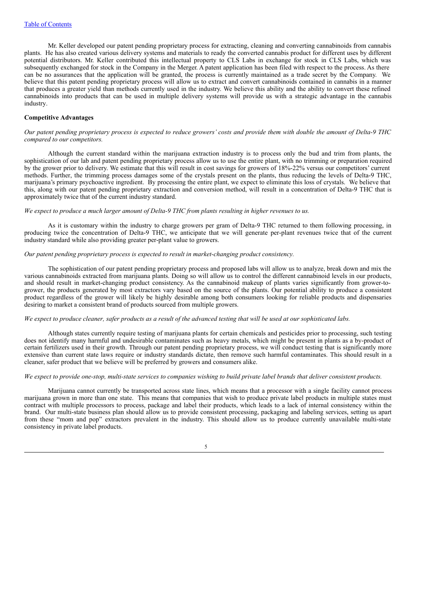Mr. Keller developed our patent pending proprietary process for extracting, cleaning and converting cannabinoids from cannabis plants. He has also created various delivery systems and materials to ready the converted cannabis product for different uses by different potential distributors. Mr. Keller contributed this intellectual property to CLS Labs in exchange for stock in CLS Labs, which was subsequently exchanged for stock in the Company in the Merger. A patent application has been filed with respect to the process. As there can be no assurances that the application will be granted, the process is currently maintained as a trade secret by the Company. We believe that this patent pending proprietary process will allow us to extract and convert cannabinoids contained in cannabis in a manner that produces a greater yield than methods currently used in the industry. We believe this ability and the ability to convert these refined cannabinoids into products that can be used in multiple delivery systems will provide us with a strategic advantage in the cannabis industry.

## **Competitive Advantages**

Our patent pending proprietary process is expected to reduce growers' costs and provide them with double the amount of Delta-9 THC *compared to our competitors.*

Although the current standard within the marijuana extraction industry is to process only the bud and trim from plants, the sophistication of our lab and patent pending proprietary process allow us to use the entire plant, with no trimming or preparation required by the grower prior to delivery. We estimate that this will result in cost savings for growers of 18%-22% versus our competitors' current methods. Further, the trimming process damages some of the crystals present on the plants, thus reducing the levels of Delta-9 THC, marijuana's primary psychoactive ingredient. By processing the entire plant, we expect to eliminate this loss of crystals. We believe that this, along with our patent pending proprietary extraction and conversion method, will result in a concentration of Delta-9 THC that is approximately twice that of the current industry standard.

## We expect to produce a much larger amount of Delta-9 THC from plants resulting in higher revenues to us.

As it is customary within the industry to charge growers per gram of Delta-9 THC returned to them following processing, in producing twice the concentration of Delta-9 THC, we anticipate that we will generate per-plant revenues twice that of the current industry standard while also providing greater per-plant value to growers.

#### *Our patent pending proprietary process is expected to result in market-changing product consistency.*

The sophistication of our patent pending proprietary process and proposed labs will allow us to analyze, break down and mix the various cannabinoids extracted from marijuana plants. Doing so will allow us to control the different cannabinoid levels in our products, and should result in market-changing product consistency. As the cannabinoid makeup of plants varies significantly from grower-togrower, the products generated by most extractors vary based on the source of the plants. Our potential ability to produce a consistent product regardless of the grower will likely be highly desirable among both consumers looking for reliable products and dispensaries desiring to market a consistent brand of products sourced from multiple growers.

## We expect to produce cleaner, safer products as a result of the advanced testing that will be used at our sophisticated labs.

Although states currently require testing of marijuana plants for certain chemicals and pesticides prior to processing, such testing does not identify many harmful and undesirable contaminates such as heavy metals, which might be present in plants as a by-product of certain fertilizers used in their growth. Through our patent pending proprietary process, we will conduct testing that is significantly more extensive than current state laws require or industry standards dictate, then remove such harmful contaminates. This should result in a cleaner, safer product that we believe will be preferred by growers and consumers alike.

## We expect to provide one-stop, multi-state services to companies wishing to build private label brands that deliver consistent products.

Marijuana cannot currently be transported across state lines, which means that a processor with a single facility cannot process marijuana grown in more than one state. This means that companies that wish to produce private label products in multiple states must contract with multiple processors to process, package and label their products, which leads to a lack of internal consistency within the brand. Our multi-state business plan should allow us to provide consistent processing, packaging and labeling services, setting us apart from these "mom and pop" extractors prevalent in the industry. This should allow us to produce currently unavailable multi-state consistency in private label products.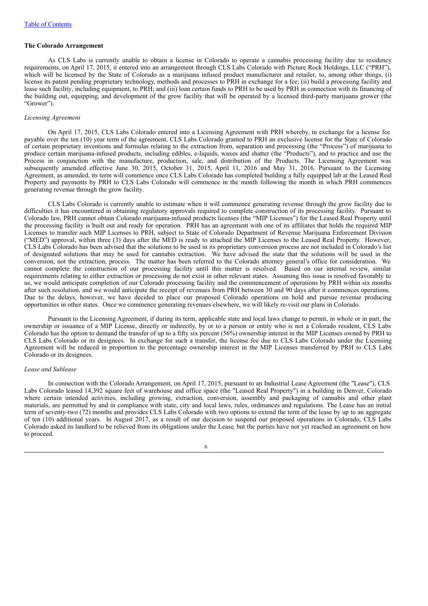#### **The Colorado Arrangement**

As CLS Labs is currently unable to obtain a license in Colorado to operate a cannabis processing facility due to residency requirements, on April 17, 2015, it entered into an arrangement through CLS Labs Colorado with Picture Rock Holdings, LLC ("PRH"), which will be licensed by the State of Colorado as a marijuana infused product manufacturer and retailer, to, among other things, (i) license its patent pending proprietary technology, methods and processes to PRH in exchange for a fee; (ii) build a processing facility and lease such facility, including equipment, to PRH; and (iii) loan certain funds to PRH to be used by PRH in connection with its financing of the building out, equipping, and development of the grow facility that will be operated by a licensed third-party marijuana grower (the "Grower").

## *Licensing Agreement*

On April 17, 2015, CLS Labs Colorado entered into a Licensing Agreement with PRH whereby, in exchange for a license fee payable over the ten (10) year term of the agreement, CLS Labs Colorado granted to PRH an exclusive license for the State of Colorado of certain proprietary inventions and formulas relating to the extraction from, separation and processing (the "Process") of marijuana to produce certain marijuana-infused products, including edibles, e-liquids, waxes and shatter (the "Products"), and to practice and use the Process in conjunction with the manufacture, production, sale, and distribution of the Products. The Licensing Agreement was subsequently amended effective June 30, 2015, October 31, 2015, April 11, 2016 and May 31, 2016. Pursuant to the Licensing Agreement, as amended, its term will commence once CLS Labs Colorado has completed building a fully equipped lab at the Leased Real Property and payments by PRH to CLS Labs Colorado will commence in the month following the month in which PRH commences generating revenue through the grow facility.

CLS Labs Colorado is currently unable to estimate when it will commence generating revenue through the grow facility due to difficulties it has encountered in obtaining regulatory approvals required to complete construction of its processing facility. Pursuant to Colorado law, PRH cannot obtain Colorado marijuana-infused products licenses (the "MIP Licenses") for the Leased Real Property until the processing facility is built out and ready for operation. PRH has an agreement with one of its affiliates that holds the required MIP Licenses to transfer such MIP Licenses to PRH, subject to State of Colorado Department of Revenue Marijuana Enforcement Division ("MED") approval, within three (3) days after the MED is ready to attached the MIP Licenses to the Leased Real Property. However, CLS Labs Colorado has been advised that the solutions to be used in its proprietary conversion process are not included in Colorado's list of designated solutions that may be used for cannabis extraction. We have advised the state that the solutions will be used in the conversion, not the extraction, process. The matter has been referred to the Colorado attorney general's office for consideration. We cannot complete the construction of our processing facility until this matter is resolved. Based on our internal review, similar requirements relating to either extraction or processing do not exist in other relevant states. Assuming this issue is resolved favorably to us, we would anticipate completion of our Colorado processing facility and the commencement of operations by PRH within six months after such resolution, and we would anticipate the receipt of revenues from PRH between 30 and 90 days after it commences operations. Due to the delays, however, we have decided to place our proposed Colorado operations on hold and pursue revenue producing opportunities in other states. Once we commence generating revenues elsewhere, we will likely re-visit our plans in Colorado.

Pursuant to the Licensing Agreement, if during its term, applicable state and local laws change to permit, in whole or in part, the ownership or issuance of a MIP License, directly or indirectly, by or to a person or entity who is not a Colorado resident, CLS Labs Colorado has the option to demand the transfer of up to a fifty six percent (56%) ownership interest in the MIP Licenses owned by PRH to CLS Labs Colorado or its designees. In exchange for such a transfer, the license fee due to CLS Labs Colorado under the Licensing Agreement will be reduced in proportion to the percentage ownership interest in the MIP Licenses transferred by PRH to CLS Labs Colorado or its designees.

#### *Lease and Sublease*

In connection with the Colorado Arrangement, on April 17, 2015, pursuant to an Industrial Lease Agreement (the "Lease"), CLS Labs Colorado leased 14,392 square feet of warehouse and office space (the "Leased Real Property") in a building in Denver, Colorado where certain intended activities, including growing, extraction, conversion, assembly and packaging of cannabis and other plant materials, are permitted by and in compliance with state, city and local laws, rules, ordinances and regulations. The Lease has an initial term of seventy-two (72) months and provides CLS Labs Colorado with two options to extend the term of the lease by up to an aggregate of ten (10) additional years. In August 2017, as a result of our decision to suspend our proposed operations in Colorado, CLS Labs Colorado asked its landlord to be relieved from its obligations under the Lease, but the parties have not yet reached an agreement on how to proceed.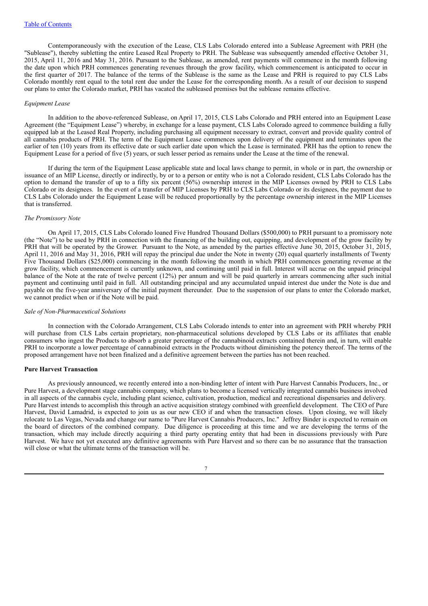Contemporaneously with the execution of the Lease, CLS Labs Colorado entered into a Sublease Agreement with PRH (the "Sublease"), thereby subletting the entire Leased Real Property to PRH. The Sublease was subsequently amended effective October 31, 2015, April 11, 2016 and May 31, 2016. Pursuant to the Sublease, as amended, rent payments will commence in the month following the date upon which PRH commences generating revenues through the grow facility, which commencement is anticipated to occur in the first quarter of 2017. The balance of the terms of the Sublease is the same as the Lease and PRH is required to pay CLS Labs Colorado monthly rent equal to the total rent due under the Lease for the corresponding month. As a result of our decision to suspend our plans to enter the Colorado market, PRH has vacated the subleased premises but the sublease remains effective.

#### *Equipment Lease*

In addition to the above-referenced Sublease, on April 17, 2015, CLS Labs Colorado and PRH entered into an Equipment Lease Agreement (the "Equipment Lease") whereby, in exchange for a lease payment, CLS Labs Colorado agreed to commence building a fully equipped lab at the Leased Real Property, including purchasing all equipment necessary to extract, convert and provide quality control of all cannabis products of PRH. The term of the Equipment Lease commences upon delivery of the equipment and terminates upon the earlier of ten (10) years from its effective date or such earlier date upon which the Lease is terminated. PRH has the option to renew the Equipment Lease for a period of five (5) years, or such lesser period as remains under the Lease at the time of the renewal.

If during the term of the Equipment Lease applicable state and local laws change to permit, in whole or in part, the ownership or issuance of an MIP License, directly or indirectly, by or to a person or entity who is not a Colorado resident, CLS Labs Colorado has the option to demand the transfer of up to a fifty six percent  $(56%)$  ownership interest in the MIP Licenses owned by PRH to CLS Labs Colorado or its designees. In the event of a transfer of MIP Licenses by PRH to CLS Labs Colorado or its designees, the payment due to CLS Labs Colorado under the Equipment Lease will be reduced proportionally by the percentage ownership interest in the MIP Licenses that is transferred.

## *The Promissory Note*

On April 17, 2015, CLS Labs Colorado loaned Five Hundred Thousand Dollars (\$500,000) to PRH pursuant to a promissory note (the "Note") to be used by PRH in connection with the financing of the building out, equipping, and development of the grow facility by PRH that will be operated by the Grower. Pursuant to the Note, as amended by the parties effective June 30, 2015, October 31, 2015, April 11, 2016 and May 31, 2016, PRH will repay the principal due under the Note in twenty (20) equal quarterly installments of Twenty Five Thousand Dollars (\$25,000) commencing in the month following the month in which PRH commences generating revenue at the grow facility, which commencement is currently unknown, and continuing until paid in full. Interest will accrue on the unpaid principal balance of the Note at the rate of twelve percent (12%) per annum and will be paid quarterly in arrears commencing after such initial payment and continuing until paid in full. All outstanding principal and any accumulated unpaid interest due under the Note is due and payable on the five-year anniversary of the initial payment thereunder. Due to the suspension of our plans to enter the Colorado market, we cannot predict when or if the Note will be paid.

#### *Sale of Non-Pharmaceutical Solutions*

In connection with the Colorado Arrangement, CLS Labs Colorado intends to enter into an agreement with PRH whereby PRH will purchase from CLS Labs certain proprietary, non-pharmaceutical solutions developed by CLS Labs or its affiliates that enable consumers who ingest the Products to absorb a greater percentage of the cannabinoid extracts contained therein and, in turn, will enable PRH to incorporate a lower percentage of cannabinoid extracts in the Products without diminishing the potency thereof. The terms of the proposed arrangement have not been finalized and a definitive agreement between the parties has not been reached.

#### **Pure Harvest Transaction**

As previously announced, we recently entered into a non-binding letter of intent with Pure Harvest Cannabis Producers, Inc., or Pure Harvest, a development stage cannabis company, which plans to become a licensed vertically integrated cannabis business involved in all aspects of the cannabis cycle, including plant science, cultivation, production, medical and recreational dispensaries and delivery. Pure Harvest intends to accomplish this through an active acquisition strategy combined with greenfield development. The CEO of Pure Harvest, David Lamadrid, is expected to join us as our new CEO if and when the transaction closes. Upon closing, we will likely relocate to Las Vegas, Nevada and change our name to "Pure Harvest Cannabis Producers, Inc." Jeffrey Binder is expected to remain on the board of directors of the combined company. Due diligence is proceeding at this time and we are developing the terms of the transaction, which may include directly acquiring a third party operating entity that had been in discussions previously with Pure Harvest. We have not yet executed any definitive agreements with Pure Harvest and so there can be no assurance that the transaction will close or what the ultimate terms of the transaction will be.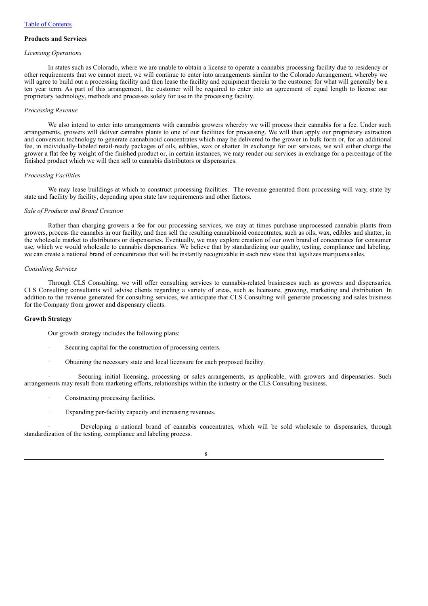#### **Products and Services**

## *Licensing Operations*

In states such as Colorado, where we are unable to obtain a license to operate a cannabis processing facility due to residency or other requirements that we cannot meet, we will continue to enter into arrangements similar to the Colorado Arrangement, whereby we will agree to build out a processing facility and then lease the facility and equipment therein to the customer for what will generally be a ten year term. As part of this arrangement, the customer will be required to enter into an agreement of equal length to license our proprietary technology, methods and processes solely for use in the processing facility.

#### *Processing Revenue*

We also intend to enter into arrangements with cannabis growers whereby we will process their cannabis for a fee. Under such arrangements, growers will deliver cannabis plants to one of our facilities for processing. We will then apply our proprietary extraction and conversion technology to generate cannabinoid concentrates which may be delivered to the grower in bulk form or, for an additional fee, in individually-labeled retail-ready packages of oils, edibles, wax or shatter. In exchange for our services, we will either charge the grower a flat fee by weight of the finished product or, in certain instances, we may render our services in exchange for a percentage of the finished product which we will then sell to cannabis distributors or dispensaries.

#### *Processing Facilities*

We may lease buildings at which to construct processing facilities. The revenue generated from processing will vary, state by state and facility by facility, depending upon state law requirements and other factors.

#### *Sale of Products and Brand Creation*

Rather than charging growers a fee for our processing services, we may at times purchase unprocessed cannabis plants from growers, process the cannabis in our facility, and then sell the resulting cannabinoid concentrates, such as oils, wax, edibles and shatter, in the wholesale market to distributors or dispensaries. Eventually, we may explore creation of our own brand of concentrates for consumer use, which we would wholesale to cannabis dispensaries. We believe that by standardizing our quality, testing, compliance and labeling, we can create a national brand of concentrates that will be instantly recognizable in each new state that legalizes marijuana sales.

#### *Consulting Services*

Through CLS Consulting, we will offer consulting services to cannabis-related businesses such as growers and dispensaries. CLS Consulting consultants will advise clients regarding a variety of areas, such as licensure, growing, marketing and distribution. In addition to the revenue generated for consulting services, we anticipate that CLS Consulting will generate processing and sales business for the Company from grower and dispensary clients.

## **Growth Strategy**

Our growth strategy includes the following plans:

- Securing capital for the construction of processing centers.
- Obtaining the necessary state and local licensure for each proposed facility.

Securing initial licensing, processing or sales arrangements, as applicable, with growers and dispensaries. Such arrangements may result from marketing efforts, relationships within the industry or the CLS Consulting business.

- Constructing processing facilities.
- Expanding per-facility capacity and increasing revenues.

Developing a national brand of cannabis concentrates, which will be sold wholesale to dispensaries, through standardization of the testing, compliance and labeling process.

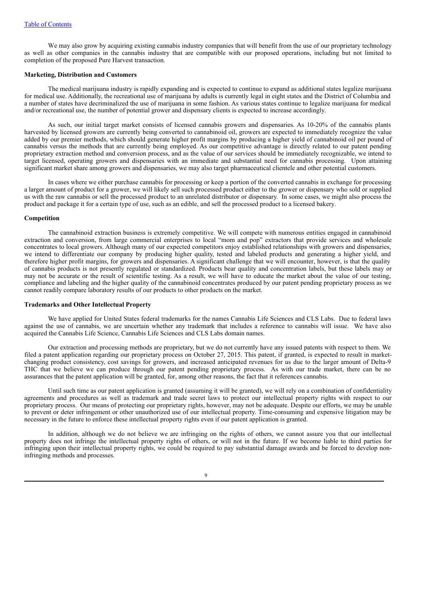We may also grow by acquiring existing cannabis industry companies that will benefit from the use of our proprietary technology as well as other companies in the cannabis industry that are compatible with our proposed operations, including but not limited to completion of the proposed Pure Harvest transaction.

## **Marketing, Distribution and Customers**

The medical marijuana industry is rapidly expanding and is expected to continue to expand as additional states legalize marijuana for medical use. Additionally, the recreational use of marijuana by adults is currently legal in eight states and the District of Columbia and a number of states have decriminalized the use of marijuana in some fashion. As various states continue to legalize marijuana for medical and/or recreational use, the number of potential grower and dispensary clients is expected to increase accordingly.

As such, our initial target market consists of licensed cannabis growers and dispensaries. As 10-20% of the cannabis plants harvested by licensed growers are currently being converted to cannabinoid oil, growers are expected to immediately recognize the value added by our premier methods, which should generate higher profit margins by producing a higher yield of cannabinoid oil per pound of cannabis versus the methods that are currently being employed. As our competitive advantage is directly related to our patent pending proprietary extraction method and conversion process, and as the value of our services should be immediately recognizable, we intend to target licensed, operating growers and dispensaries with an immediate and substantial need for cannabis processing. Upon attaining significant market share among growers and dispensaries, we may also target pharmaceutical clientele and other potential customers.

In cases where we either purchase cannabis for processing or keep a portion of the converted cannabis in exchange for processing a larger amount of product for a grower, we will likely sell such processed product either to the grower or dispensary who sold or supplied us with the raw cannabis or sell the processed product to an unrelated distributor or dispensary. In some cases, we might also process the product and package it for a certain type of use, such as an edible, and sell the processed product to a licensed bakery.

## **Competition**

The cannabinoid extraction business is extremely competitive. We will compete with numerous entities engaged in cannabinoid extraction and conversion, from large commercial enterprises to local "mom and pop" extractors that provide services and wholesale concentrates to local growers. Although many of our expected competitors enjoy established relationships with growers and dispensaries, we intend to differentiate our company by producing higher quality, tested and labeled products and generating a higher yield, and therefore higher profit margins, for growers and dispensaries. A significant challenge that we will encounter, however, is that the quality of cannabis products is not presently regulated or standardized. Products bear quality and concentration labels, but these labels may or may not be accurate or the result of scientific testing. As a result, we will have to educate the market about the value of our testing, compliance and labeling and the higher quality of the cannabinoid concentrates produced by our patent pending proprietary process as we cannot readily compare laboratory results of our products to other products on the market.

#### **Trademarks and Other Intellectual Property**

We have applied for United States federal trademarks for the names Cannabis Life Sciences and CLS Labs. Due to federal laws against the use of cannabis, we are uncertain whether any trademark that includes a reference to cannabis will issue. We have also acquired the Cannabis Life Science, Cannabis Life Sciences and CLS Labs domain names.

Our extraction and processing methods are proprietary, but we do not currently have any issued patents with respect to them. We filed a patent application regarding our proprietary process on October 27, 2015. This patent, if granted, is expected to result in marketchanging product consistency, cost savings for growers, and increased anticipated revenues for us due to the larger amount of Delta-9 THC that we believe we can produce through our patent pending proprietary process. As with our trade market, there can be no assurances that the patent application will be granted, for, among other reasons, the fact that it references cannabis.

Until such time as our patent application is granted (assuming it will be granted), we will rely on a combination of confidentiality agreements and procedures as well as trademark and trade secret laws to protect our intellectual property rights with respect to our proprietary process. Our means of protecting our proprietary rights, however, may not be adequate. Despite our efforts, we may be unable to prevent or deter infringement or other unauthorized use of our intellectual property. Time-consuming and expensive litigation may be necessary in the future to enforce these intellectual property rights even if our patent application is granted.

In addition, although we do not believe we are infringing on the rights of others, we cannot assure you that our intellectual property does not infringe the intellectual property rights of others, or will not in the future. If we become liable to third parties for infringing upon their intellectual property rights, we could be required to pay substantial damage awards and be forced to develop noninfringing methods and processes.

9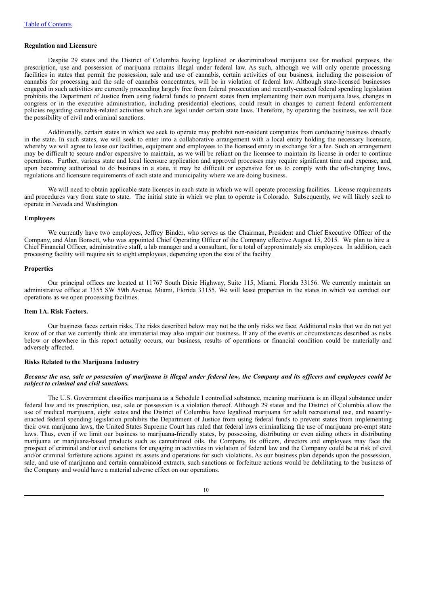## **Regulation and Licensure**

Despite 29 states and the District of Columbia having legalized or decriminalized marijuana use for medical purposes, the prescription, use and possession of marijuana remains illegal under federal law. As such, although we will only operate processing facilities in states that permit the possession, sale and use of cannabis, certain activities of our business, including the possession of cannabis for processing and the sale of cannabis concentrates, will be in violation of federal law. Although state-licensed businesses engaged in such activities are currently proceeding largely free from federal prosecution and recently-enacted federal spending legislation prohibits the Department of Justice from using federal funds to prevent states from implementing their own marijuana laws, changes in congress or in the executive administration, including presidential elections, could result in changes to current federal enforcement policies regarding cannabis-related activities which are legal under certain state laws. Therefore, by operating the business, we will face the possibility of civil and criminal sanctions.

Additionally, certain states in which we seek to operate may prohibit non-resident companies from conducting business directly in the state. In such states, we will seek to enter into a collaborative arrangement with a local entity holding the necessary licensure, whereby we will agree to lease our facilities, equipment and employees to the licensed entity in exchange for a fee. Such an arrangement may be difficult to secure and/or expensive to maintain, as we will be reliant on the licensee to maintain its license in order to continue operations. Further, various state and local licensure application and approval processes may require significant time and expense, and, upon becoming authorized to do business in a state, it may be difficult or expensive for us to comply with the oft-changing laws, regulations and licensure requirements of each state and municipality where we are doing business.

We will need to obtain applicable state licenses in each state in which we will operate processing facilities. License requirements and procedures vary from state to state. The initial state in which we plan to operate is Colorado. Subsequently, we will likely seek to operate in Nevada and Washington.

## **Employees**

We currently have two employees, Jeffrey Binder, who serves as the Chairman, President and Chief Executive Officer of the Company, and Alan Bonsett, who was appointed Chief Operating Officer of the Company effective August 15, 2015. We plan to hire a Chief Financial Officer, administrative staff, a lab manager and a consultant, for a total of approximately six employees. In addition, each processing facility will require six to eight employees, depending upon the size of the facility.

#### **Properties**

Our principal offices are located at 11767 South Dixie Highway, Suite 115, Miami, Florida 33156. We currently maintain an administrative office at 3355 SW 59th Avenue, Miami, Florida 33155. We will lease properties in the states in which we conduct our operations as we open processing facilities.

## **Item 1A. Risk Factors.**

Our business faces certain risks. The risks described below may not be the only risks we face. Additional risks that we do not yet know of or that we currently think are immaterial may also impair our business. If any of the events or circumstances described as risks below or elsewhere in this report actually occurs, our business, results of operations or financial condition could be materially and adversely affected.

## **Risks Related to the Marijuana Industry**

#### Because the use, sale or possession of marijuana is illegal under federal law, the Company and its officers and employees could be *subject to criminal and civil sanctions.*

The U.S. Government classifies marijuana as a Schedule I controlled substance, meaning marijuana is an illegal substance under federal law and its prescription, use, sale or possession is a violation thereof. Although 29 states and the District of Columbia allow the use of medical marijuana, eight states and the District of Columbia have legalized marijuana for adult recreational use, and recentlyenacted federal spending legislation prohibits the Department of Justice from using federal funds to prevent states from implementing their own marijuana laws, the United States Supreme Court has ruled that federal laws criminalizing the use of marijuana pre-empt state laws. Thus, even if we limit our business to marijuana-friendly states, by possessing, distributing or even aiding others in distributing marijuana or marijuana-based products such as cannabinoid oils, the Company, its officers, directors and employees may face the prospect of criminal and/or civil sanctions for engaging in activities in violation of federal law and the Company could be at risk of civil and/or criminal forfeiture actions against its assets and operations for such violations. As our business plan depends upon the possession, sale, and use of marijuana and certain cannabinoid extracts, such sanctions or forfeiture actions would be debilitating to the business of the Company and would have a material adverse effect on our operations.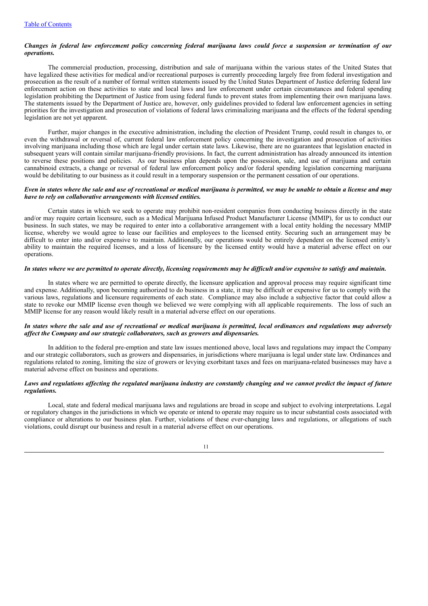## Changes in federal law enforcement policy concerning federal marijuana laws could force a suspension or termination of our *operations.*

The commercial production, processing, distribution and sale of marijuana within the various states of the United States that have legalized these activities for medical and/or recreational purposes is currently proceeding largely free from federal investigation and prosecution as the result of a number of formal written statements issued by the United States Department of Justice deferring federal law enforcement action on these activities to state and local laws and law enforcement under certain circumstances and federal spending legislation prohibiting the Department of Justice from using federal funds to prevent states from implementing their own marijuana laws. The statements issued by the Department of Justice are, however, only guidelines provided to federal law enforcement agencies in setting priorities for the investigation and prosecution of violations of federal laws criminalizing marijuana and the effects of the federal spending legislation are not yet apparent.

Further, major changes in the executive administration, including the election of President Trump, could result in changes to, or even the withdrawal or reversal of, current federal law enforcement policy concerning the investigation and prosecution of activities involving marijuana including those which are legal under certain state laws. Likewise, there are no guarantees that legislation enacted in subsequent years will contain similar marijuana-friendly provisions. In fact, the current administration has already announced its intention to reverse these positions and policies. As our business plan depends upon the possession, sale, and use of marijuana and certain cannabinoid extracts, a change or reversal of federal law enforcement policy and/or federal spending legislation concerning marijuana would be debilitating to our business as it could result in a temporary suspension or the permanent cessation of our operations.

#### Even in states where the sale and use of recreational or medical marijuana is permitted, we may be unable to obtain a license and may *have to rely on collaborative arrangements with licensed entities.*

Certain states in which we seek to operate may prohibit non-resident companies from conducting business directly in the state and/or may require certain licensure, such as a Medical Marijuana Infused Product Manufacturer License (MMIP), for us to conduct our business. In such states, we may be required to enter into a collaborative arrangement with a local entity holding the necessary MMIP license, whereby we would agree to lease our facilities and employees to the licensed entity. Securing such an arrangement may be difficult to enter into and/or expensive to maintain. Additionally, our operations would be entirely dependent on the licensed entity's ability to maintain the required licenses, and a loss of licensure by the licensed entity would have a material adverse effect on our operations.

## In states where we are permitted to operate directly, licensing requirements may be difficult and/or expensive to satisfy and maintain.

In states where we are permitted to operate directly, the licensure application and approval process may require significant time and expense. Additionally, upon becoming authorized to do business in a state, it may be difficult or expensive for us to comply with the various laws, regulations and licensure requirements of each state. Compliance may also include a subjective factor that could allow a state to revoke our MMIP license even though we believed we were complying with all applicable requirements. The loss of such an MMIP license for any reason would likely result in a material adverse effect on our operations.

## In states where the sale and use of recreational or medical marijuana is permitted, local ordinances and regulations may adversely *af ect the Company and our strategic collaborators, such as growers and dispensaries.*

In addition to the federal pre-emption and state law issues mentioned above, local laws and regulations may impact the Company and our strategic collaborators, such as growers and dispensaries, in jurisdictions where marijuana is legal under state law. Ordinances and regulations related to zoning, limiting the size of growers or levying exorbitant taxes and fees on marijuana-related businesses may have a material adverse effect on business and operations.

## Laws and regulations affecting the regulated marijuana industry are constantly changing and we cannot predict the impact of future *regulations.*

Local, state and federal medical marijuana laws and regulations are broad in scope and subject to evolving interpretations. Legal or regulatory changes in the jurisdictions in which we operate or intend to operate may require us to incur substantial costs associated with compliance or alterations to our business plan. Further, violations of these ever-changing laws and regulations, or allegations of such violations, could disrupt our business and result in a material adverse effect on our operations.

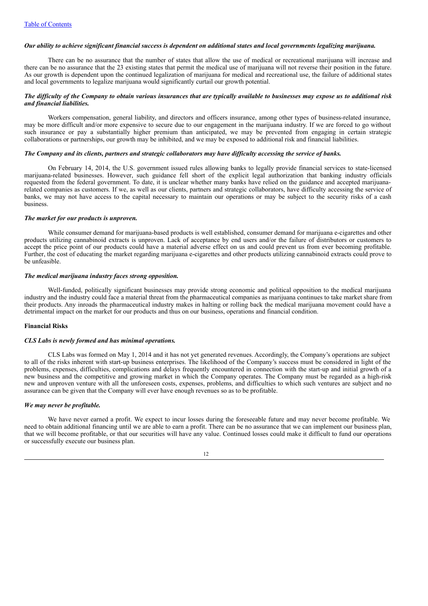#### Our ability to achieve significant financial success is dependent on additional states and local governments legalizing marijuana.

There can be no assurance that the number of states that allow the use of medical or recreational marijuana will increase and there can be no assurance that the 23 existing states that permit the medical use of marijuana will not reverse their position in the future. As our growth is dependent upon the continued legalization of marijuana for medical and recreational use, the failure of additional states and local governments to legalize marijuana would significantly curtail our growth potential.

### The difficulty of the Company to obtain various insurances that are typically available to businesses may expose us to additional risk *and financial liabilities.*

Workers compensation, general liability, and directors and officers insurance, among other types of business-related insurance, may be more difficult and/or more expensive to secure due to our engagement in the marijuana industry. If we are forced to go without such insurance or pay a substantially higher premium than anticipated, we may be prevented from engaging in certain strategic collaborations or partnerships, our growth may be inhibited, and we may be exposed to additional risk and financial liabilities.

### The Company and its clients, partners and strategic collaborators may have difficulty accessing the service of banks.

On February 14, 2014, the U.S. government issued rules allowing banks to legally provide financial services to state-licensed marijuana-related businesses. However, such guidance fell short of the explicit legal authorization that banking industry officials requested from the federal government. To date, it is unclear whether many banks have relied on the guidance and accepted marijuanarelated companies as customers. If we, as well as our clients, partners and strategic collaborators, have difficulty accessing the service of banks, we may not have access to the capital necessary to maintain our operations or may be subject to the security risks of a cash business.

#### *The market for our products is unproven.*

While consumer demand for marijuana-based products is well established, consumer demand for marijuana e-cigarettes and other products utilizing cannabinoid extracts is unproven. Lack of acceptance by end users and/or the failure of distributors or customers to accept the price point of our products could have a material adverse effect on us and could prevent us from ever becoming profitable. Further, the cost of educating the market regarding marijuana e-cigarettes and other products utilizing cannabinoid extracts could prove to be unfeasible.

#### *The medical marijuana industry faces strong opposition.*

Well-funded, politically significant businesses may provide strong economic and political opposition to the medical marijuana industry and the industry could face a material threat from the pharmaceutical companies as marijuana continues to take market share from their products. Any inroads the pharmaceutical industry makes in halting or rolling back the medical marijuana movement could have a detrimental impact on the market for our products and thus on our business, operations and financial condition.

## **Financial Risks**

#### *CLS Labs is newly formed and has minimal operations.*

CLS Labs was formed on May 1, 2014 and it has not yet generated revenues. Accordingly, the Company's operations are subject to all of the risks inherent with start-up business enterprises. The likelihood of the Company's success must be considered in light of the problems, expenses, difficulties, complications and delays frequently encountered in connection with the start-up and initial growth of a new business and the competitive and growing market in which the Company operates. The Company must be regarded as a high-risk new and unproven venture with all the unforeseen costs, expenses, problems, and difficulties to which such ventures are subject and no assurance can be given that the Company will ever have enough revenues so as to be profitable.

#### *We may never be profitable.*

We have never earned a profit. We expect to incur losses during the foreseeable future and may never become profitable. We need to obtain additional financing until we are able to earn a profit. There can be no assurance that we can implement our business plan, that we will become profitable, or that our securities will have any value. Continued losses could make it difficult to fund our operations or successfully execute our business plan.

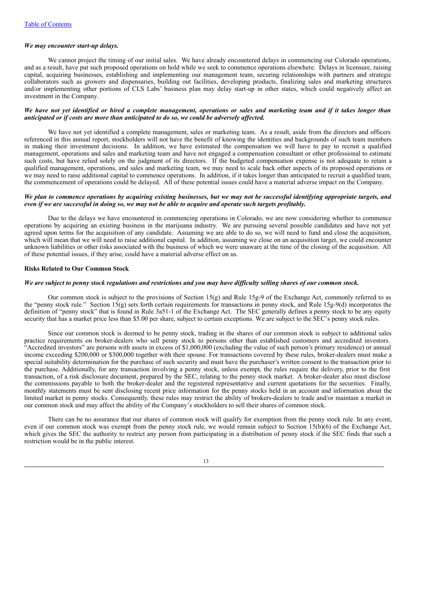#### *We may encounter start-up delays.*

We cannot project the timing of our initial sales. We have already encountered delays in commencing our Colorado operations, and as a result, have put such proposed operations on hold while we seek to commence operations elsewhere. Delays in licensure, raising capital, acquiring businesses, establishing and implementing our management team, securing relationships with partners and strategic collaborators such as growers and dispensaries, building out facilities, developing products, finalizing sales and marketing structures and/or implementing other portions of CLS Labs' business plan may delay start-up in other states, which could negatively affect an investment in the Company.

#### We have not yet identified or hired a complete management, operations or sales and marketing team and if it takes longer than *anticipated or if costs are more than anticipated to do so, we could be adversely af ected.*

We have not yet identified a complete management, sales or marketing team. As a result, aside from the directors and officers referenced in this annual report, stockholders will not have the benefit of knowing the identities and backgrounds of such team members in making their investment decisions. In addition, we have estimated the compensation we will have to pay to recruit a qualified management, operations and sales and marketing team and have not engaged a compensation consultant or other professional to estimate such costs, but have relied solely on the judgment of its directors. If the budgeted compensation expense is not adequate to retain a qualified management, operations, and sales and marketing team, we may need to scale back other aspects of its proposed operations or we may need to raise additional capital to commence operations. In addition, if it takes longer than anticipated to recruit a qualified team, the commencement of operations could be delayed. All of these potential issues could have a material adverse impact on the Company.

#### We plan to commence operations by acquiring existing businesses, but we may not be successful identifying appropriate targets, and even if we are successful in doing so, we may not be able to acquire and operate such targets profitably.

Due to the delays we have encountered in commencing operations in Colorado, we are now considering whether to commence operations by acquiring an existing business in the marijuana industry. We are pursuing several possible candidates and have not yet agreed upon terms for the acquisition of any candidate. Assuming we are able to do so, we will need to fund and close the acquisition, which will mean that we will need to raise additional capital. In addition, assuming we close on an acquisition target, we could encounter unknown liabilities or other risks associated with the business of which we were unaware at the time of the closing of the acquisition. All of these potential issues, if they arise, could have a material adverse effect on us.

#### **Risks Related to Our Common Stock**

#### We are subject to penny stock regulations and restrictions and you may have difficulty selling shares of our common stock.

Our common stock is subject to the provisions of Section 15(g) and Rule 15g-9 of the Exchange Act, commonly referred to as the "penny stock rule." Section 15(g) sets forth certain requirements for transactions in penny stock, and Rule 15g-9(d) incorporates the definition of "penny stock" that is found in Rule 3a51-1 of the Exchange Act. The SEC generally defines a penny stock to be any equity security that has a market price less than \$5.00 per share, subject to certain exceptions. We are subject to the SEC's penny stock rules.

Since our common stock is deemed to be penny stock, trading in the shares of our common stock is subject to additional sales practice requirements on broker-dealers who sell penny stock to persons other than established customers and accredited investors. "Accredited investors" are persons with assets in excess of \$1,000,000 (excluding the value of such person's primary residence) or annual income exceeding \$200,000 or \$300,000 together with their spouse. For transactions covered by these rules, broker-dealers must make a special suitability determination for the purchase of such security and must have the purchaser's written consent to the transaction prior to the purchase. Additionally, for any transaction involving a penny stock, unless exempt, the rules require the delivery, prior to the first transaction, of a risk disclosure document, prepared by the SEC, relating to the penny stock market. A broker-dealer also must disclose the commissions payable to both the broker-dealer and the registered representative and current quotations for the securities. Finally, monthly statements must be sent disclosing recent price information for the penny stocks held in an account and information about the limited market in penny stocks. Consequently, these rules may restrict the ability of brokers-dealers to trade and/or maintain a market in our common stock and may affect the ability of the Company's stockholders to sell their shares of common stock.

There can be no assurance that our shares of common stock will qualify for exemption from the penny stock rule. In any event, even if our common stock was exempt from the penny stock rule, we would remain subject to Section 15(b)(6) of the Exchange Act, which gives the SEC the authority to restrict any person from participating in a distribution of penny stock if the SEC finds that such a restriction would be in the public interest.

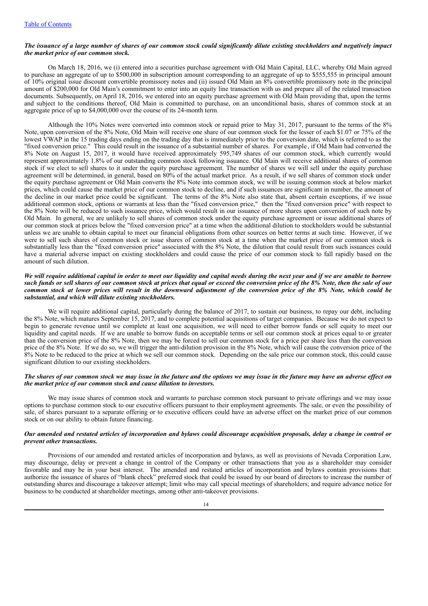#### The issuance of a large number of shares of our common stock could significantly dilute existing stockholders and negatively impact *the market price of our common stock.*

On March 18, 2016, we (i) entered into a securities purchase agreement with Old Main Capital, LLC, whereby Old Main agreed to purchase an aggregate of up to \$500,000 in subscription amount corresponding to an aggregate of up to \$555,555 in principal amount of 10% original issue discount convertible promissory notes and (ii) issued Old Main an 8% convertible promissory note in the principal amount of \$200,000 for Old Main's commitment to enter into an equity line transaction with us and prepare all of the related transaction documents. Subsequently, on April 18, 2016, we entered into an equity purchase agreement with Old Main providing that, upon the terms and subject to the conditions thereof, Old Main is committed to purchase, on an unconditional basis, shares of common stock at an aggregate price of up to \$4,000,000 over the course of its 24-month term.

Although the 10% Notes were converted into common stock or repaid prior to May 31, 2017, pursuant to the terms of the 8% Note, upon conversion of the 8% Note, Old Main will receive one share of our common stock for the lesser of each \$1.07 or 75% of the lowest VWAP in the 15 trading days ending on the trading day that is immediately prior to the conversion date, which is referred to as the "fixed conversion price." This could result in the issuance of a substantial number of shares. For example , if Old Main had converted the 8% Note on August 15, 2017, it would have received approximately 595,749 shares of our common stock, which currently would represent approximately 1.8% of our outstanding common stock following issuance. Old Main will receive additional shares of common stock if we elect to sell shares to it under the equity purchase agreement. The number of shares we will sell under the equity purchase agreement will be determined, in general, based on 80% of the actual market price. As a result, if we sell shares of common stock under the equity purchase agreement or Old Main converts the 8% Note into common stock, we will be issuing common stock at below market prices, which could cause the market price of our common stock to decline, and if such issuances are significant in number, the amount of the decline in our market price could be significant. The terms of the 8% Note also state that, absent certain exceptions, if we issue additional common stock, options or warrants at less than the "fixed conversion price," then the "fixed conversion price" with respect to the 8% Note will be reduced to such issuance price, which would result in our issuance of more shares upon conversion of such note by Old Main. In general, we are unlikely to sell shares of common stock under the equity purchase agreement or issue additional shares of our common stock at prices below the "fixed conversion price" at a time when the additional dilution to stockholders would be substantial unless we are unable to obtain capital to meet our financial obligations from other sources on better terms at such time. However, if we were to sell such shares of common stock or issue shares of common stock at a time when the market price of our common stock is substantially less than the "fixed conversion price" associated with the 8% Note, the dilution that could result from such issuances could have a material adverse impact on existing stockholders and could cause the price of our common stock to fall rapidly based on the amount of such dilution.

### We will require additional capital in order to meet our liquidity and capital needs during the next year and if we are unable to borrow such funds or sell shares of our common stock at prices that equal or exceed the conversion price of the 8% Note, then the sale of our common stock at lower prices will result in the downward adjustment of the conversion price of the 8% Note, which could be *substantial, and which will dilute existing stockholders.*

We will require additional capital, particularly during the balance of 2017, to sustain our business, to repay our debt, including the 8% Note, which matures September 15, 2017, and to complete potential acquisitions of target companies. Because we do not expect to begin to generate revenue until we complete at least one acquisition, we will need to either borrow funds or sell equity to meet our liquidity and capital needs. If we are unable to borrow funds on acceptable terms or sell our common stock at prices equal to or greater than the conversion price of the 8% Note, then we may be forced to sell our common stock for a price per share less than the conversion price of the 8% Note. If we do so, we will trigger the anti-dilution provision in the 8% Note, which will cause the conversion price of the 8% Note to be reduced to the price at which we sell our common stock. Depending on the sale price our common stock, this could cause significant dilution to our existing stockholders.

#### The shares of our common stock we may issue in the future and the options we may issue in the future may have an adverse effect on *the market price of our common stock and cause dilution to investors.*

We may issue shares of common stock and warrants to purchase common stock pursuant to private offerings and we may issue options to purchase common stock to our executive officers pursuant to their employment agreements. The sale, or even the possibility of sale, of shares pursuant to a separate offering or to executive officers could have an adverse effect on the market price of our common stock or on our ability to obtain future financing.

#### Our amended and restated articles of incorporation and bylaws could discourage acquisition proposals, delay a change in control or *prevent other transactions.*

Provisions of our amended and restated articles of incorporation and bylaws, as well as provisions of Nevada Corporation Law, may discourage, delay or prevent a change in control of the Company or other transactions that you as a shareholder may consider favorable and may be in your best interest. The amended and restated articles of incorporation and bylaws contain provisions that: authorize the issuance of shares of "blank check" preferred stock that could be issued by our board of directors to increase the number of outstanding shares and discourage a takeover attempt; limit who may call special meetings of shareholders; and require advance notice for business to be conducted at shareholder meetings, among other anti-takeover provisions.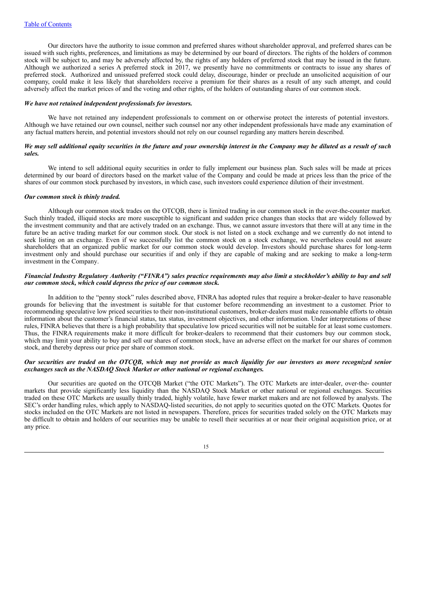Our directors have the authority to issue common and preferred shares without shareholder approval, and preferred shares can be issued with such rights, preferences, and limitations as may be determined by our board of directors. The rights of the holders of common stock will be subject to, and may be adversely affected by, the rights of any holders of preferred stock that may be issued in the future. Although we authorized a series A preferred stock in 2017, we presently have no commitments or contracts to issue any shares of preferred stock. Authorized and unissued preferred stock could delay, discourage, hinder or preclude an unsolicited acquisition of our company, could make it less likely that shareholders receive a premium for their shares as a result of any such attempt, and could adversely affect the market prices of and the voting and other rights, of the holders of outstanding shares of our common stock.

#### *We have not retained independent professionals for investors.*

We have not retained any independent professionals to comment on or otherwise protect the interests of potential investors. Although we have retained our own counsel, neither such counsel nor any other independent professionals have made any examination of any factual matters herein, and potential investors should not rely on our counsel regarding any matters herein described.

## We may sell additional equity securities in the future and your ownership interest in the Company may be diluted as a result of such *sales.*

We intend to sell additional equity securities in order to fully implement our business plan. Such sales will be made at prices determined by our board of directors based on the market value of the Company and could be made at prices less than the price of the shares of our common stock purchased by investors, in which case, such investors could experience dilution of their investment.

#### *Our common stock is thinly traded.*

Although our common stock trades on the OTCQB, there is limited trading in our common stock in the over-the-counter market. Such thinly traded, illiquid stocks are more susceptible to significant and sudden price changes than stocks that are widely followed by the investment community and that are actively traded on an exchange. Thus, we cannot assure investors that there will at any time in the future be an active trading market for our common stock. Our stock is not listed on a stock exchange and we currently do not intend to seek listing on an exchange. Even if we successfully list the common stock on a stock exchange, we nevertheless could not assure shareholders that an organized public market for our common stock would develop. Investors should purchase shares for long-term investment only and should purchase our securities if and only if they are capable of making and are seeking to make a long-term investment in the Company.

## Financial Industry Regulatory Authority ("FINRA") sales practice requirements may also limit a stockholder's ability to buy and sell *our common stock, which could depress the price of our common stock.*

In addition to the "penny stock" rules described above, FINRA has adopted rules that require a broker-dealer to have reasonable grounds for believing that the investment is suitable for that customer before recommending an investment to a customer. Prior to recommending speculative low priced securities to their non-institutional customers, broker-dealers must make reasonable efforts to obtain information about the customer's financial status, tax status, investment objectives, and other information. Under interpretations of these rules, FINRA believes that there is a high probability that speculative low priced securities will not be suitable for at least some customers. Thus, the FINRA requirements make it more difficult for broker-dealers to recommend that their customers buy our common stock, which may limit your ability to buy and sell our shares of common stock, have an adverse effect on the market for our shares of common stock, and thereby depress our price per share of common stock.

## Our securities are traded on the OTCOB, which may not provide as much liquidity for our investors as more recognized senior *exchanges such as the NASDAQ Stock Market or other national or regional exchanges.*

Our securities are quoted on the OTCQB Market ("the OTC Markets"). The OTC Markets are inter-dealer, over-the- counter markets that provide significantly less liquidity than the NASDAQ Stock Market or other national or regional exchanges. Securities traded on these OTC Markets are usually thinly traded, highly volatile, have fewer market makers and are not followed by analysts. The SEC's order handling rules, which apply to NASDAQ-listed securities, do not apply to securities quoted on the OTC Markets. Quotes for stocks included on the OTC Markets are not listed in newspapers. Therefore, prices for securities traded solely on the OTC Markets may be difficult to obtain and holders of our securities may be unable to resell their securities at or near their original acquisition price, or at any price.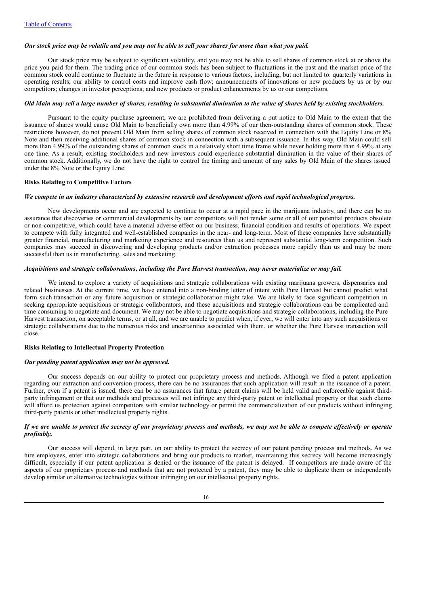#### Our stock price may be volatile and you may not be able to sell your shares for more than what you paid.

Our stock price may be subject to significant volatility, and you may not be able to sell shares of common stock at or above the price you paid for them. The trading price of our common stock has been subject to fluctuations in the past and the market price of the common stock could continue to fluctuate in the future in response to various factors, including, but not limited to: quarterly variations in operating results; our ability to control costs and improve cash flow; announcements of innovations or new products by us or by our competitors; changes in investor perceptions; and new products or product enhancements by us or our competitors.

## Old Main may sell a large number of shares, resulting in substantial diminution to the value of shares held by existing stockholders.

Pursuant to the equity purchase agreement, we are prohibited from delivering a put notice to Old Main to the extent that the issuance of shares would cause Old Main to beneficially own more than 4.99% of our then-outstanding shares of common stock. These restrictions however, do not prevent Old Main from selling shares of common stock received in connection with the Equity Line or 8% Note and then receiving additional shares of common stock in connection with a subsequent issuance. In this way, Old Main could sell more than 4.99% of the outstanding shares of common stock in a relatively short time frame while never holding more than 4.99% at any one time. As a result, existing stockholders and new investors could experience substantial diminution in the value of their shares of common stock. Additionally, we do not have the right to control the timing and amount of any sales by Old Main of the shares issued under the 8% Note or the Equity Line.

#### **Risks Relating to Competitive Factors**

#### We compete in an industry characterized by extensive research and development efforts and rapid technological progress.

New developments occur and are expected to continue to occur at a rapid pace in the marijuana industry, and there can be no assurance that discoveries or commercial developments by our competitors will not render some or all of our potential products obsolete or non-competitive, which could have a material adverse effect on our business, financial condition and results of operations. We expect to compete with fully integrated and well-established companies in the near- and long-term. Most of these companies have substantially greater financial, manufacturing and marketing experience and resources than us and represent substantial long-term competition. Such companies may succeed in discovering and developing products and/or extraction processes more rapidly than us and may be more successful than us in manufacturing, sales and marketing.

## *Acquisitions and strategic collaborations, including the Pure Harvest transaction, may never materialize or may fail.*

We intend to explore a variety of acquisitions and strategic collaborations with existing marijuana growers, dispensaries and related businesses. At the current time, we have entered into a non-binding letter of intent with Pure Harvest but cannot predict what form such transaction or any future acquisition or strategic collaboration might take. We are likely to face significant competition in seeking appropriate acquisitions or strategic collaborators, and these acquisitions and strategic collaborations can be complicated and time consuming to negotiate and document. We may not be able to negotiate acquisitions and strategic collaborations, including the Pure Harvest transaction, on acceptable terms, or at all, and we are unable to predict when, if ever, we will enter into any such acquisitions or strategic collaborations due to the numerous risks and uncertainties associated with them, or whether the Pure Harvest transaction will close.

## **Risks Relating to Intellectual Property Protection**

#### *Our pending patent application may not be approved.*

Our success depends on our ability to protect our proprietary process and methods. Although we filed a patent application regarding our extraction and conversion process, there can be no assurances that such application will result in the issuance of a patent. Further, even if a patent is issued, there can be no assurances that future patent claims will be held valid and enforceable against thirdparty infringement or that our methods and processes will not infringe any third-party patent or intellectual property or that such claims will afford us protection against competitors with similar technology or permit the commercialization of our products without infringing third-party patents or other intellectual property rights.

## If we are unable to protect the secrecy of our proprietary process and methods, we may not be able to compete effectively or operate *profitably.*

Our success will depend, in large part, on our ability to protect the secrecy of our patent pending process and methods. As we hire employees, enter into strategic collaborations and bring our products to market, maintaining this secrecy will become increasingly difficult, especially if our patent application is denied or the issuance of the patent is delayed. If competitors are made aware of the aspects of our proprietary process and methods that are not protected by a patent, they may be able to duplicate them or independently develop similar or alternative technologies without infringing on our intellectual property rights.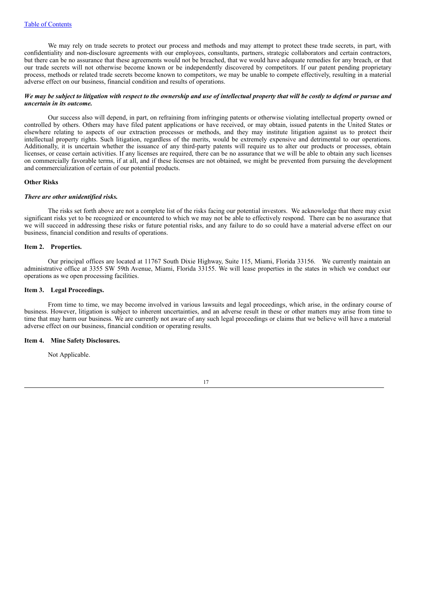We may rely on trade secrets to protect our process and methods and may attempt to protect these trade secrets, in part, with confidentiality and non-disclosure agreements with our employees, consultants, partners, strategic collaborators and certain contractors, but there can be no assurance that these agreements would not be breached, that we would have adequate remedies for any breach, or that our trade secrets will not otherwise become known or be independently discovered by competitors. If our patent pending proprietary process, methods or related trade secrets become known to competitors, we may be unable to compete effectively, resulting in a material adverse effect on our business, financial condition and results of operations.

#### We may be subject to litigation with respect to the ownership and use of intellectual property that will be costly to defend or pursue and *uncertain in its outcome.*

Our success also will depend, in part, on refraining from infringing patents or otherwise violating intellectual property owned or controlled by others. Others may have filed patent applications or have received, or may obtain, issued patents in the United States or elsewhere relating to aspects of our extraction processes or methods, and they may institute litigation against us to protect their intellectual property rights. Such litigation, regardless of the merits, would be extremely expensive and detrimental to our operations. Additionally, it is uncertain whether the issuance of any third-party patents will require us to alter our products or processes, obtain licenses, or cease certain activities. If any licenses are required, there can be no assurance that we will be able to obtain any such licenses on commercially favorable terms, if at all, and if these licenses are not obtained, we might be prevented from pursuing the development and commercialization of certain of our potential products.

#### **Other Risks**

#### *There are other unidentified risks.*

The risks set forth above are not a complete list of the risks facing our potential investors. We acknowledge that there may exist significant risks yet to be recognized or encountered to which we may not be able to effectively respond. There can be no assurance that we will succeed in addressing these risks or future potential risks, and any failure to do so could have a material adverse effect on our business, financial condition and results of operations.

### **Item 2. Properties.**

Our principal offices are located at 11767 South Dixie Highway, Suite 115, Miami, Florida 33156. We currently maintain an administrative office at 3355 SW 59th Avenue, Miami, Florida 33155. We will lease properties in the states in which we conduct our operations as we open processing facilities.

#### **Item 3. Legal Proceedings.**

From time to time, we may become involved in various lawsuits and legal proceedings, which arise, in the ordinary course of business. However, litigation is subject to inherent uncertainties, and an adverse result in these or other matters may arise from time to time that may harm our business. We are currently not aware of any such legal proceedings or claims that we believe will have a material adverse effect on our business, financial condition or operating results.

#### **Item 4. Mine Safety Disclosures.**

Not Applicable.

17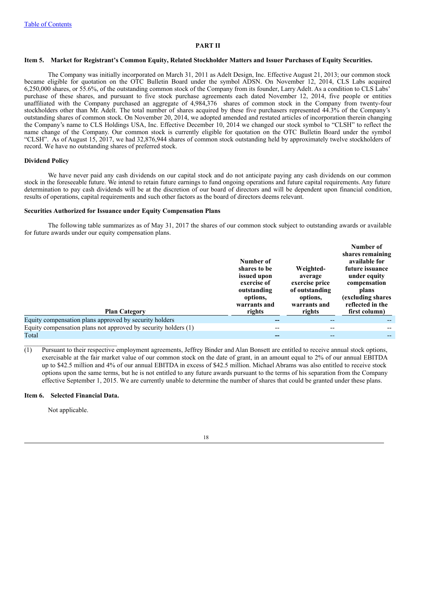## **PART II**

#### Item 5. Market for Registrant's Common Equity, Related Stockholder Matters and Issuer Purchases of Equity Securities.

The Company was initially incorporated on March 31, 2011 as Adelt Design, Inc. Effective August 21, 2013; our common stock became eligible for quotation on the OTC Bulletin Board under the symbol ADSN. On November 12, 2014, CLS Labs acquired 6,250,000 shares, or 55.6%, of the outstanding common stock of the Company from its founder, Larry Adelt. As a condition to CLS Labs' purchase of these shares, and pursuant to five stock purchase agreements each dated November 12, 2014, five people or entities unaffiliated with the Company purchased an aggregate of 4,984,376 shares of common stock in the Company from twenty-four stockholders other than Mr. Adelt. The total number of shares acquired by these five purchasers represented 44.3% of the Company's outstanding shares of common stock. On November 20, 2014, we adopted amended and restated articles of incorporation therein changing the Company's name to CLS Holdings USA, Inc. Effective December 10, 2014 we changed our stock symbol to "CLSH" to reflect the name change of the Company. Our common stock is currently eligible for quotation on the OTC Bulletin Board under the symbol "CLSH". As of August 15, 2017, we had 32,876,944 shares of common stock outstanding held by approximately twelve stockholders of record. We have no outstanding shares of preferred stock.

#### **Dividend Policy**

We have never paid any cash dividends on our capital stock and do not anticipate paying any cash dividends on our common stock in the foreseeable future. We intend to retain future earnings to fund ongoing operations and future capital requirements. Any future determination to pay cash dividends will be at the discretion of our board of directors and will be dependent upon financial condition, results of operations, capital requirements and such other factors as the board of directors deems relevant.

#### **Securities Authorized for Issuance under Equity Compensation Plans**

The following table summarizes as of May 31, 2017 the shares of our common stock subject to outstanding awards or available for future awards under our equity compensation plans.

| <b>Plan Category</b>                                           | Number of<br>shares to be<br>issued upon<br>exercise of<br>outstanding<br>options,<br>warrants and<br>rights | Weighted-<br>average<br>exercise price<br>of outstanding<br>options,<br>warrants and<br>rights | Number of<br>shares remaining<br>available for<br>future issuance<br>under equity<br>compensation<br>plans<br>(excluding shares)<br>reflected in the<br>first column) |
|----------------------------------------------------------------|--------------------------------------------------------------------------------------------------------------|------------------------------------------------------------------------------------------------|-----------------------------------------------------------------------------------------------------------------------------------------------------------------------|
|                                                                |                                                                                                              |                                                                                                |                                                                                                                                                                       |
| Equity compensation plans approved by security holders         | $- -$                                                                                                        | --                                                                                             |                                                                                                                                                                       |
| Equity compensation plans not approved by security holders (1) | --                                                                                                           | --                                                                                             |                                                                                                                                                                       |
| Total                                                          |                                                                                                              | --                                                                                             | $- -$                                                                                                                                                                 |

 $\overline{(1)}$  Pursuant to their respective employment agreements, Jeffrey Binder and Alan Bonsett are entitled to receive annual stock options, exercisable at the fair market value of our common stock on the date of grant, in an amount equal to 2% of our annual EBITDA up to \$42.5 million and 4% of our annual EBITDA in excess of \$42.5 million. Michael Abrams was also entitled to receive stock options upon the same terms, but he is not entitled to any future awards pursuant to the terms of his separation from the Company effective September 1, 2015. We are currently unable to determine the number of shares that could be granted under these plans.

#### **Item 6. Selected Financial Data.**

Not applicable.

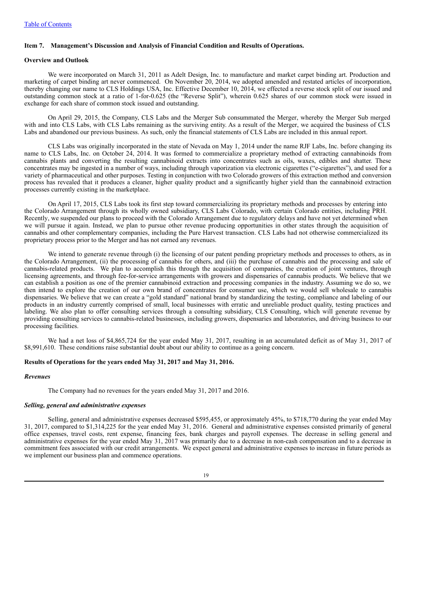#### **Item 7. Management's Discussion and Analysis of Financial Condition and Results of Operations.**

## **Overview and Outlook**

We were incorporated on March 31, 2011 as Adelt Design, Inc. to manufacture and market carpet binding art. Production and marketing of carpet binding art never commenced. On November 20, 2014, we adopted amended and restated articles of incorporation, thereby changing our name to CLS Holdings USA, Inc. Effective December 10, 2014, we effected a reverse stock split of our issued and outstanding common stock at a ratio of 1-for-0.625 (the "Reverse Split"), wherein 0.625 shares of our common stock were issued in exchange for each share of common stock issued and outstanding.

On April 29, 2015, the Company, CLS Labs and the Merger Sub consummated the Merger, whereby the Merger Sub merged with and into CLS Labs, with CLS Labs remaining as the surviving entity. As a result of the Merger, we acquired the business of CLS Labs and abandoned our previous business. As such, only the financial statements of CLS Labs are included in this annual report.

CLS Labs was originally incorporated in the state of Nevada on May 1, 2014 under the name RJF Labs, Inc. before changing its name to CLS Labs, Inc. on October 24, 2014. It was formed to commercialize a proprietary method of extracting cannabinoids from cannabis plants and converting the resulting cannabinoid extracts into concentrates such as oils, waxes, edibles and shatter. These concentrates may be ingested in a number of ways, including through vaporization via electronic cigarettes ("e-cigarettes"), and used for a variety of pharmaceutical and other purposes. Testing in conjunction with two Colorado growers of this extraction method and conversion process has revealed that it produces a cleaner, higher quality product and a significantly higher yield than the cannabinoid extraction processes currently existing in the marketplace.

On April 17, 2015, CLS Labs took its first step toward commercializing its proprietary methods and processes by entering into the Colorado Arrangement through its wholly owned subsidiary, CLS Labs Colorado, with certain Colorado entities, including PRH. Recently, we suspended our plans to proceed with the Colorado Arrangement due to regulatory delays and have not yet determined when we will pursue it again. Instead, we plan to pursue other revenue producing opportunities in other states through the acquisition of cannabis and other complementary companies, including the Pure Harvest transaction. CLS Labs had not otherwise commercialized its proprietary process prior to the Merger and has not earned any revenues.

We intend to generate revenue through (i) the licensing of our patent pending proprietary methods and processes to others, as in the Colorado Arrangement, (ii) the processing of cannabis for others, and (iii) the purchase of cannabis and the processing and sale of cannabis-related products. We plan to accomplish this through the acquisition of companies, the creation of joint ventures, through licensing agreements, and through fee-for-service arrangements with growers and dispensaries of cannabis products. We believe that we can establish a position as one of the premier cannabinoid extraction and processing companies in the industry. Assuming we do so, we then intend to explore the creation of our own brand of concentrates for consumer use, which we would sell wholesale to cannabis dispensaries. We believe that we can create a "gold standard" national brand by standardizing the testing, compliance and labeling of our products in an industry currently comprised of small, local businesses with erratic and unreliable product quality, testing practices and labeling. We also plan to offer consulting services through a consulting subsidiary, CLS Consulting, which will generate revenue by providing consulting services to cannabis-related businesses, including growers, dispensaries and laboratories, and driving business to our processing facilities.

We had a net loss of \$4,865,724 for the year ended May 31, 2017, resulting in an accumulated deficit as of May 31, 2017 of \$8,991,610. These conditions raise substantial doubt about our ability to continue as a going concern.

## **Results of Operations for the years ended May 31, 2017 and May 31, 2016.**

#### *Revenues*

The Company had no revenues for the years ended May 31, 2017 and 2016.

#### *Selling, general and administrative expenses*

Selling, general and administrative expenses decreased \$595,455, or approximately 45%, to \$718,770 during the year ended May 31, 2017, compared to \$1,314,225 for the year ended May 31, 2016. General and administrative expenses consisted primarily of general office expenses, travel costs, rent expense, financing fees, bank charges and payroll expenses. The decrease in selling general and administrative expenses for the year ended May 31, 2017 was primarily due to a decrease in non-cash compensation and to a decrease in commitment fees associated with our credit arrangements. We expect general and administrative expenses to increase in future periods as we implement our business plan and commence operations.

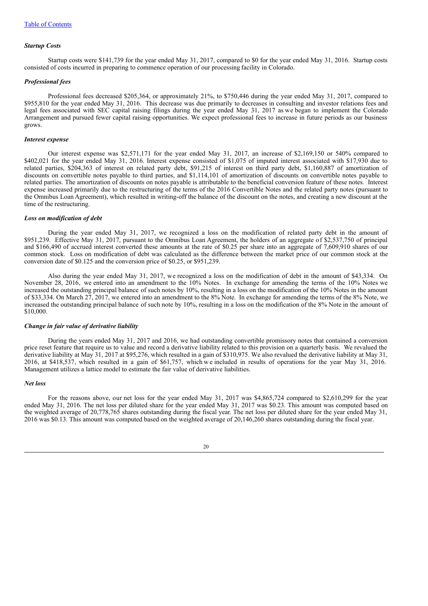#### *Startup Costs*

Startup costs were \$141,739 for the year ended May 31, 2017, compared to \$0 for the year ended May 31, 2016. Startup costs consisted of costs incurred in preparing to commence operation of our processing facility in Colorado.

#### *Professional fees*

Professional fees decreased \$205,364, or approximately 21%, to \$750,446 during the year ended May 31, 2017, compared to \$955,810 for the year ended May 31, 2016. This decrease was due primarily to decreases in consulting and investor relations fees and legal fees associated with SEC capital raising filings during the year ended May 31, 2017 as we began to implement the Colorado Arrangement and pursued fewer capital raising opportunities. We expect professional fees to increase in future periods as our business grows.

## *Interest expense*

Our interest expense was \$2,571,171 for the year ended May 31, 2017, an increase of \$2,169,150 or 540% compared to \$402,021 for the year ended May 31, 2016. Interest expense consisted of \$1,075 of imputed interest associated with \$17,930 due to related parties, \$204,363 of interest on related party debt, \$91,215 of interest on third party debt, \$1,160,887 of amortization of discounts on convertible notes payable to third parties, and \$1,114,101 of amortization of discounts on convertible notes payable to related parties. The amortization of discounts on notes payable is attributable to the beneficial conversion feature of these notes. Interest expense increased primarily due to the restructuring of the terms of the 2016 Convertible Notes and the related party notes (pursuant to the Omnibus Loan Agreement), which resulted in writing-off the balance of the discount on the notes, and creating a new discount at the time of the restructuring.

#### *Loss on modification of debt*

During the year ended May 31, 2017, we recognized a loss on the modification of related party debt in the amount of \$951,239. Effective May 31, 2017, pursuant to the Omnibus Loan Agreement, the holders of an aggregate of \$2,537,750 of principal and \$166,490 of accrued interest converted these amounts at the rate of \$0.25 per share into an aggregate of 7,609,910 shares of our common stock. Loss on modification of debt was calculated as the difference between the market price of our common stock at the conversion date of \$0.125 and the conversion price of \$0.25, or \$951,239.

Also during the year ended May 31, 2017, we recognized a loss on the modification of debt in the amount of \$43,334. On November 28, 2016, we entered into an amendment to the 10% Notes. In exchange for amending the terms of the 10% Notes we increased the outstanding principal balance of such notes by 10%, resulting in a loss on the modification of the 10% Notes in the amount of \$33,334. On March  $27, 2017$ , we entered into an amendment to the 8% Note. In exchange for amending the terms of the 8% Note, we increased the outstanding principal balance of such note by 10%, resulting in a loss on the modification of the 8% Note in the amount of \$10,000.

#### *Change in fair value of derivative liability*

During the years ended May 31, 2017 and 2016, we had outstanding convertible promissory notes that contained a conversion price reset feature that require us to value and record a derivative liability related to this provision on a quarterly basis. We revalued the derivative liability at May 31, 2017 at \$95,276, which resulted in a gain of \$310,975. We also revalued the derivative liability at May 31, 2016, at \$418,537, which resulted in a gain of \$61,757, which we included in results of operations for the year May 31, 2016. Management utilizes a lattice model to estimate the fair value of derivative liabilities.

#### *Net loss*

For the reasons above, our net loss for the year ended May 31, 2017 was \$4,865,724 compared to \$2,610,299 for the year ended May 31, 2016. The net loss per diluted share for the year ended May 31, 2017 was \$0.23. This amount was computed based on the weighted average of 20,778,765 shares outstanding during the fiscal year. The net loss per diluted share for the year ended May 31, 2016 was \$0.13. This amount was computed based on the weighted average of 20,146,260 shares outstanding during the fiscal year.

#### 20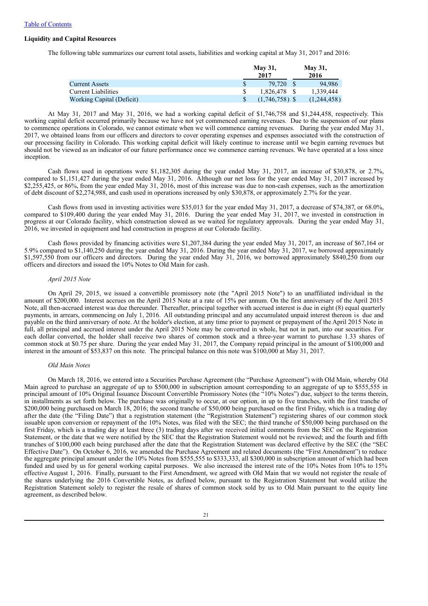## **Liquidity and Capital Resources**

The following table summarizes our current total assets, liabilities and working capital at May 31, 2017 and 2016:

|                            | <b>May 31,</b><br>2017 | <b>May 31,</b><br>2016 |
|----------------------------|------------------------|------------------------|
| <b>Current Assets</b>      | 79.720                 | 94.986                 |
| <b>Current Liabilities</b> | 1.826.478 \$           | 1.339.444              |
| Working Capital (Deficit)  | $(1,746,758)$ \$       | (1,244,458)            |

At May 31, 2017 and May 31, 2016, we had a working capital deficit of \$1,746,758 and \$1,244,458, respectively. This working capital deficit occurred primarily because we have not yet commenced earning revenues. Due to the suspension of our plans to commence operations in Colorado, we cannot estimate when we will commence earning revenues. During the year ended May 31, 2017, we obtained loans from our officers and directors to cover operating expenses and expenses associated with the construction of our processing facility in Colorado. This working capital deficit will likely continue to increase until we begin earning revenues but should not be viewed as an indicator of our future performance once we commence earning revenues. We have operated at a loss since inception.

Cash flows used in operations were \$1,182,305 during the year ended May 31, 2017, an increase of \$30,878, or 2.7%, compared to \$1,151,427 during the year ended May 31, 2016. Although our net loss for the year ended May 31, 2017 increased by \$2,255,425, or 86%, from the year ended May 31, 2016, most of this increase was due to non-cash expenses, such as the amortization of debt discount of \$2,274,988, and cash used in operations increased by only \$30,878, or approximately 2.7% for the year.

Cash flows from used in investing activities were \$35,013 for the year ended May 31, 2017, a decrease of \$74,387, or 68.0%, compared to \$109,400 during the year ended May 31, 2016. During the year ended May 31, 2017, we invested in construction in progress at our Colorado facility, which construction slowed as we waited for regulatory approvals. During the year ended May 31, 2016, we invested in equipment and had construction in progress at our Colorado facility.

Cash flows provided by financing activities were \$1,207,384 during the year ended May 31, 2017, an increase of \$67,164 or 5.9% compared to \$1,140,250 during the year ended May 31, 2016. During the year ended May 31, 2017, we borrowed approximately \$1,597,550 from our officers and directors. During the year ended May 31, 2016, we borrowed approximately \$840,250 from our officers and directors and issued the 10% Notes to Old Main for cash.

#### *April 2015 Note*

On April 29, 2015, we issued a convertible promissory note (the "April 2015 Note") to an unaffiliated individual in the amount of \$200,000. Interest accrues on the April 2015 Note at a rate of 15% per annum. On the first anniversary of the April 2015 Note, all then-accrued interest was due thereunder. Thereafter, principal together with accrued interest is due in eight (8) equal quarterly payments, in arrears, commencing on July 1, 2016. All outstanding principal and any accumulated unpaid interest thereon is due and payable on the third anniversary of note. At the holder's election, at any time prior to payment or prepayment of the April 2015 Note in full, all principal and accrued interest under the April 2015 Note may be converted in whole, but not in part, into our securities. For each dollar converted, the holder shall receive two shares of common stock and a three-year warrant to purchase 1.33 shares of common stock at \$0.75 per share. During the year ended May 31, 2017, the Company repaid principal in the amount of \$100,000 and interest in the amount of \$53,837 on this note. The principal balance on this note was \$100,000 at May 31, 2017.

#### *Old Main Notes*

On March 18, 2016, we entered into a Securities Purchase Agreement (the "Purchase Agreement") with Old Main, whereby Old Main agreed to purchase an aggregate of up to \$500,000 in subscription amount corresponding to an aggregate of up to \$555,555 in principal amount of 10% Original Issuance Discount Convertible Promissory Notes (the "10% Notes") due, subject to the terms therein, in installments as set forth below. The purchase was originally to occur, at our option, in up to five tranches, with the first tranche of \$200,000 being purchased on March 18, 2016; the second tranche of \$50,000 being purchased on the first Friday, which is a trading day after the date (the "Filing Date") that a registration statement (the "Registration Statement") registering shares of our common stock issuable upon conversion or repayment of the 10% Notes, was filed with the SEC; the third tranche of \$50,000 being purchased on the first Friday, which is a trading day at least three (3) trading days after we received initial comments from the SEC on the Registration Statement, or the date that we were notified by the SEC that the Registration Statement would not be reviewed; and the fourth and fifth tranches of \$100,000 each being purchased after the date that the Registration Statement was declared effective by the SEC (the "SEC Effective Date"). On October 6, 2016, we amended the Purchase Agreement and related documents (the "First Amendment") to reduce the aggregate principal amount under the 10% Notes from \$555,555 to \$333,333, all \$300,000 in subscription amount of which had been funded and used by us for general working capital purposes. We also increased the interest rate of the 10% Notes from 10% to 15% effective August 1, 2016. Finally, pursuant to the First Amendment, we agreed with Old Main that we would not register the resale of the shares underlying the 2016 Convertible Notes, as defined below, pursuant to the Registration Statement but would utilize the Registration Statement solely to register the resale of shares of common stock sold by us to Old Main pursuant to the equity line agreement, as described below.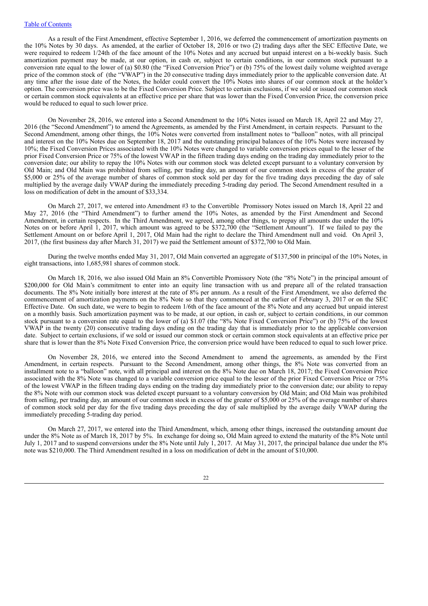As a result of the First Amendment, effective September 1, 2016, we deferred the commencement of amortization payments on the 10% Notes by 30 days. As amended, at the earlier of October 18, 2016 or two (2) trading days after the SEC Effective Date, we were required to redeem 1/24th of the face amount of the 10% Notes and any accrued but unpaid interest on a bi-weekly basis. Such amortization payment may be made, at our option, in cash or, subject to certain conditions, in our common stock pursuant to a conversion rate equal to the lower of (a) \$0.80 (the "Fixed Conversion Price") or (b) 75% of the lowest daily volume weighted average price of the common stock of (the "VWAP") in the 20 consecutive trading days immediately prior to the applicable conversion date. At any time after the issue date of the Notes, the holder could convert the 10% Notes into shares of our common stock at the holder's option. The conversion price was to be the Fixed Conversion Price. Subject to certain exclusions, if we sold or issued our common stock or certain common stock equivalents at an effective price per share that was lower than the Fixed Conversion Price, the conversion price would be reduced to equal to such lower price.

On November 28, 2016, we entered into a Second Amendment to the 10% Notes issued on March 18, April 22 and May 27, 2016 (the "Second Amendment") to amend the Agreements, as amended by the First Amendment, in certain respects. Pursuant to the Second Amendment, among other things, the 10% Notes were converted from installment notes to "balloon" notes, with all principal and interest on the 10% Notes due on September 18, 2017 and the outstanding principal balances of the 10% Notes were increased by 10%; the Fixed Conversion Prices associated with the 10% Notes were changed to variable conversion prices equal to the lesser of the prior Fixed Conversion Price or 75% of the lowest VWAP in the fifteen trading days ending on the trading day immediately prior to the conversion date; our ability to repay the 10% Notes with our common stock was deleted except pursuant to a voluntary conversion by Old Main; and Old Main was prohibited from selling, per trading day, an amount of our common stock in excess of the greater of \$5,000 or 25% of the average number of shares of common stock sold per day for the five trading days preceding the day of sale multiplied by the average daily VWAP during the immediately preceding 5-trading day period. The Second Amendment resulted in a loss on modification of debt in the amount of \$33,334.

On March 27, 2017, we entered into Amendment #3 to the Convertible Promissory Notes issued on March 18, April 22 and May 27, 2016 (the "Third Amendment") to further amend the 10% Notes, as amended by the First Amendment and Second Amendment, in certain respects. In the Third Amendment, we agreed, among other things, to prepay all amounts due under the 10% Notes on or before April 1, 2017, which amount was agreed to be \$372,700 (the "Settlement Amount"). If we failed to pay the Settlement Amount on or before April 1, 2017, Old Main had the right to declare the Third Amendment null and void. On April 3, 2017, (the first business day after March 31, 2017) we paid the Settlement amount of \$372,700 to Old Main.

During the twelve months ended May 31, 2017, Old Main converted an aggregate of \$137,500 in principal of the 10% Notes, in eight transactions, into 1,685,981 shares of common stock.

On March 18, 2016, we also issued Old Main an 8% Convertible Promissory Note (the "8% Note") in the principal amount of \$200,000 for Old Main's commitment to enter into an equity line transaction with us and prepare all of the related transaction documents. The 8% Note initially bore interest at the rate of 8% per annum. As a result of the First Amendment, we also deferred the commencement of amortization payments on the 8% Note so that they commenced at the earlier of February 3, 2017 or on the SEC Effective Date. On such date, we were to begin to redeem 1/6th of the face amount of the 8% Note and any accrued but unpaid interest on a monthly basis. Such amortization payment was to be made, at our option, in cash or, subject to certain conditions, in our common stock pursuant to a conversion rate equal to the lower of (a) \$1.07 (the "8% Note Fixed Conversion Price") or (b) 75% of the lowest VWAP in the twenty (20) consecutive trading days ending on the trading day that is immediately prior to the applicable conversion date. Subject to certain exclusions, if we sold or issued our common stock or certain common stock equivalents at an effective price per share that is lower than the 8% Note Fixed Conversion Price, the conversion price would have been reduced to equal to such lower price.

On November 28, 2016, we entered into the Second Amendment to amend the agreements, as amended by the First Amendment, in certain respects. Pursuant to the Second Amendment, among other things, the 8% Note was converted from an installment note to a "balloon" note, with all principal and interest on the 8% Note due on March 18, 2017; the Fixed Conversion Price associated with the 8% Note was changed to a variable conversion price equal to the lesser of the prior Fixed Conversion Price or 75% of the lowest VWAP in the fifteen trading days ending on the trading day immediately prior to the conversion date; our ability to repay the 8% Note with our common stock was deleted except pursuant to a voluntary conversion by Old Main; and Old Main was prohibited from selling, per trading day, an amount of our common stock in excess of the greater of \$5,000 or 25% of the average number of shares of common stock sold per day for the five trading days preceding the day of sale multiplied by the average daily VWAP during the immediately preceding 5-trading day period.

On March 27, 2017, we entered into the Third Amendment, which, among other things, increased the outstanding amount due under the 8% Note as of March 18, 2017 by 5%. In exchange for doing so, Old Main agreed to extend the maturity of the 8% Note until July 1, 2017 and to suspend conversions under the 8% Note until July 1, 2017. At May 31, 2017, the principal balance due under the 8% note was \$210,000. The Third Amendment resulted in a loss on modification of debt in the amount of \$10,000.

 $22$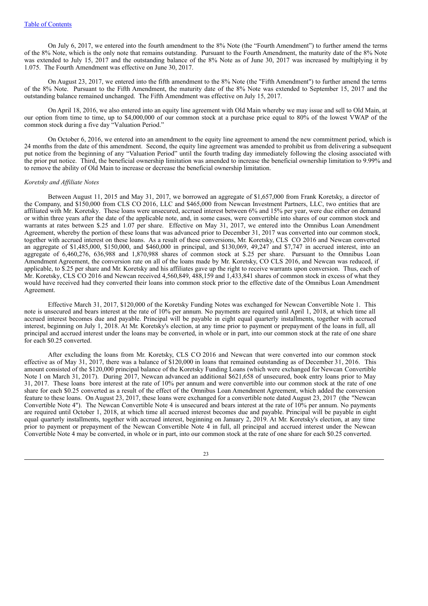On July 6, 2017, we entered into the fourth amendment to the 8% Note (the "Fourth Amendment") to further amend the terms of the 8% Note, which is the only note that remains outstanding. Pursuant to the Fourth Amendment, the maturity date of the 8% Note was extended to July 15, 2017 and the outstanding balance of the 8% Note as of June 30, 2017 was increased by multiplying it by 1.075. The Fourth Amendment was effective on June 30, 2017.

On August 23, 2017, we entered into the fifth amendment to the 8% Note (the "Fifth Amendment") to further amend the terms of the 8% Note. Pursuant to the Fifth Amendment, the maturity date of the 8% Note was extended to September 15, 2017 and the outstanding balance remained unchanged. The Fifth Amendment was effective on July 15, 2017.

On April 18, 2016, we also entered into an equity line agreement with Old Main whereby we may issue and sell to Old Main, at our option from time to time, up to \$4,000,000 of our common stock at a purchase price equal to 80% of the lowest VWAP of the common stock during a five day "Valuation Period."

On October 6, 2016, we entered into an amendment to the equity line agreement to amend the new commitment period, which is 24 months from the date of this amendment. Second, the equity line agreement was amended to prohibit us from delivering a subsequent put notice from the beginning of any "Valuation Period" until the fourth trading day immediately following the closing associated with the prior put notice. Third, the beneficial ownership limitation was amended to increase the beneficial ownership limitation to 9.99% and to remove the ability of Old Main to increase or decrease the beneficial ownership limitation.

#### *Koretsky and Af iliate Notes*

Between August 11, 2015 and May 31, 2017, we borrowed an aggregate of \$1,657,000 from Frank Koretsky, a director of the Company, and \$150,000 from CLS CO 2016, LLC and \$465,000 from Newcan Investment Partners, LLC, two entities that are affiliated with Mr. Koretsky. These loans were unsecured, accrued interest between 6% and 15% per year, were due either on demand or within three years after the date of the applicable note, and, in some cases, were convertible into shares of our common stock and warrants at rates between \$.25 and 1.07 per share. Effective on May 31, 2017, we entered into the Omnibus Loan Amendment Agreement, whereby the portion of these loans that was advanced prior to December 31, 2017 was converted into our common stock, together with accrued interest on these loans. As a result of these conversions, Mr. Koretsky, CLS CO 2016 and Newcan converted an aggregate of \$1,485,000, \$150,000, and \$460,000 in principal, and \$130,069, 49,247 and \$7,747 in accrued interest, into an aggregate of 6,460,276, 636,988 and 1,870,988 shares of common stock at \$.25 per share. Pursuant to the Omnibus Loan Amendment Agreement, the conversion rate on all of the loans made by Mr. Koretsky, CO CLS 2016, and Newcan was reduced, if applicable, to \$.25 per share and Mr. Koretsky and his affiliates gave up the right to receive warrants upon conversion. Thus, each of Mr. Koretsky, CLS CO 2016 and Newcan received 4,560,849, 488,159 and 1,433,841 shares of common stock in excess of what they would have received had they converted their loans into common stock prior to the effective date of the Omnibus Loan Amendment Agreement.

Effective March 31, 2017, \$120,000 of the Koretsky Funding Notes was exchanged for Newcan Convertible Note 1. This note is unsecured and bears interest at the rate of 10% per annum. No payments are required until April 1, 2018, at which time all accrued interest becomes due and payable. Principal will be payable in eight equal quarterly installments, together with accrued interest, beginning on July 1, 2018. At Mr. Koretsky's election, at any time prior to payment or prepayment of the loans in full, all principal and accrued interest under the loans may be converted, in whole or in part, into our common stock at the rate of one share for each \$0.25 converted.

After excluding the loans from Mr. Koretsky, CLS CO 2016 and Newcan that were converted into our common stock effective as of May 31, 2017, there was a balance of \$120,000 in loans that remained outstanding as of December 31, 2016. This amount consisted of the \$120,000 principal balance of the Koretsky Funding Loans (which were exchanged for Newcan Convertible Note 1 on March 31, 2017). During 2017, Newcan advanced an additional \$621,658 of unsecured, book entry loans prior to May 31, 2017. These loans bore interest at the rate of 10% per annum and were convertible into our common stock at the rate of one share for each \$0.25 converted as a result of the effect of the Omnibus Loan Amendment Agreement, which added the conversion feature to these loans. On August 23, 2017, these loans were exchanged for a convertible note dated August 23, 2017 (the "Newcan Convertible Note 4"). The Newcan Convertible Note 4 is unsecured and bears interest at the rate of 10% per annum. No payments are required until October 1, 2018, at which time all accrued interest becomes due and payable. Principal will be payable in eight equal quarterly installments, together with accrued interest, beginning on January 2, 2019. At Mr. Koretsky's election, at any time prior to payment or prepayment of the Newcan Convertible Note 4 in full, all principal and accrued interest under the Newcan Convertible Note 4 may be converted, in whole or in part, into our common stock at the rate of one share for each \$0.25 converted.

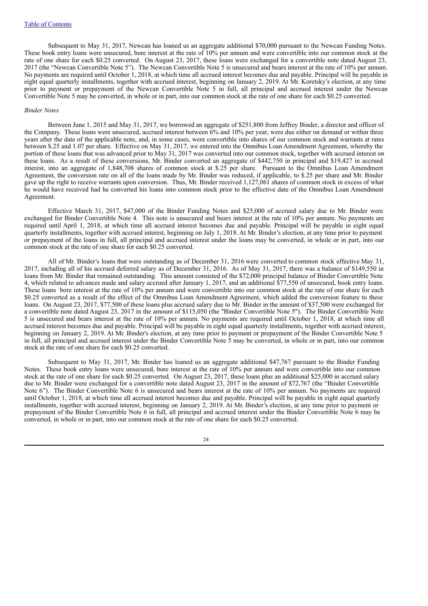Subsequent to May 31, 2017, Newcan has loaned us an aggregate additional \$70,000 pursuant to the Newcan Funding Notes. These book entry loans were unsecured, bore interest at the rate of 10% per annum and were convertible into our common stock at the rate of one share for each \$0.25 converted. On August 23, 2017, these loans were exchanged for a convertible note dated August 23, 2017 (the "Newcan Convertible Note 5"). The Newcan Convertible Note 5 is unsecured and bears interest at the rate of 10% per annum. No payments are required until October 1, 2018, at which time all accrued interest becomes due and payable. Principal will be payable in eight equal quarterly installments, together with accrued interest, beginning on January 2, 2019. At Mr. Koretsky's election, at any time prior to payment or prepayment of the Newcan Convertible Note 5 in full, all principal and accrued interest under the Newcan Convertible Note 5 may be converted, in whole or in part, into our common stock at the rate of one share for each \$0.25 converted.

#### *Binder Notes*

Between June 1, 2015 and May 31, 2017, we borrowed an aggregate of \$251,800 from Jeffrey Binder, a director and officer of the Company. These loans were unsecured, accrued interest between 6% and 10% per year, were due either on demand or within three years after the date of the applicable note, and, in some cases, were convertible into shares of our common stock and warrants at rates between \$.25 and 1.07 per share. Effective on May 31, 2017, we entered into the Omnibus Loan Amendment Agreement, whereby the portion of these loans that was advanced prior to May 31, 2017 was converted into our common stock, together with accrued interest on these loans. As a result of these conversions, Mr. Binder converted an aggregate of \$442,750 in principal and \$19,427 in accrued interest, into an aggregate of 1,848,708 shares of common stock at \$.25 per share. Pursuant to the Omnibus Loan Amendment Agreement, the conversion rate on all of the loans made by Mr. Binder was reduced, if applicable, to \$.25 per share and Mr. Binder gave up the right to receive warrants upon conversion. Thus, Mr. Binder received 1,127,061 shares of common stock in excess of what he would have received had he converted his loans into common stock prior to the effective date of the Omnibus Loan Amendment Agreement.

Effective March 31, 2017, \$47,000 of the Binder Funding Notes and \$25,000 of accrued salary due to Mr. Binder were exchanged for Binder Convertible Note 4. This note is unsecured and bears interest at the rate of 10% per annum. No payments are required until April 1, 2018, at which time all accrued interest becomes due and payable. Principal will be payable in eight equal quarterly installments, together with accrued interest, beginning on July 1, 2018. At Mr. Binder's election, at any time prior to payment or prepayment of the loans in full, all principal and accrued interest under the loans may be converted, in whole or in part, into our common stock at the rate of one share for each \$0.25 converted.

All of Mr. Binder's loans that were outstanding as of December 31, 2016 were converted to common stock effective May 31, 2017, including all of his accrued deferred salary as of December 31, 2016. As of May 31, 2017, there was a balance of \$149,550 in loans from Mr. Binder that remained outstanding. This amount consisted of the \$72,000 principal balance of Binder Convertible Note 4, which related to advances made and salary accrued after January 1, 2017, and an additional \$77,550 of unsecured, book entry loans. These loans bore interest at the rate of 10% per annum and were convertible into our common stock at the rate of one share for each \$0.25 converted as a result of the effect of the Omnibus Loan Amendment Agreement, which added the conversion feature to these loans. On August 23, 2017, \$77,500 of these loans plus accrued salary due to Mr. Binder in the amount of \$37,500 were exchanged for a convertible note dated August 23, 2017 in the amount of \$115,050 (the "Binder Convertible Note 5"). The Binder Convertible Note 5 is unsecured and bears interest at the rate of 10% per annum. No payments are required until October 1, 2018, at which time all accrued interest becomes due and payable. Principal will be payable in eight equal quarterly installments, together with accrued interest, beginning on January 2, 2019. At Mr. Binder's election, at any time prior to payment or prepayment of the Binder Convertible Note 5 in full, all principal and accrued interest under the Binder Convertible Note 5 may be converted, in whole or in part, into our common stock at the rate of one share for each \$0.25 converted.

Subsequent to May 31, 2017, Mr. Binder has loaned us an aggregate additional \$47,767 pursuant to the Binder Funding Notes. These book entry loans were unsecured, bore interest at the rate of 10% per annum and were convertible into our common stock at the rate of one share for each \$0.25 converted. On August 23, 2017, these loans plus an additional \$25,000 in accrued salary due to Mr. Binder were exchanged for a convertible note dated August 23, 2017 in the amount of \$72,767 (the "Binder Convertible Note 6"). The Binder Convertible Note 6 is unsecured and bears interest at the rate of 10% per annum. No payments are required until October 1, 2018, at which time all accrued interest becomes due and payable. Principal will be payable in eight equal quarterly installments, together with accrued interest, beginning on January 2, 2019. At Mr. Binder's election, at any time prior to payment or prepayment of the Binder Convertible Note 6 in full, all principal and accrued interest under the Binder Convertible Note 6 may be converted, in whole or in part, into our common stock at the rate of one share for each \$0.25 converted.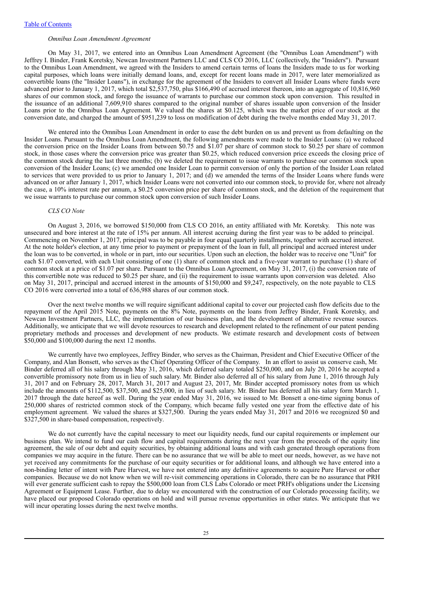#### Table of Contents

## *Omnibus Loan Amendment Agreement*

On May 31, 2017, we entered into an Omnibus Loan Amendment Agreement (the "Omnibus Loan Amendment") with Jeffrey I. Binder, Frank Koretsky, Newcan Investment Partners LLC and CLS CO 2016, LLC (collectively, the "Insiders"). Pursuant to the Omnibus Loan Amendment, we agreed with the Insiders to amend certain terms of loans the Insiders made to us for working capital purposes, which loans were initially demand loans, and, except for recent loans made in 2017, were later memorialized as convertible loans (the "Insider Loans"), in exchange for the agreement of the Insiders to convert all Insider Loans where funds were advanced prior to January 1, 2017, which total \$2,537,750, plus \$166,490 of accrued interest thereon, into an aggregate of 10,816,960 shares of our common stock, and forego the issuance of warrants to purchase our common stock upon conversion. This resulted in the issuance of an additional 7,609,910 shares compared to the original number of shares issuable upon conversion of the Insider Loans prior to the Omnibus Loan Agreement. We valued the shares at \$0.125, which was the market price of our stock at the conversion date, and charged the amount of \$951,239 to loss on modification of debt during the twelve months ended May 31, 2017.

We entered into the Omnibus Loan Amendment in order to ease the debt burden on us and prevent us from defaulting on the Insider Loans. Pursuant to the Omnibus Loan Amendment, the following amendments were made to the Insider Loans: (a) we reduced the conversion price on the Insider Loans from between \$0.75 and \$1.07 per share of common stock to \$0.25 per share of common stock, in those cases where the conversion price was greater than \$0.25, which reduced conversion price exceeds the closing price of the common stock during the last three months; (b) we deleted the requirement to issue warrants to purchase our common stock upon conversion of the Insider Loans; (c) we amended one Insider Loan to permit conversion of only the portion of the Insider Loan related to services that were provided to us prior to January 1, 2017; and (d) we amended the terms of the Insider Loans where funds were advanced on or after January 1, 2017, which Insider Loans were not converted into our common stock, to provide for, where not already the case, a 10% interest rate per annum, a \$0.25 conversion price per share of common stock, and the deletion of the requirement that we issue warrants to purchase our common stock upon conversion of such Insider Loans.

## *CLS CO Note*

On August 3, 2016, we borrowed \$150,000 from CLS CO 2016, an entity affiliated with Mr. Koretsky. This note was unsecured and bore interest at the rate of 15% per annum. All interest accruing during the first year was to be added to principal. Commencing on November 1, 2017, principal was to be payable in four equal quarterly installments, together with accrued interest. At the note holder's election, at any time prior to payment or prepayment of the loan in full, all principal and accrued interest under the loan was to be converted, in whole or in part, into our securities. Upon such an election, the holder was to receive one "Unit" for each \$1.07 converted, with each Unit consisting of one (1) share of common stock and a five-year warrant to purchase (1) share of common stock at a price of \$1.07 per share. Pursuant to the Omnibus Loan Agreement, on May 31, 2017, (i) the conversion rate of this convertible note was reduced to \$0.25 per share, and (ii) the requirement to issue warrants upon conversion was deleted. Also on May 31, 2017, principal and accrued interest in the amounts of \$150,000 and \$9,247, respectively, on the note payable to CLS CO 2016 were converted into a total of 636,988 shares of our common stock.

Over the next twelve months we will require significant additional capital to cover our projected cash flow deficits due to the repayment of the April 2015 Note, payments on the 8% Note, payments on the loans from Jeffrey Binder, Frank Koretsky, and Newcan Investment Partners, LLC, the implementation of our business plan, and the development of alternative revenue sources. Additionally, we anticipate that we will devote resources to research and development related to the refinement of our patent pending proprietary methods and processes and development of new products. We estimate research and development costs of between \$50,000 and \$100,000 during the next 12 months.

We currently have two employees, Jeffrey Binder, who serves as the Chairman, President and Chief Executive Officer of the Company, and Alan Bonsett, who serves as the Chief Operating Officer of the Company. In an effort to assist us conserve cash, Mr. Binder deferred all of his salary through May 31, 2016, which deferred salary totaled \$250,000, and on July 20, 2016 he accepted a convertible promissory note from us in lieu of such salary. Mr. Binder also deferred all of his salary from June 1, 2016 through July 31, 2017 and on February 28, 2017, March 31, 2017 and August 23, 2017, Mr. Binder accepted promissory notes from us which include the amounts of \$112,500, \$37,500, and \$25,000, in lieu of such salary. Mr. Binder has deferred all his salary form March 1, 2017 through the date hereof as well. During the year ended May 31, 2016, we issued to Mr. Bonsett a one-time signing bonus of 250,000 shares of restricted common stock of the Company, which became fully vested one year from the effective date of his employment agreement. We valued the shares at \$327,500. During the years ended May 31, 2017 and 2016 we recognized \$0 and \$327,500 in share-based compensation, respectively.

We do not currently have the capital necessary to meet our liquidity needs, fund our capital requirements or implement our business plan. We intend to fund our cash flow and capital requirements during the next year from the proceeds of the equity line agreement, the sale of our debt and equity securities, by obtaining additional loans and with cash generated through operations from companies we may acquire in the future. There can be no assurance that we will be able to meet our needs, however, as we have not yet received any commitments for the purchase of our equity securities or for additional loans, and although we have entered into a non-binding letter of intent with Pure Harvest, we have not entered into any definitive agreements to acquire Pure Harvest or other companies. Because we do not know when we will re-visit commencing operations in Colorado, there can be no assurance that PRH will ever generate sufficient cash to repay the \$500,000 loan from CLS Labs Colorado or meet PRH's obligations under the Licensing Agreement or Equipment Lease. Further, due to delay we encountered with the construction of our Colorado processing facility, we have placed our proposed Colorado operations on hold and will pursue revenue opportunities in other states. We anticipate that we will incur operating losses during the next twelve months.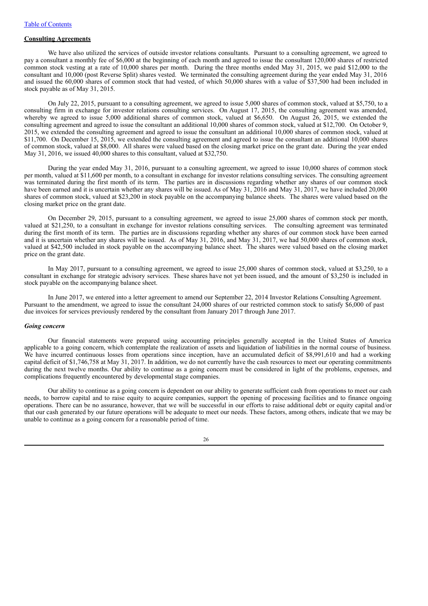## **Consulting Agreements**

We have also utilized the services of outside investor relations consultants. Pursuant to a consulting agreement, we agreed to pay a consultant a monthly fee of \$6,000 at the beginning of each month and agreed to issue the consultant 120,000 shares of restricted common stock vesting at a rate of 10,000 shares per month. During the three months ended May 31, 2015, we paid \$12,000 to the consultant and 10,000 (post Reverse Split) shares vested. We terminated the consulting agreement during the year ended May 31, 2016 and issued the 60,000 shares of common stock that had vested, of which 50,000 shares with a value of \$37,500 had been included in stock payable as of May 31, 2015.

On July 22, 2015, pursuant to a consulting agreement, we agreed to issue 5,000 shares of common stock, valued at \$5,750, to a consulting firm in exchange for investor relations consulting services. On August 17, 2015, the consulting agreement was amended, whereby we agreed to issue 5,000 additional shares of common stock, valued at  $$6,650$ . On August  $26$ , 2015, we extended the consulting agreement and agreed to issue the consultant an additional 10,000 shares of common stock, valued at \$12,700. On October 9, 2015, we extended the consulting agreement and agreed to issue the consultant an additional 10,000 shares of common stock, valued at \$11,700. On December 15, 2015, we extended the consulting agreement and agreed to issue the consultant an additional 10,000 shares of common stock, valued at \$8,000. All shares were valued based on the closing market price on the grant date. During the year ended May 31, 2016, we issued 40,000 shares to this consultant, valued at \$32,750.

During the year ended May 31, 2016, pursuant to a consulting agreement, we agreed to issue 10,000 shares of common stock per month, valued at \$11,600 per month, to a consultant in exchange for investor relations consulting services. The consulting agreement was terminated during the first month of its term. The parties are in discussions regarding whether any shares of our common stock have been earned and it is uncertain whether any shares will be issued. As of May 31, 2016 and May 31, 2017, we have included 20,000 shares of common stock, valued at \$23,200 in stock payable on the accompanying balance sheets. The shares were valued based on the closing market price on the grant date.

On December 29, 2015, pursuant to a consulting agreement, we agreed to issue 25,000 shares of common stock per month, valued at \$21,250, to a consultant in exchange for investor relations consulting services. The consulting agreement was terminated during the first month of its term. The parties are in discussions regarding whether any shares of our common stock have been earned and it is uncertain whether any shares will be issued. As of May 31, 2016, and May 31, 2017, we had 50,000 shares of common stock, valued at \$42,500 included in stock payable on the accompanying balance sheet. The shares were valued based on the closing market price on the grant date.

In May 2017, pursuant to a consulting agreement, we agreed to issue 25,000 shares of common stock, valued at \$3,250, to a consultant in exchange for strategic advisory services. These shares have not yet been issued, and the amount of \$3,250 is included in stock payable on the accompanying balance sheet.

In June 2017, we entered into a letter agreement to amend our September 22, 2014 Investor Relations Consulting Agreement. Pursuant to the amendment, we agreed to issue the consultant 24,000 shares of our restricted common stock to satisfy \$6,000 of past due invoices for services previously rendered by the consultant from January 2017 through June 2017.

#### *Going concern*

Our financial statements were prepared using accounting principles generally accepted in the United States of America applicable to a going concern, which contemplate the realization of assets and liquidation of liabilities in the normal course of business. We have incurred continuous losses from operations since inception, have an accumulated deficit of \$8,991,610 and had a working capital deficit of \$1,746,758 at May 31, 2017. In addition, we do not currently have the cash resources to meet our operating commitments during the next twelve months. Our ability to continue as a going concern must be considered in light of the problems, expenses, and complications frequently encountered by developmental stage companies.

Our ability to continue as a going concern is dependent on our ability to generate sufficient cash from operations to meet our cash needs, to borrow capital and to raise equity to acquire companies, support the opening of processing facilities and to finance ongoing operations. There can be no assurance, however, that we will be successful in our efforts to raise additional debt or equity capital and/or that our cash generated by our future operations will be adequate to meet our needs. These factors, among others, indicate that we may be unable to continue as a going concern for a reasonable period of time.

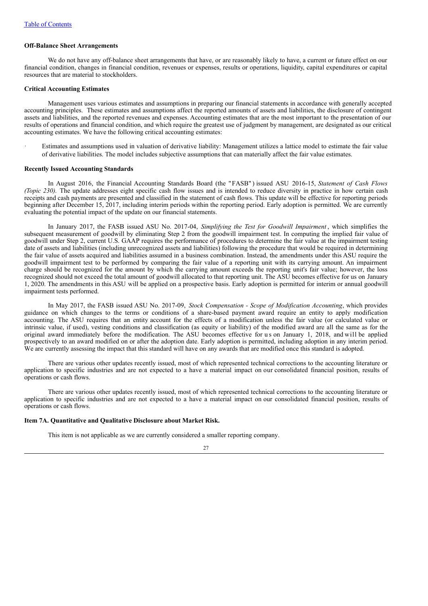## **Off-Balance Sheet Arrangements**

We do not have any off-balance sheet arrangements that have, or are reasonably likely to have, a current or future effect on our financial condition, changes in financial condition, revenues or expenses, results or operations, liquidity, capital expenditures or capital resources that are material to stockholders.

#### **Critical Accounting Estimates**

Management uses various estimates and assumptions in preparing our financial statements in accordance with generally accepted accounting principles. These estimates and assumptions affect the reported amounts of assets and liabilities, the disclosure of contingent assets and liabilities, and the reported revenues and expenses. Accounting estimates that are the most important to the presentation of our results of operations and financial condition, and which require the greatest use of judgment by management, are designated as our critical accounting estimates. We have the following critical accounting estimates:

Estimates and assumptions used in valuation of derivative liability: Management utilizes a lattice model to estimate the fair value of derivative liabilities. The model includes subjective assumptions that can materially affect the fair value estimates.

#### **Recently Issued Accounting Standards**

In August 2016, the Financial Accounting Standards Board (the "FASB" ) issued ASU 2016-15, *Statement of Cash Flows (Topic 230)*. The update addresses eight specific cash flow issues and is intended to reduce diversity in practice in how certain cash receipts and cash payments are presented and classified in the statement of cash flows. This update will be effective for reporting periods beginning after December 15, 2017, including interim periods within the reporting period. Early adoption is permitted. We are currently evaluating the potential impact of the update on our financial statements.

In January 2017, the FASB issued ASU No. 2017-04, *Simplifying the Test for Goodwill Impairment* , which simplifies the subsequent measurement of goodwill by eliminating Step 2 from the goodwill impairment test. In computing the implied fair value of goodwill under Step 2, current U.S. GAAP requires the performance of procedures to determine the fair value at the impairment testing date of assets and liabilities (including unrecognized assets and liabilities) following the procedure that would be required in determining the fair value of assets acquired and liabilities assumed in a business combination. Instead, the amendments under this ASU require the goodwill impairment test to be performed by comparing the fair value of a reporting unit with its carrying amount. An impairment charge should be recognized for the amount by which the carrying amount exceeds the reporting unit's fair value; however, the loss recognized should not exceed the total amount of goodwill allocated to that reporting unit. The ASU becomes effective for us on January 1, 2020. The amendments in this ASU will be applied on a prospective basis. Early adoption is permitted for interim or annual goodwill impairment tests performed.

In May 2017, the FASB issued ASU No. 2017-09, *Stock Compensation - Scope of Modification Accounting*, which provides guidance on which changes to the terms or conditions of a share-based payment award require an entity to apply modification accounting. The ASU requires that an entity account for the effects of a modification unless the fair value (or calculated value or intrinsic value, if used), vesting conditions and classification (as equity or liability) of the modified award are all the same as for the original award immediately before the modification. The ASU becomes effective for us on January 1, 2018, and will be applied prospectively to an award modified on or after the adoption date. Early adoption is permitted, including adoption in any interim period. We are currently assessing the impact that this standard will have on any awards that are modified once this standard is adopted.

There are various other updates recently issued, most of which represented technical corrections to the accounting literature or application to specific industries and are not expected to a have a material impact on our consolidated financial position, results of operations or cash flows.

There are various other updates recently issued, most of which represented technical corrections to the accounting literature or application to specific industries and are not expected to a have a material impact on our consolidated financial position, results of operations or cash flows.

## **Item 7A. Quantitative and Qualitative Disclosure about Market Risk.**

This item is not applicable as we are currently considered a smaller reporting company.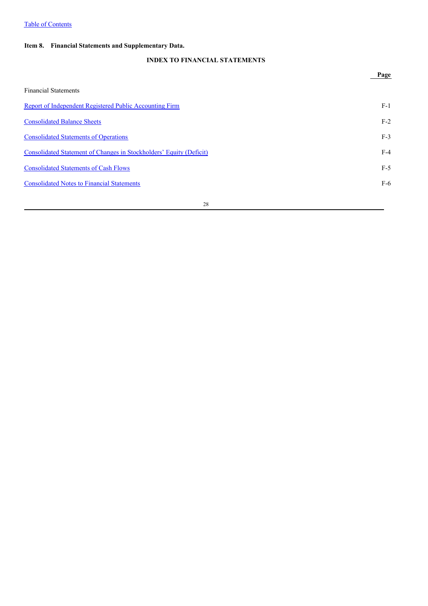## **Item 8. Financial Statements and Supplementary Data.**

## **INDEX TO FINANCIAL STATEMENTS**

|                                                                            | Page  |
|----------------------------------------------------------------------------|-------|
| <b>Financial Statements</b>                                                |       |
| Report of Independent Registered Public Accounting Firm                    | $F-1$ |
| <b>Consolidated Balance Sheets</b>                                         | $F-2$ |
| <b>Consolidated Statements of Operations</b>                               | $F-3$ |
| <b>Consolidated Statement of Changes in Stockholders' Equity (Deficit)</b> | $F-4$ |
| <b>Consolidated Statements of Cash Flows</b>                               | $F-5$ |
| <b>Consolidated Notes to Financial Statements</b>                          | $F-6$ |
|                                                                            |       |

28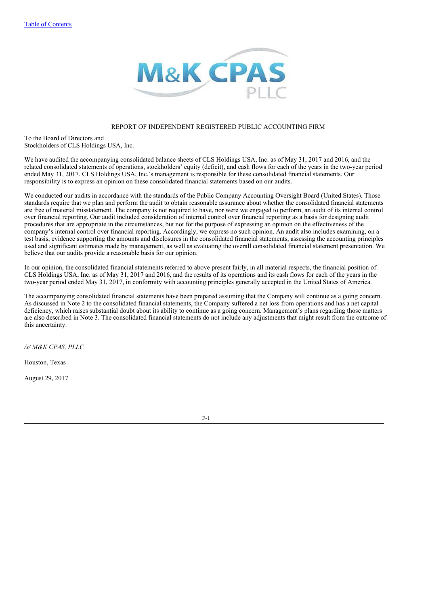

## REPORT OF INDEPENDENT REGISTERED PUBLIC ACCOUNTING FIRM

To the Board of Directors and Stockholders of CLS Holdings USA, Inc.

We have audited the accompanying consolidated balance sheets of CLS Holdings USA, Inc. as of May 31, 2017 and 2016, and the related consolidated statements of operations, stockholders' equity (deficit), and cash flows for each of the years in the two-year period ended May 31, 2017. CLS Holdings USA, Inc.'s management is responsible for these consolidated financial statements. Our responsibility is to express an opinion on these consolidated financial statements based on our audits.

We conducted our audits in accordance with the standards of the Public Company Accounting Oversight Board (United States). Those standards require that we plan and perform the audit to obtain reasonable assurance about whether the consolidated financial statements are free of material misstatement. The company is not required to have, nor were we engaged to perform, an audit of its internal control over financial reporting. Our audit included consideration of internal control over financial reporting as a basis for designing audit procedures that are appropriate in the circumstances, but not for the purpose of expressing an opinion on the effectiveness of the company's internal control over financial reporting. Accordingly, we express no such opinion. An audit also includes examining, on a test basis, evidence supporting the amounts and disclosures in the consolidated financial statements, assessing the accounting principles used and significant estimates made by management, as well as evaluating the overall consolidated financial statement presentation. We believe that our audits provide a reasonable basis for our opinion.

In our opinion, the consolidated financial statements referred to above present fairly, in all material respects, the financial position of CLS Holdings USA, Inc. as of May 31, 2017 and 2016, and the results of its operations and its cash flows for each of the years in the two-year period ended May 31, 2017, in conformity with accounting principles generally accepted in the United States of America.

The accompanying consolidated financial statements have been prepared assuming that the Company will continue as a going concern. As discussed in Note 2 to the consolidated financial statements, the Company suffered a net loss from operations and has a net capital deficiency, which raises substantial doubt about its ability to continue as a going concern. Management's plans regarding those matters are also described in Note 3. The consolidated financial statements do not include any adjustments that might result from the outcome of this uncertainty.

*/s/ M&K CPAS, PLLC*

Houston, Texas

August 29, 2017

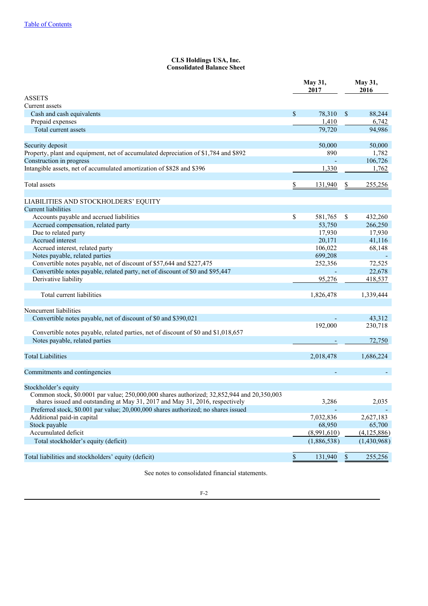## **CLS Holdings USA, Inc. Consolidated Balance Sheet**

|                                                                                                                                                                            |    | May 31,<br>2017 |               | May 31,<br>2016 |  |
|----------------------------------------------------------------------------------------------------------------------------------------------------------------------------|----|-----------------|---------------|-----------------|--|
| <b>ASSETS</b>                                                                                                                                                              |    |                 |               |                 |  |
| Current assets                                                                                                                                                             |    |                 |               |                 |  |
| Cash and cash equivalents                                                                                                                                                  | \$ | 78,310          | <sup>\$</sup> | 88,244          |  |
| Prepaid expenses                                                                                                                                                           |    | 1,410           |               | 6,742           |  |
| Total current assets                                                                                                                                                       |    | 79,720          |               | 94,986          |  |
| Security deposit                                                                                                                                                           |    | 50,000          |               | 50,000          |  |
| Property, plant and equipment, net of accumulated depreciation of \$1,784 and \$892                                                                                        |    | 890             |               | 1,782           |  |
| Construction in progress                                                                                                                                                   |    |                 |               | 106,726         |  |
| Intangible assets, net of accumulated amortization of \$828 and \$396                                                                                                      |    | 1,330           |               | 1,762           |  |
| Total assets                                                                                                                                                               | \$ | 131,940         | $\frac{S}{2}$ | 255,256         |  |
| LIABILITIES AND STOCKHOLDERS' EQUITY                                                                                                                                       |    |                 |               |                 |  |
| Current liabilities                                                                                                                                                        |    |                 |               |                 |  |
| Accounts payable and accrued liabilities                                                                                                                                   | \$ | 581,765         | -\$           | 432,260         |  |
| Accrued compensation, related party                                                                                                                                        |    | 53,750          |               | 266,250         |  |
| Due to related party                                                                                                                                                       |    | 17,930          |               | 17,930          |  |
| Accrued interest                                                                                                                                                           |    | 20,171          |               | 41,116          |  |
| Accrued interest, related party                                                                                                                                            |    | 106,022         |               | 68,148          |  |
| Notes payable, related parties                                                                                                                                             |    | 699,208         |               |                 |  |
| Convertible notes payable, net of discount of \$57,644 and \$227,475                                                                                                       |    | 252,356         |               | 72,525          |  |
| Convertible notes payable, related party, net of discount of \$0 and \$95,447                                                                                              |    |                 |               | 22,678          |  |
| Derivative liability                                                                                                                                                       |    | 95,276          |               | 418,537         |  |
| Total current liabilities                                                                                                                                                  |    | 1,826,478       |               | 1,339,444       |  |
|                                                                                                                                                                            |    |                 |               |                 |  |
| Noncurrent liabilities                                                                                                                                                     |    |                 |               |                 |  |
| Convertible notes payable, net of discount of \$0 and \$390,021                                                                                                            |    |                 |               | 43,312          |  |
| Convertible notes payable, related parties, net of discount of \$0 and \$1,018,657                                                                                         |    | 192,000         |               | 230,718         |  |
| Notes payable, related parties                                                                                                                                             |    |                 |               | 72,750          |  |
| <b>Total Liabilities</b>                                                                                                                                                   |    | 2,018,478       |               | 1,686,224       |  |
|                                                                                                                                                                            |    |                 |               |                 |  |
| Commitments and contingencies                                                                                                                                              |    |                 |               |                 |  |
| Stockholder's equity                                                                                                                                                       |    |                 |               |                 |  |
| Common stock, \$0.0001 par value; 250,000,000 shares authorized; 32,852,944 and 20,350,003<br>shares issued and outstanding at May 31, 2017 and May 31, 2016, respectively |    | 3,286           |               | 2,035           |  |
| Preferred stock, \$0.001 par value; 20,000,000 shares authorized; no shares issued                                                                                         |    |                 |               |                 |  |
| Additional paid-in capital                                                                                                                                                 |    | 7,032,836       |               | 2,627,183       |  |
| Stock payable                                                                                                                                                              |    | 68,950          |               | 65,700          |  |
| Accumulated deficit                                                                                                                                                        |    | (8,991,610)     |               | (4, 125, 886)   |  |
| Total stockholder's equity (deficit)                                                                                                                                       |    | (1,886,538)     |               | (1,430,968)     |  |
| Total liabilities and stockholders' equity (deficit)                                                                                                                       | \$ | 131,940         | $\mathbb{S}$  | 255,256         |  |

See notes to consolidated financial statements.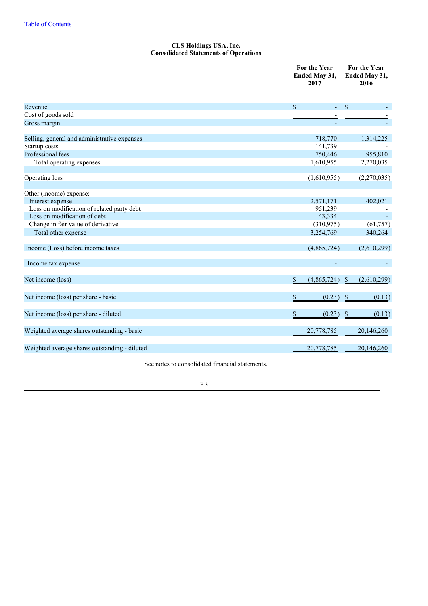## **CLS Holdings USA, Inc. Consolidated Statements of Operations**

|                                               | For the Year<br>Ended May 31,<br>2017 | For the Year<br>Ended May 31,<br>2016 |  |  |
|-----------------------------------------------|---------------------------------------|---------------------------------------|--|--|
| Revenue                                       | $\mathcal{S}$                         | $\mathcal{S}$                         |  |  |
| Cost of goods sold                            |                                       |                                       |  |  |
| Gross margin                                  |                                       |                                       |  |  |
| Selling, general and administrative expenses  | 718,770                               | 1,314,225                             |  |  |
| Startup costs                                 | 141,739                               |                                       |  |  |
| Professional fees                             | 750,446                               | 955,810                               |  |  |
| Total operating expenses                      | 1,610,955                             | 2,270,035                             |  |  |
| Operating loss                                | (1,610,955)                           | (2,270,035)                           |  |  |
| Other (income) expense:                       |                                       |                                       |  |  |
| Interest expense                              | 2,571,171                             | 402,021                               |  |  |
| Loss on modification of related party debt    | 951,239                               |                                       |  |  |
| Loss on modification of debt                  | 43,334                                |                                       |  |  |
| Change in fair value of derivative            | (310,975)                             | (61, 757)                             |  |  |
| Total other expense                           | 3,254,769                             | 340,264                               |  |  |
| Income (Loss) before income taxes             | (4,865,724)                           | (2,610,299)                           |  |  |
| Income tax expense                            |                                       |                                       |  |  |
| Net income (loss)                             | \$<br>(4,865,724)                     | \$<br>(2,610,299)                     |  |  |
| Net income (loss) per share - basic           | (0.23)<br>\$                          | (0.13)<br>$\boldsymbol{\mathsf{S}}$   |  |  |
| Net income (loss) per share - diluted         | (0.23)<br>S                           | \$<br>(0.13)                          |  |  |
| Weighted average shares outstanding - basic   | 20,778,785                            | 20,146,260                            |  |  |
| Weighted average shares outstanding - diluted | 20,778,785                            | 20,146,260                            |  |  |

See notes to consolidated financial statements.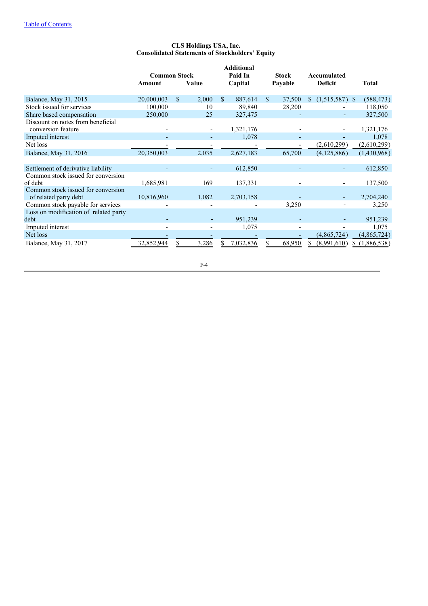## **CLS Holdings USA, Inc. Consolidated Statements of Stockholders' Equity**

|                                                             | Amount     | <b>Common Stock</b><br>Value | <b>Additional</b><br>Paid In<br>Capital | <b>Stock</b><br>Payable | Accumulated<br><b>Deficit</b> |   | <b>Total</b> |
|-------------------------------------------------------------|------------|------------------------------|-----------------------------------------|-------------------------|-------------------------------|---|--------------|
| Balance, May 31, 2015                                       | 20,000,003 | 2,000<br>\$                  | \$<br>887,614                           | \$<br>37,500            | $(1,515,587)$ \$<br>S.        |   | (588, 473)   |
| Stock issued for services                                   | 100,000    | 10                           | 89,840                                  | 28,200                  |                               |   | 118,050      |
| Share based compensation                                    | 250,000    | 25                           | 327,475                                 |                         |                               |   | 327,500      |
| Discount on notes from beneficial<br>conversion feature     |            |                              | 1,321,176                               |                         |                               |   | 1,321,176    |
| Imputed interest                                            |            |                              | 1,078                                   |                         |                               |   | 1,078        |
| Net loss                                                    |            |                              |                                         |                         | (2,610,299)                   |   | (2,610,299)  |
| Balance, May 31, 2016                                       | 20,350,003 | 2,035                        | 2,627,183                               | 65,700                  | (4,125,886)                   |   | (1,430,968)  |
|                                                             |            |                              |                                         |                         |                               |   |              |
| Settlement of derivative liability                          |            |                              | 612,850                                 |                         |                               |   | 612,850      |
| Common stock issued for conversion<br>of debt               | 1,685,981  | 169                          | 137,331                                 |                         |                               |   | 137,500      |
| Common stock issued for conversion<br>of related party debt | 10,816,960 | 1,082                        | 2,703,158                               |                         |                               |   | 2,704,240    |
| Common stock payable for services                           |            |                              |                                         | 3,250                   |                               |   | 3,250        |
| Loss on modification of related party<br>debt               |            |                              | 951,239                                 |                         |                               |   | 951,239      |
| Imputed interest                                            |            |                              | 1,075                                   |                         |                               |   | 1,075        |
| Net loss                                                    |            |                              |                                         |                         | (4,865,724)                   |   | (4,865,724)  |
| Balance, May 31, 2017                                       | 32,852,944 | 3,286                        | 7,032,836                               | 68,950                  | (8,991,610)                   | S | (1,886,538)  |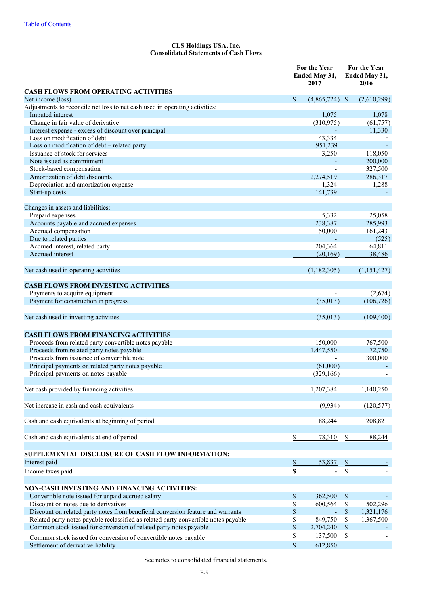## **CLS Holdings USA, Inc. Consolidated Statements of Cash Flows**

|                                                                                     |           | For the Year<br>Ended May 31,<br>2017 |               | For the Year<br>Ended May 31,<br>2016 |
|-------------------------------------------------------------------------------------|-----------|---------------------------------------|---------------|---------------------------------------|
| <b>CASH FLOWS FROM OPERATING ACTIVITIES</b>                                         |           |                                       |               |                                       |
| Net income (loss)                                                                   | \$        | $(4,865,724)$ \$                      |               | (2,610,299)                           |
| Adjustments to reconcile net loss to net cash used in operating activities:         |           |                                       |               |                                       |
| Imputed interest                                                                    |           | 1,075                                 |               | 1,078                                 |
| Change in fair value of derivative                                                  |           | (310,975)                             |               | (61, 757)                             |
| Interest expense - excess of discount over principal                                |           |                                       |               | 11,330                                |
| Loss on modification of debt                                                        |           | 43,334                                |               |                                       |
| Loss on modification of debt – related party                                        |           | 951,239                               |               |                                       |
| Issuance of stock for services                                                      |           | 3,250                                 |               | 118,050                               |
| Note issued as commitment                                                           |           |                                       |               | 200,000                               |
| Stock-based compensation                                                            |           |                                       |               | 327,500                               |
| Amortization of debt discounts                                                      |           | 2,274,519                             |               | 286,317                               |
| Depreciation and amortization expense                                               |           | 1,324                                 |               | 1,288                                 |
| Start-up costs                                                                      |           | 141,739                               |               |                                       |
| Changes in assets and liabilities:                                                  |           |                                       |               |                                       |
| Prepaid expenses                                                                    |           | 5,332                                 |               | 25,058                                |
| Accounts payable and accrued expenses                                               |           | 238,387                               |               | 285,993                               |
| Accrued compensation                                                                |           | 150,000                               |               | 161,243                               |
| Due to related parties                                                              |           |                                       |               | (525)                                 |
| Accrued interest, related party                                                     |           | 204,364                               |               | 64,811                                |
| Accrued interest                                                                    |           | (20, 169)                             |               | 38,486                                |
| Net cash used in operating activities                                               |           | (1,182,305)                           |               | (1,151,427)                           |
| <b>CASH FLOWS FROM INVESTING ACTIVITIES</b>                                         |           |                                       |               |                                       |
| Payments to acquire equipment                                                       |           |                                       |               | (2,674)                               |
| Payment for construction in progress                                                |           | (35,013)                              |               | (106, 726)                            |
| Net cash used in investing activities                                               |           | (35,013)                              |               | (109, 400)                            |
| <b>CASH FLOWS FROM FINANCING ACTIVITIES</b>                                         |           |                                       |               |                                       |
| Proceeds from related party convertible notes payable                               |           | 150,000                               |               | 767,500                               |
| Proceeds from related party notes payable                                           |           | 1,447,550                             |               | 72,750                                |
| Proceeds from issuance of convertible note                                          |           |                                       |               | 300,000                               |
| Principal payments on related party notes payable                                   |           | (61,000)                              |               |                                       |
| Principal payments on notes payable                                                 |           | (329, 166)                            |               |                                       |
|                                                                                     |           |                                       |               |                                       |
| Net cash provided by financing activities                                           |           | 1,207,384                             |               | 1,140,250                             |
| Net increase in cash and cash equivalents                                           |           | (9, 934)                              |               | (120, 577)                            |
| Cash and cash equivalents at beginning of period                                    |           | 88,244                                |               | 208,821                               |
| Cash and cash equivalents at end of period                                          | \$        | 78,310                                | \$            | 88,244                                |
| SUPPLEMENTAL DISCLOSURE OF CASH FLOW INFORMATION:                                   |           |                                       |               |                                       |
| Interest paid                                                                       | <u>\$</u> | 53,837                                | $\frac{1}{2}$ |                                       |
| Income taxes paid                                                                   | \$        |                                       | \$            |                                       |
|                                                                                     |           |                                       |               |                                       |
| NON-CASH INVESTING AND FINANCING ACTIVITIES:                                        |           |                                       |               |                                       |
| Convertible note issued for unpaid accrued salary                                   | \$        | 362,500                               | \$            |                                       |
| Discount on notes due to derivatives                                                | \$        | 600,564                               | \$            | 502,296                               |
| Discount on related party notes from beneficial conversion feature and warrants     | \$        |                                       | $\mathbb{S}$  | 1,321,176                             |
| Related party notes payable reclassified as related party convertible notes payable | \$<br>\$  | 849,750                               | \$            | 1,367,500                             |
| Common stock issued for conversion of related party notes payable                   |           | 2,704,240                             | \$            |                                       |
| Common stock issued for conversion of convertible notes payable                     | \$        | 137,500                               | \$            |                                       |
| Settlement of derivative liability                                                  | \$        | 612,850                               |               |                                       |

See notes to consolidated financial statements.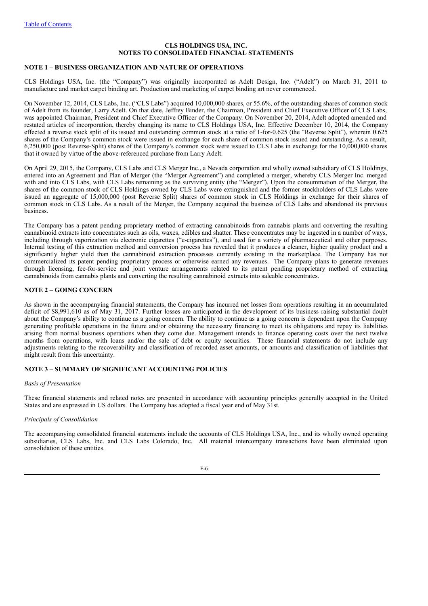## **CLS HOLDINGS USA, INC. NOTES TO CONSOLIDATED FINANCIAL STATEMENTS**

## **NOTE 1 – BUSINESS ORGANIZATION AND NATURE OF OPERATIONS**

CLS Holdings USA, Inc. (the "Company") was originally incorporated as Adelt Design, Inc. ("Adelt") on March 31, 2011 to manufacture and market carpet binding art. Production and marketing of carpet binding art never commenced.

On November 12, 2014, CLS Labs, Inc. ("CLS Labs") acquired 10,000,000 shares, or 55.6%, of the outstanding shares of common stock of Adelt from its founder, Larry Adelt. On that date, Jeffrey Binder, the Chairman, President and Chief Executive Officer of CLS Labs, was appointed Chairman, President and Chief Executive Officer of the Company. On November 20, 2014, Adelt adopted amended and restated articles of incorporation, thereby changing its name to CLS Holdings USA, Inc. Effective December 10, 2014, the Company effected a reverse stock split of its issued and outstanding common stock at a ratio of 1-for-0.625 (the "Reverse Split"), wherein 0.625 shares of the Company's common stock were issued in exchange for each share of common stock issued and outstanding. As a result, 6,250,000 (post Reverse-Split) shares of the Company's common stock were issued to CLS Labs in exchange for the 10,000,000 shares that it owned by virtue of the above-referenced purchase from Larry Adelt.

On April 29, 2015, the Company, CLS Labs and CLS Merger Inc., a Nevada corporation and wholly owned subsidiary of CLS Holdings, entered into an Agreement and Plan of Merger (the "Merger Agreement") and completed a merger, whereby CLS Merger Inc. merged with and into CLS Labs, with CLS Labs remaining as the surviving entity (the "Merger"). Upon the consummation of the Merger, the shares of the common stock of CLS Holdings owned by CLS Labs were extinguished and the former stockholders of CLS Labs were issued an aggregate of 15,000,000 (post Reverse Split) shares of common stock in CLS Holdings in exchange for their shares of common stock in CLS Labs. As a result of the Merger, the Company acquired the business of CLS Labs and abandoned its previous business.

The Company has a patent pending proprietary method of extracting cannabinoids from cannabis plants and converting the resulting cannabinoid extracts into concentrates such as oils, waxes, edibles and shatter. These concentrates may be ingested in a number of ways, including through vaporization via electronic cigarettes ("e-cigarettes"), and used for a variety of pharmaceutical and other purposes. Internal testing of this extraction method and conversion process has revealed that it produces a cleaner, higher quality product and a significantly higher yield than the cannabinoid extraction processes currently existing in the marketplace. The Company has not commercialized its patent pending proprietary process or otherwise earned any revenues. The Company plans to generate revenues through licensing, fee-for-service and joint venture arrangements related to its patent pending proprietary method of extracting cannabinoids from cannabis plants and converting the resulting cannabinoid extracts into saleable concentrates.

## **NOTE 2 – GOING CONCERN**

As shown in the accompanying financial statements, the Company has incurred net losses from operations resulting in an accumulated deficit of \$8,991,610 as of May 31, 2017. Further losses are anticipated in the development of its business raising substantial doubt about the Company's ability to continue as a going concern. The ability to continue as a going concern is dependent upon the Company generating profitable operations in the future and/or obtaining the necessary financing to meet its obligations and repay its liabilities arising from normal business operations when they come due. Management intends to finance operating costs over the next twelve months from operations, with loans and/or the sale of debt or equity securities. These financial statements do not include any adjustments relating to the recoverability and classification of recorded asset amounts, or amounts and classification of liabilities that might result from this uncertainty.

## **NOTE 3 – SUMMARY OF SIGNIFICANT ACCOUNTING POLICIES**

#### *Basis of Presentation*

These financial statements and related notes are presented in accordance with accounting principles generally accepted in the United States and are expressed in US dollars. The Company has adopted a fiscal year end of May 31st.

#### *Principals of Consolidation*

The accompanying consolidated financial statements include the accounts of CLS Holdings USA, Inc., and its wholly owned operating subsidiaries, CLS Labs, Inc. and CLS Labs Colorado, Inc. All material intercompany transactions have been eliminated upon consolidation of these entities.

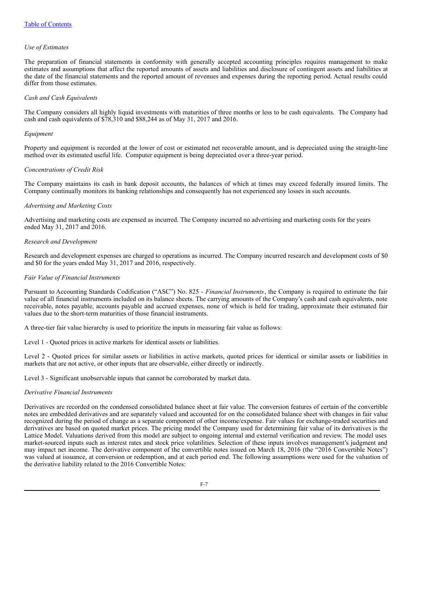## *Use of Estimates*

The preparation of financial statements in conformity with generally accepted accounting principles requires management to make estimates and assumptions that affect the reported amounts of assets and liabilities and disclosure of contingent assets and liabilities at the date of the financial statements and the reported amount of revenues and expenses during the reporting period. Actual results could differ from those estimates.

#### *Cash and Cash Equivalents*

The Company considers all highly liquid investments with maturities of three months or less to be cash equivalents. The Company had cash and cash equivalents of \$78,310 and \$88,244 as of May 31, 2017 and 2016.

#### *Equipment*

Property and equipment is recorded at the lower of cost or estimated net recoverable amount, and is depreciated using the straight-line method over its estimated useful life. Computer equipment is being depreciated over a three-year period.

## *Concentrations of Credit Risk*

The Company maintains its cash in bank deposit accounts, the balances of which at times may exceed federally insured limits. The Company continually monitors its banking relationships and consequently has not experienced any losses in such accounts.

#### *Advertising and Marketing Costs*

Advertising and marketing costs are expensed as incurred. The Company incurred no advertising and marketing costs for the years ended May 31, 2017 and 2016.

#### *Research and Development*

Research and development expenses are charged to operations as incurred. The Company incurred research and development costs of \$0 and \$0 for the years ended May 31, 2017 and 2016, respectively.

#### *Fair Value of Financial Instruments*

Pursuant to Accounting Standards Codification ("ASC") No. 825 - *Financial Instruments*, the Company is required to estimate the fair value of all financial instruments included on its balance sheets. The carrying amounts of the Company's cash and cash equivalents, note receivable, notes payable, accounts payable and accrued expenses, none of which is held for trading, approximate their estimated fair values due to the short-term maturities of those financial instruments.

A three-tier fair value hierarchy is used to prioritize the inputs in measuring fair value as follows:

Level 1 - Quoted prices in active markets for identical assets or liabilities.

Level 2 - Quoted prices for similar assets or liabilities in active markets, quoted prices for identical or similar assets or liabilities in markets that are not active, or other inputs that are observable, either directly or indirectly.

Level 3 - Significant unobservable inputs that cannot be corroborated by market data.

## *Derivative Financial Instruments*

Derivatives are recorded on the condensed consolidated balance sheet at fair value. The conversion features of certain of the convertible notes are embedded derivatives and are separately valued and accounted for on the consolidated balance sheet with changes in fair value recognized during the period of change as a separate component of other income/expense. Fair values for exchange-traded securities and derivatives are based on quoted market prices. The pricing model the Company used for determining fair value of its derivatives is the Lattice Model. Valuations derived from this model are subject to ongoing internal and external verification and review. The model uses market-sourced inputs such as interest rates and stock price volatilities. Selection of these inputs involves management's judgment and may impact net income. The derivative component of the convertible notes issued on March 18, 2016 (the "2016 Convertible Notes") was valued at issuance, at conversion or redemption, and at each period end. The following assumptions were used for the valuation of the derivative liability related to the 2016 Convertible Notes: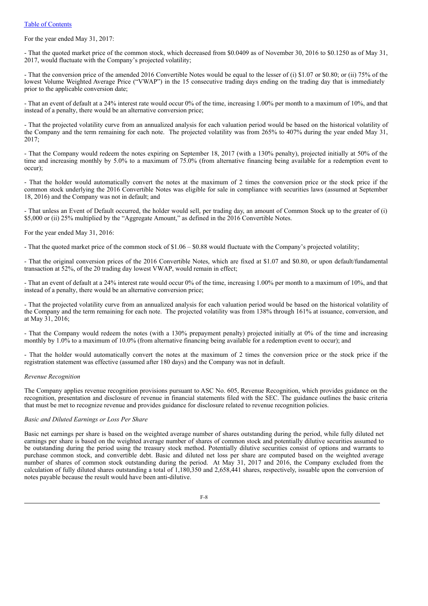## Table of Contents

For the year ended May 31, 2017:

- That the quoted market price of the common stock, which decreased from \$0.0409 as of November 30, 2016 to \$0.1250 as of May 31, 2017, would fluctuate with the Company's projected volatility;

- That the conversion price of the amended 2016 Convertible Notes would be equal to the lesser of (i) \$1.07 or \$0.80; or (ii) 75% of the lowest Volume Weighted Average Price ("VWAP") in the 15 consecutive trading days ending on the trading day that is immediately prior to the applicable conversion date;

- That an event of default at a 24% interest rate would occur 0% of the time, increasing 1.00% per month to a maximum of 10%, and that instead of a penalty, there would be an alternative conversion price;

- That the projected volatility curve from an annualized analysis for each valuation period would be based on the historical volatility of the Company and the term remaining for each note. The projected volatility was from 265% to 407% during the year ended May 31, 2017;

- That the Company would redeem the notes expiring on September 18, 2017 (with a 130% penalty), projected initially at 50% of the time and increasing monthly by 5.0% to a maximum of 75.0% (from alternative financing being available for a redemption event to occur);

- That the holder would automatically convert the notes at the maximum of 2 times the conversion price or the stock price if the common stock underlying the 2016 Convertible Notes was eligible for sale in compliance with securities laws (assumed at September 18, 2016) and the Company was not in default; and

- That unless an Event of Default occurred, the holder would sell, per trading day, an amount of Common Stock up to the greater of (i) \$5,000 or (ii) 25% multiplied by the "Aggregate Amount," as defined in the 2016 Convertible Notes.

## For the year ended May 31, 2016:

- That the quoted market price of the common stock of \$1.06 – \$0.88 would fluctuate with the Company's projected volatility;

- That the original conversion prices of the 2016 Convertible Notes, which are fixed at \$1.07 and \$0.80, or upon default/fundamental transaction at 52%, of the 20 trading day lowest VWAP, would remain in effect;

- That an event of default at a 24% interest rate would occur 0% of the time, increasing 1.00% per month to a maximum of 10%, and that instead of a penalty, there would be an alternative conversion price;

- That the projected volatility curve from an annualized analysis for each valuation period would be based on the historical volatility of the Company and the term remaining for each note. The projected volatility was from 138% through 161% at issuance, conversion, and at May 31, 2016;

- That the Company would redeem the notes (with a 130% prepayment penalty) projected initially at 0% of the time and increasing monthly by 1.0% to a maximum of 10.0% (from alternative financing being available for a redemption event to occur); and

- That the holder would automatically convert the notes at the maximum of 2 times the conversion price or the stock price if the registration statement was effective (assumed after 180 days) and the Company was not in default.

#### *Revenue Recognition*

The Company applies revenue recognition provisions pursuant to ASC No. 605, Revenue Recognition, which provides guidance on the recognition, presentation and disclosure of revenue in financial statements filed with the SEC. The guidance outlines the basic criteria that must be met to recognize revenue and provides guidance for disclosure related to revenue recognition policies.

## *Basic and Diluted Earnings or Loss Per Share*

Basic net earnings per share is based on the weighted average number of shares outstanding during the period, while fully diluted net earnings per share is based on the weighted average number of shares of common stock and potentially dilutive securities assumed to be outstanding during the period using the treasury stock method. Potentially dilutive securities consist of options and warrants to purchase common stock, and convertible debt. Basic and diluted net loss per share are computed based on the weighted average number of shares of common stock outstanding during the period. At May 31, 2017 and 2016, the Company excluded from the calculation of fully diluted shares outstanding a total of 1,180,350 and 2,658,441 shares, respectively, issuable upon the conversion of notes payable because the result would have been anti-dilutive.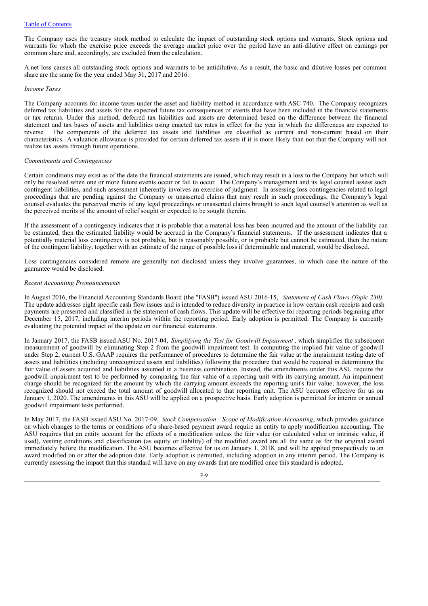The Company uses the treasury stock method to calculate the impact of outstanding stock options and warrants. Stock options and warrants for which the exercise price exceeds the average market price over the period have an anti-dilutive effect on earnings per common share and, accordingly, are excluded from the calculation.

A net loss causes all outstanding stock options and warrants to be antidilutive. As a result, the basic and dilutive losses per common share are the same for the year ended May 31, 2017 and 2016.

#### *Income Taxes*

The Company accounts for income taxes under the asset and liability method in accordance with ASC 740. The Company recognizes deferred tax liabilities and assets for the expected future tax consequences of events that have been included in the financial statements or tax returns. Under this method, deferred tax liabilities and assets are determined based on the difference between the financial statement and tax bases of assets and liabilities using enacted tax rates in effect for the year in which the differences are expected to reverse. The components of the deferred tax assets and liabilities are classified as current and non-current based on their characteristics. A valuation allowance is provided for certain deferred tax assets if it is more likely than not that the Company will not realize tax assets through future operations.

## *Commitments and Contingencies*

Certain conditions may exist as of the date the financial statements are issued, which may result in a loss to the Company but which will only be resolved when one or more future events occur or fail to occur. The Company's management and its legal counsel assess such contingent liabilities, and such assessment inherently involves an exercise of judgment. In assessing loss contingencies related to legal proceedings that are pending against the Company or unasserted claims that may result in such proceedings, the Company's legal counsel evaluates the perceived merits of any legal proceedings or unasserted claims brought to such legal counsel's attention as well as the perceived merits of the amount of relief sought or expected to be sought therein.

If the assessment of a contingency indicates that it is probable that a material loss has been incurred and the amount of the liability can be estimated, then the estimated liability would be accrued in the Company's financial statements. If the assessment indicates that a potentially material loss contingency is not probable, but is reasonably possible, or is probable but cannot be estimated, then the nature of the contingent liability, together with an estimate of the range of possible loss if determinable and material, would be disclosed.

Loss contingencies considered remote are generally not disclosed unless they involve guarantees, in which case the nature of the guarantee would be disclosed.

#### *Recent Accounting Pronouncements*

In August 2016, the Financial Accounting Standards Board (the "FASB") issued ASU 2016-15, *Statement of Cash Flows (Topic 230).* The update addresses eight specific cash flow issues and is intended to reduce diversity in practice in how certain cash receipts and cash payments are presented and classified in the statement of cash flows. This update will be effective for reporting periods beginning after December 15, 2017, including interim periods within the reporting period. Early adoption is permitted. The Company is currently evaluating the potential impact of the update on our financial statements.

In January 2017, the FASB issued ASU No. 2017-04, *Simplifying the Test for Goodwill Impairment* , which simplifies the subsequent measurement of goodwill by eliminating Step 2 from the goodwill impairment test. In computing the implied fair value of goodwill under Step 2, current U.S. GAAP requires the performance of procedures to determine the fair value at the impairment testing date of assets and liabilities (including unrecognized assets and liabilities) following the procedure that would be required in determining the fair value of assets acquired and liabilities assumed in a business combination. Instead, the amendments under this ASU require the goodwill impairment test to be performed by comparing the fair value of a reporting unit with its carrying amount. An impairment charge should be recognized for the amount by which the carrying amount exceeds the reporting unit's fair value; however, the loss recognized should not exceed the total amount of goodwill allocated to that reporting unit. The ASU becomes effective for us on January 1, 2020. The amendments in this ASU will be applied on a prospective basis. Early adoption is permitted for interim or annual goodwill impairment tests performed.

In May 2017, the FASB issued ASU No. 2017-09, *Stock Compensation - Scope of Modification Accounting*, which provides guidance on which changes to the terms or conditions of a share-based payment award require an entity to apply modification accounting. The ASU requires that an entity account for the effects of a modification unless the fair value (or calculated value or intrinsic value, if used), vesting conditions and classification (as equity or liability) of the modified award are all the same as for the original award immediately before the modification. The ASU becomes effective for us on January 1, 2018, and will be applied prospectively to an award modified on or after the adoption date. Early adoption is permitted, including adoption in any interim period. The Company is currently assessing the impact that this standard will have on any awards that are modified once this standard is adopted.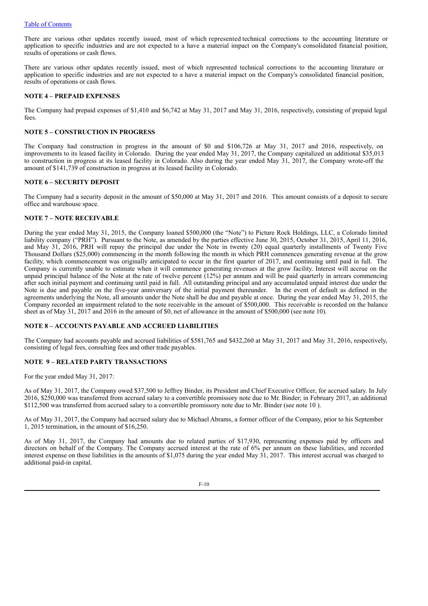## Table of Contents

There are various other updates recently issued, most of which represented technical corrections to the accounting literature or application to specific industries and are not expected to a have a material impact on the Company's consolidated financial position, results of operations or cash flows.

There are various other updates recently issued, most of which represented technical corrections to the accounting literature or application to specific industries and are not expected to a have a material impact on the Company's consolidated financial position, results of operations or cash flows.

## **NOTE 4 – PREPAID EXPENSES**

The Company had prepaid expenses of \$1,410 and \$6,742 at May 31, 2017 and May 31, 2016, respectively, consisting of prepaid legal fees.

## **NOTE 5 – CONSTRUCTION IN PROGRESS**

The Company had construction in progress in the amount of \$0 and \$106,726 at May 31, 2017 and 2016, respectively, on improvements to its leased facility in Colorado. During the year ended May 31, 2017, the Company capitalized an additional \$35,013 to construction in progress at its leased facility in Colorado. Also during the year ended May 31, 2017, the Company wrote-off the amount of \$141,739 of construction in progress at its leased facility in Colorado.

## **NOTE 6 – SECURITY DEPOSIT**

The Company had a security deposit in the amount of \$50,000 at May 31, 2017 and 2016. This amount consists of a deposit to secure office and warehouse space.

## **NOTE 7 – NOTE RECEIVABLE**

During the year ended May 31, 2015, the Company loaned \$500,000 (the "Note") to Picture Rock Holdings, LLC, a Colorado limited liability company ("PRH"). Pursuant to the Note, as amended by the parties effective June 30, 2015, October 31, 2015, April 11, 2016, and May 31, 2016, PRH will repay the principal due under the Note in twenty (20) equal quarterly installments of Twenty Five Thousand Dollars (\$25,000) commencing in the month following the month in which PRH commences generating revenue at the grow facility, which commencement was originally anticipated to occur in the first quarter of 2017, and continuing until paid in full. The Company is currently unable to estimate when it will commence generating revenues at the grow facility. Interest will accrue on the unpaid principal balance of the Note at the rate of twelve percent (12%) per annum and will be paid quarterly in arrears commencing after such initial payment and continuing until paid in full. All outstanding principal and any accumulated unpaid interest due under the Note is due and payable on the five-year anniversary of the initial payment thereunder. In the event of default as defined in the agreements underlying the Note, all amounts under the Note shall be due and payable at once. During the year ended May 31, 2015, the Company recorded an impairment related to the note receivable in the amount of \$500,000. This receivable is recorded on the balance sheet as of May 31, 2017 and 2016 in the amount of \$0, net of allowance in the amount of \$500,000 (see note 10).

## **NOTE 8 – ACCOUNTS PAYABLE AND ACCRUED LIABILITIES**

The Company had accounts payable and accrued liabilities of \$581,765 and \$432,260 at May 31, 2017 and May 31, 2016, respectively, consisting of legal fees, consulting fees and other trade payables.

## **NOTE 9 – RELATED PARTY TRANSACTIONS**

For the year ended May 31, 2017:

As of May 31, 2017, the Company owed \$37,500 to Jeffrey Binder, its President and Chief Executive Officer, for accrued salary. In July 2016, \$250,000 was transferred from accrued salary to a convertible promissory note due to Mr. Binder; in February 2017, an additional \$112,500 was transferred from accrued salary to a convertible promissory note due to Mr. Binder (see note 10 ).

As of May 31, 2017, the Company had accrued salary due to Michael Abrams, a former officer of the Company, prior to his September 1, 2015 termination, in the amount of \$16,250.

As of May 31, 2017, the Company had amounts due to related parties of \$17,930, representing expenses paid by officers and directors on behalf of the Company. The Company accrued interest at the rate of 6% per annum on these liabilities, and recorded interest expense on these liabilities in the amounts of \$1,075 during the year ended May 31, 2017. This interest accrual was charged to additional paid-in capital.

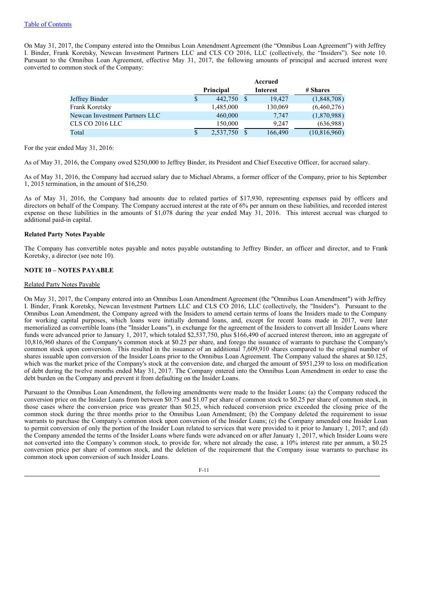On May 31, 2017, the Company entered into the Omnibus Loan Amendment Agreement (the "Omnibus Loan Agreement") with Jeffrey I. Binder, Frank Koretsky, Newcan Investment Partners LLC and CLS CO 2016, LLC (collectively, the "Insiders"). See note 10. Pursuant to the Omnibus Loan Agreement, effective May 31, 2017, the following amounts of principal and accrued interest were converted to common stock of the Company:

|                                |    |                  | Accrued  |                |
|--------------------------------|----|------------------|----------|----------------|
|                                |    | <b>Principal</b> | # Shares |                |
| Jeffrey Binder                 | \$ | 442,750          | 19.427   | (1,848,708)    |
| Frank Koretsky                 |    | 1,485,000        | 130,069  | (6,460,276)    |
| Newcan Investment Partners LLC |    | 460,000          | 7.747    | (1,870,988)    |
| <b>CLS CO 2016 LLC</b>         |    | 150,000          | 9.247    | (636,988)      |
| Total                          | S  | 2,537,750        | 166,490  | (10, 816, 960) |

For the year ended May 31, 2016:

As of May 31, 2016, the Company owed \$250,000 to Jeffrey Binder, its President and Chief Executive Officer, for accrued salary.

As of May 31, 2016, the Company had accrued salary due to Michael Abrams, a former officer of the Company, prior to his September 1, 2015 termination, in the amount of \$16,250.

As of May 31, 2016, the Company had amounts due to related parties of \$17,930, representing expenses paid by officers and directors on behalf of the Company. The Company accrued interest at the rate of 6% per annum on these liabilities, and recorded interest expense on these liabilities in the amounts of \$1,078 during the year ended May 31, 2016. This interest accrual was charged to additional paid-in capital.

## **Related Party Notes Payable**

The Company has convertible notes payable and notes payable outstanding to Jeffrey Binder, an officer and director, and to Frank Koretsky, a director (see note 10).

## **NOTE 10 – NOTES PAYABLE**

#### Related Party Notes Payable

On May 31, 2017, the Company entered into an Omnibus Loan Amendment Agreement (the "Omnibus Loan Amendment") with Jeffrey I. Binder, Frank Koretsky, Newcan Investment Partners LLC and CLS CO 2016, LLC (collectively, the "Insiders"). Pursuant to the Omnibus Loan Amendment, the Company agreed with the Insiders to amend certain terms of loans the Insiders made to the Company for working capital purposes, which loans were initially demand loans, and, except for recent loans made in 2017, were later memorialized as convertible loans (the "Insider Loans"), in exchange for the agreement of the Insiders to convert all Insider Loans where funds were advanced prior to January 1, 2017, which totaled \$2,537,750, plus \$166,490 of accrued interest thereon, into an aggregate of 10,816,960 shares of the Company's common stock at \$0.25 per share, and forego the issuance of warrants to purchase the Company's common stock upon conversion. This resulted in the issuance of an additional 7,609,910 shares compared to the original number of shares issuable upon conversion of the Insider Loans prior to the Omnibus Loan Agreement. The Company valued the shares at \$0.125, which was the market price of the Company's stock at the conversion date, and charged the amount of \$951,239 to loss on modification of debt during the twelve months ended May 31, 2017. The Company entered into the Omnibus Loan Amendment in order to ease the debt burden on the Company and prevent it from defaulting on the Insider Loans.

Pursuant to the Omnibus Loan Amendment, the following amendments were made to the Insider Loans: (a) the Company reduced the conversion price on the Insider Loans from between \$0.75 and \$1.07 per share of common stock to \$0.25 per share of common stock, in those cases where the conversion price was greater than \$0.25, which reduced conversion price exceeded the closing price of the common stock during the three months prior to the Omnibus Loan Amendment; (b) the Company deleted the requirement to issue warrants to purchase the Company's common stock upon conversion of the Insider Loans; (c) the Company amended one Insider Loan to permit conversion of only the portion of the Insider Loan related to services that were provided to it prior to January 1, 2017; and (d) the Company amended the terms of the Insider Loans where funds were advanced on or after January 1, 2017, which Insider Loans were not converted into the Company's common stock, to provide for, where not already the case, a 10% interest rate per annum, a \$0.25 conversion price per share of common stock, and the deletion of the requirement that the Company issue warrants to purchase its common stock upon conversion of such Insider Loans.

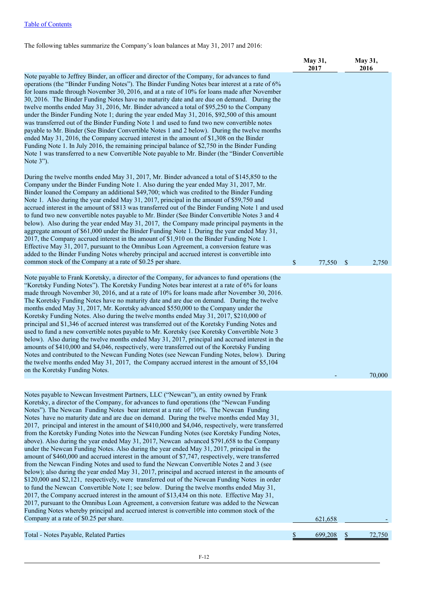## Table of Contents

The following tables summarize the Company's loan balances at May 31, 2017 and 2016:

|                                                                                                                                                                                                                                                                                                                                                                                                                                                                                                                                                                                                                                                                                                                                                                                                                                                                                                                                                                                                                                                                                                                                                                                                                                                                                                                                                                                                                                                                                                                                                                                                                    |    | May 31,<br>2017 |                    | May 31,<br>2016 |
|--------------------------------------------------------------------------------------------------------------------------------------------------------------------------------------------------------------------------------------------------------------------------------------------------------------------------------------------------------------------------------------------------------------------------------------------------------------------------------------------------------------------------------------------------------------------------------------------------------------------------------------------------------------------------------------------------------------------------------------------------------------------------------------------------------------------------------------------------------------------------------------------------------------------------------------------------------------------------------------------------------------------------------------------------------------------------------------------------------------------------------------------------------------------------------------------------------------------------------------------------------------------------------------------------------------------------------------------------------------------------------------------------------------------------------------------------------------------------------------------------------------------------------------------------------------------------------------------------------------------|----|-----------------|--------------------|-----------------|
| Note payable to Jeffrey Binder, an officer and director of the Company, for advances to fund<br>operations (the "Binder Funding Notes"). The Binder Funding Notes bear interest at a rate of 6%<br>for loans made through November 30, 2016, and at a rate of 10% for loans made after November<br>30, 2016. The Binder Funding Notes have no maturity date and are due on demand. During the<br>twelve months ended May 31, 2016, Mr. Binder advanced a total of \$95,250 to the Company<br>under the Binder Funding Note 1; during the year ended May 31, 2016, \$92,500 of this amount<br>was transferred out of the Binder Funding Note 1 and used to fund two new convertible notes<br>payable to Mr. Binder (See Binder Convertible Notes 1 and 2 below). During the twelve months<br>ended May 31, 2016, the Company accrued interest in the amount of \$1,308 on the Binder<br>Funding Note 1. In July 2016, the remaining principal balance of \$2,750 in the Binder Funding<br>Note 1 was transferred to a new Convertible Note payable to Mr. Binder (the "Binder Convertible<br>Note 3").                                                                                                                                                                                                                                                                                                                                                                                                                                                                                                              |    |                 |                    |                 |
| During the twelve months ended May 31, 2017, Mr. Binder advanced a total of \$145,850 to the<br>Company under the Binder Funding Note 1. Also during the year ended May 31, 2017, Mr.<br>Binder loaned the Company an additional \$49,700; which was credited to the Binder Funding<br>Note 1. Also during the year ended May 31, 2017, principal in the amount of \$59,750 and<br>accrued interest in the amount of \$813 was transferred out of the Binder Funding Note 1 and used<br>to fund two new convertible notes payable to Mr. Binder (See Binder Convertible Notes 3 and 4<br>below). Also during the year ended May 31, 2017, the Company made principal payments in the<br>aggregate amount of \$61,000 under the Binder Funding Note 1. During the year ended May 31,<br>2017, the Company accrued interest in the amount of \$1,910 on the Binder Funding Note 1.<br>Effective May 31, 2017, pursuant to the Omnibus Loan Agreement, a conversion feature was<br>added to the Binder Funding Notes whereby principal and accrued interest is convertible into<br>common stock of the Company at a rate of \$0.25 per share.                                                                                                                                                                                                                                                                                                                                                                                                                                                                         | \$ | 77,550          | $\mathbf{\hat{s}}$ | 2,750           |
| Note payable to Frank Koretsky, a director of the Company, for advances to fund operations (the<br>"Koretsky Funding Notes"). The Koretsky Funding Notes bear interest at a rate of 6% for loans<br>made through November 30, 2016, and at a rate of 10% for loans made after November 30, 2016.<br>The Koretsky Funding Notes have no maturity date and are due on demand. During the twelve<br>months ended May 31, 2017, Mr. Koretsky advanced \$550,000 to the Company under the<br>Koretsky Funding Notes. Also during the twelve months ended May 31, 2017, \$210,000 of<br>principal and \$1,346 of accrued interest was transferred out of the Koretsky Funding Notes and<br>used to fund a new convertible notes payable to Mr. Koretsky (see Koretsky Convertible Note 3<br>below). Also during the twelve months ended May 31, 2017, principal and accrued interest in the<br>amounts of \$410,000 and \$4,046, respectively, were transferred out of the Koretsky Funding<br>Notes and contributed to the Newcan Funding Notes (see Newcan Funding Notes, below). During<br>the twelve months ended May 31, 2017, the Company accrued interest in the amount of \$5,104                                                                                                                                                                                                                                                                                                                                                                                                                                |    |                 |                    |                 |
| on the Koretsky Funding Notes.                                                                                                                                                                                                                                                                                                                                                                                                                                                                                                                                                                                                                                                                                                                                                                                                                                                                                                                                                                                                                                                                                                                                                                                                                                                                                                                                                                                                                                                                                                                                                                                     |    |                 |                    | 70,000          |
| Notes payable to Newcan Investment Partners, LLC ("Newcan"), an entity owned by Frank<br>Koretsky, a director of the Company, for advances to fund operations (the "Newcan Funding<br>Notes"). The Newcan Funding Notes bear interest at a rate of 10%. The Newcan Funding<br>Notes have no maturity date and are due on demand. During the twelve months ended May 31,<br>2017, principal and interest in the amount of \$410,000 and \$4,046, respectively, were transferred<br>from the Koretsky Funding Notes into the Newcan Funding Notes (see Koretsky Funding Notes,<br>above). Also during the year ended May 31, 2017, Newcan advanced \$791,658 to the Company<br>under the Newcan Funding Notes. Also during the year ended May 31, 2017, principal in the<br>amount of \$460,000 and accrued interest in the amount of \$7,747, respectively, were transferred<br>from the Newcan Finding Notes and used to fund the Newcan Convertible Notes 2 and 3 (see<br>below); also during the year ended May 31, 2017, principal and accrued interest in the amounts of<br>\$120,000 and \$2,121, respectively, were transferred out of the Newcan Funding Notes in order<br>to fund the Newcan Convertible Note 1; see below. During the twelve months ended May 31,<br>2017, the Company accrued interest in the amount of \$13,434 on this note. Effective May 31,<br>2017, pursuant to the Omnibus Loan Agreement, a conversion feature was added to the Newcan<br>Funding Notes whereby principal and accrued interest is convertible into common stock of the<br>Company at a rate of \$0.25 per share. |    | 621,658         |                    |                 |
| Total - Notes Payable, Related Parties                                                                                                                                                                                                                                                                                                                                                                                                                                                                                                                                                                                                                                                                                                                                                                                                                                                                                                                                                                                                                                                                                                                                                                                                                                                                                                                                                                                                                                                                                                                                                                             | S  | 699,208         | S                  | 72,750          |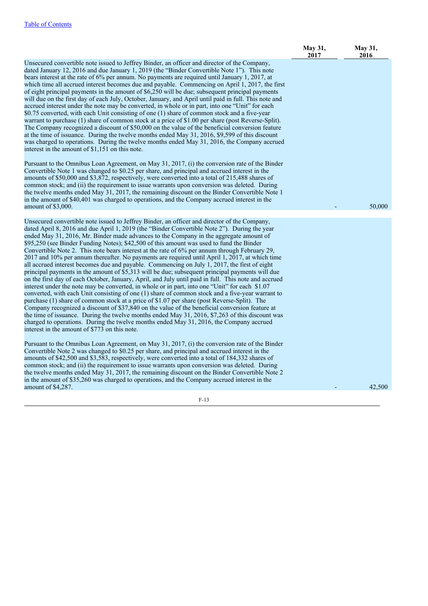|                                                                                                                                                                                                                                                                                                                                                                                                                                                                                                                                                                                                                                                                                                                                                                                                                                                                                                                                                                                                                                                                                                                                                                                                                                                                                                                                                                                                                                                        | May 31,<br>2017 | May 31,<br>2016 |
|--------------------------------------------------------------------------------------------------------------------------------------------------------------------------------------------------------------------------------------------------------------------------------------------------------------------------------------------------------------------------------------------------------------------------------------------------------------------------------------------------------------------------------------------------------------------------------------------------------------------------------------------------------------------------------------------------------------------------------------------------------------------------------------------------------------------------------------------------------------------------------------------------------------------------------------------------------------------------------------------------------------------------------------------------------------------------------------------------------------------------------------------------------------------------------------------------------------------------------------------------------------------------------------------------------------------------------------------------------------------------------------------------------------------------------------------------------|-----------------|-----------------|
| Unsecured convertible note issued to Jeffrey Binder, an officer and director of the Company,<br>dated January 12, 2016 and due January 1, 2019 (the "Binder Convertible Note 1"). This note<br>bears interest at the rate of 6% per annum. No payments are required until January 1, 2017, at<br>which time all accrued interest becomes due and payable. Commencing on April 1, 2017, the first<br>of eight principal payments in the amount of \$6,250 will be due; subsequent principal payments<br>will due on the first day of each July, October, January, and April until paid in full. This note and<br>accrued interest under the note may be converted, in whole or in part, into one "Unit" for each<br>\$0.75 converted, with each Unit consisting of one (1) share of common stock and a five-year<br>warrant to purchase (1) share of common stock at a price of \$1.00 per share (post Reverse-Split).<br>The Company recognized a discount of \$50,000 on the value of the beneficial conversion feature<br>at the time of issuance. During the twelve months ended May 31, 2016, \$9,599 of this discount<br>was charged to operations. During the twelve months ended May 31, 2016, the Company accrued<br>interest in the amount of \$1,151 on this note.                                                                                                                                                                           |                 |                 |
| Pursuant to the Omnibus Loan Agreement, on May 31, 2017, (i) the conversion rate of the Binder<br>Convertible Note 1 was changed to \$0.25 per share, and principal and accrued interest in the<br>amounts of \$50,000 and \$3,872, respectively, were converted into a total of 215,488 shares of<br>common stock; and (ii) the requirement to issue warrants upon conversion was deleted. During<br>the twelve months ended May 31, 2017, the remaining discount on the Binder Convertible Note 1<br>in the amount of \$40,401 was charged to operations, and the Company accrued interest in the<br>amount of \$3,000.                                                                                                                                                                                                                                                                                                                                                                                                                                                                                                                                                                                                                                                                                                                                                                                                                              |                 | 50,000          |
| Unsecured convertible note issued to Jeffrey Binder, an officer and director of the Company,                                                                                                                                                                                                                                                                                                                                                                                                                                                                                                                                                                                                                                                                                                                                                                                                                                                                                                                                                                                                                                                                                                                                                                                                                                                                                                                                                           |                 |                 |
| dated April 8, 2016 and due April 1, 2019 (the "Binder Convertible Note 2"). During the year<br>ended May 31, 2016, Mr. Binder made advances to the Company in the aggregate amount of<br>\$95,250 (see Binder Funding Notes); \$42,500 of this amount was used to fund the Binder<br>Convertible Note 2. This note bears interest at the rate of 6% per annum through February 29,<br>2017 and 10% per annum thereafter. No payments are required until April 1, 2017, at which time<br>all accrued interest becomes due and payable. Commencing on July 1, 2017, the first of eight<br>principal payments in the amount of \$5,313 will be due; subsequent principal payments will due<br>on the first day of each October, January, April, and July until paid in full. This note and accrued<br>interest under the note may be converted, in whole or in part, into one "Unit" for each \$1.07<br>converted, with each Unit consisting of one (1) share of common stock and a five-year warrant to<br>purchase (1) share of common stock at a price of \$1.07 per share (post Reverse-Split). The<br>Company recognized a discount of \$37,840 on the value of the beneficial conversion feature at<br>the time of issuance. During the twelve months ended May 31, 2016, \$7,263 of this discount was<br>charged to operations. During the twelve months ended May 31, 2016, the Company accrued<br>interest in the amount of \$773 on this note. |                 |                 |
| Pursuant to the Omnibus Loan Agreement, on May 31, 2017, (i) the conversion rate of the Binder<br>Convertible Note 2 was changed to \$0.25 per share, and principal and accrued interest in the<br>amounts of \$42,500 and \$3,583, respectively, were converted into a total of 184,332 shares of<br>common stock; and (ii) the requirement to issue warrants upon conversion was deleted. During<br>the twelve months ended May 31, 2017, the remaining discount on the Binder Convertible Note 2<br>in the amount of \$35,260 was charged to operations, and the Company accrued interest in the                                                                                                                                                                                                                                                                                                                                                                                                                                                                                                                                                                                                                                                                                                                                                                                                                                                    |                 |                 |
| amount of \$4,287.                                                                                                                                                                                                                                                                                                                                                                                                                                                                                                                                                                                                                                                                                                                                                                                                                                                                                                                                                                                                                                                                                                                                                                                                                                                                                                                                                                                                                                     |                 | 42,500          |
| E <sub>12</sub>                                                                                                                                                                                                                                                                                                                                                                                                                                                                                                                                                                                                                                                                                                                                                                                                                                                                                                                                                                                                                                                                                                                                                                                                                                                                                                                                                                                                                                        |                 |                 |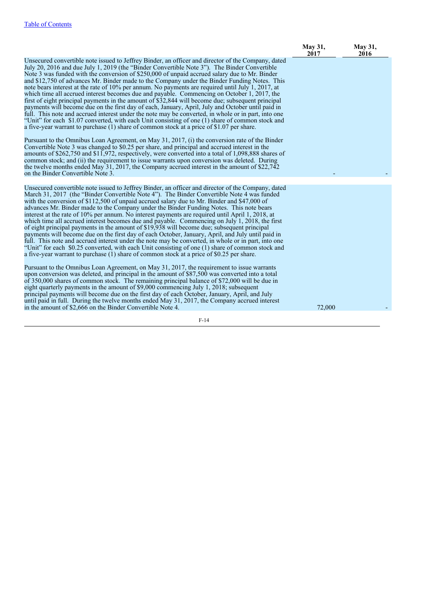|                                                                                                                                                                                                                                                                                                                                                                                                                                                                                                                                                                                                                                                                                                                                                                                                                                                                                                                                                                                                                                                                                                                           | <b>May 31,</b><br>2017 | <b>May 31,</b><br>2016 |
|---------------------------------------------------------------------------------------------------------------------------------------------------------------------------------------------------------------------------------------------------------------------------------------------------------------------------------------------------------------------------------------------------------------------------------------------------------------------------------------------------------------------------------------------------------------------------------------------------------------------------------------------------------------------------------------------------------------------------------------------------------------------------------------------------------------------------------------------------------------------------------------------------------------------------------------------------------------------------------------------------------------------------------------------------------------------------------------------------------------------------|------------------------|------------------------|
| Unsecured convertible note issued to Jeffrey Binder, an officer and director of the Company, dated<br>July 20, 2016 and due July 1, 2019 (the "Binder Convertible Note 3"). The Binder Convertible<br>Note 3 was funded with the conversion of \$250,000 of unpaid accrued salary due to Mr. Binder<br>and \$12,750 of advances Mr. Binder made to the Company under the Binder Funding Notes. This<br>note bears interest at the rate of 10% per annum. No payments are required until July 1, 2017, at<br>which time all accrued interest becomes due and payable. Commencing on October 1, 2017, the<br>first of eight principal payments in the amount of \$32,844 will become due; subsequent principal<br>payments will become due on the first day of each, January, April, July and October until paid in<br>full. This note and accrued interest under the note may be converted, in whole or in part, into one<br>"Unit" for each \$1.07 converted, with each Unit consisting of one (1) share of common stock and<br>a five-year warrant to purchase (1) share of common stock at a price of \$1.07 per share. |                        |                        |
| Pursuant to the Omnibus Loan Agreement, on May 31, 2017, (i) the conversion rate of the Binder<br>Convertible Note 3 was changed to \$0.25 per share, and principal and accrued interest in the<br>amounts of \$262,750 and \$11,972, respectively, were converted into a total of 1,098,888 shares of<br>common stock; and (ii) the requirement to issue warrants upon conversion was deleted. During<br>the twelve months ended May 31, 2017, the Company accrued interest in the amount of $$22,742$<br>on the Binder Convertible Note 3.                                                                                                                                                                                                                                                                                                                                                                                                                                                                                                                                                                              |                        |                        |
| Unsecured convertible note issued to Jeffrey Binder, an officer and director of the Company, dated                                                                                                                                                                                                                                                                                                                                                                                                                                                                                                                                                                                                                                                                                                                                                                                                                                                                                                                                                                                                                        |                        |                        |
| March 31, 2017 (the "Binder Convertible Note 4"). The Binder Convertible Note 4 was funded<br>with the conversion of \$112,500 of unpaid accrued salary due to Mr. Binder and \$47,000 of<br>advances Mr. Binder made to the Company under the Binder Funding Notes. This note bears<br>interest at the rate of 10% per annum. No interest payments are required until April 1, 2018, at<br>which time all accrued interest becomes due and payable. Commencing on July 1, 2018, the first<br>of eight principal payments in the amount of \$19,938 will become due; subsequent principal<br>payments will become due on the first day of each October, January, April, and July until paid in<br>full. This note and accrued interest under the note may be converted, in whole or in part, into one<br>"Unit" for each \$0.25 converted, with each Unit consisting of one (1) share of common stock and<br>a five-year warrant to purchase (1) share of common stock at a price of \$0.25 per share.                                                                                                                    |                        |                        |
| Pursuant to the Omnibus Loan Agreement, on May 31, 2017, the requirement to issue warrants<br>upon conversion was deleted, and principal in the amount of \$87,500 was converted into a total<br>of 350,000 shares of common stock. The remaining principal balance of \$72,000 will be due in<br>eight quarterly payments in the amount of \$9,000 commencing July 1, 2018; subsequent<br>principal payments will become due on the first day of each October, January, April, and July<br>until paid in full. During the twelve months ended May 31, 2017, the Company accrued interest                                                                                                                                                                                                                                                                                                                                                                                                                                                                                                                                 |                        |                        |
| in the amount of \$2,666 on the Binder Convertible Note 4.                                                                                                                                                                                                                                                                                                                                                                                                                                                                                                                                                                                                                                                                                                                                                                                                                                                                                                                                                                                                                                                                | 72,000                 |                        |
|                                                                                                                                                                                                                                                                                                                                                                                                                                                                                                                                                                                                                                                                                                                                                                                                                                                                                                                                                                                                                                                                                                                           |                        |                        |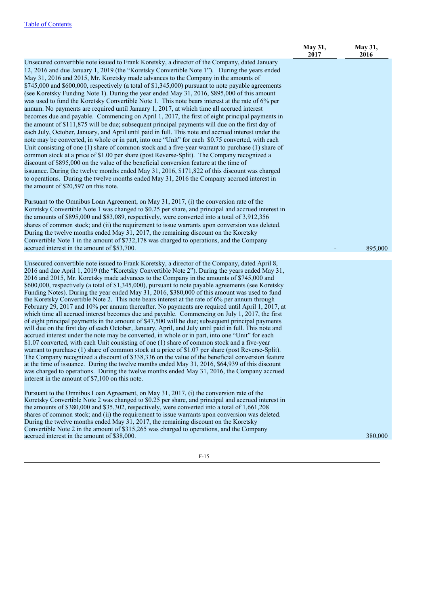|                                                                                                                                                                                                                                                                                                                                                                                                                                                                                                                                                                                                                                                                                                                                                                                                                                                                                                                                                                                                                                                                                                                                                                                                                                                                                                                                                                                                                                                                                                                                                                                                                                                                                                                                                                                                                                                                                                                                                                                                                                                                                                                                                                                                                                                                                    | May 31,<br>2017 | May 31,<br>2016 |
|------------------------------------------------------------------------------------------------------------------------------------------------------------------------------------------------------------------------------------------------------------------------------------------------------------------------------------------------------------------------------------------------------------------------------------------------------------------------------------------------------------------------------------------------------------------------------------------------------------------------------------------------------------------------------------------------------------------------------------------------------------------------------------------------------------------------------------------------------------------------------------------------------------------------------------------------------------------------------------------------------------------------------------------------------------------------------------------------------------------------------------------------------------------------------------------------------------------------------------------------------------------------------------------------------------------------------------------------------------------------------------------------------------------------------------------------------------------------------------------------------------------------------------------------------------------------------------------------------------------------------------------------------------------------------------------------------------------------------------------------------------------------------------------------------------------------------------------------------------------------------------------------------------------------------------------------------------------------------------------------------------------------------------------------------------------------------------------------------------------------------------------------------------------------------------------------------------------------------------------------------------------------------------|-----------------|-----------------|
| Unsecured convertible note issued to Frank Koretsky, a director of the Company, dated January<br>12, 2016 and due January 1, 2019 (the "Koretsky Convertible Note 1"). During the years ended<br>May 31, 2016 and 2015, Mr. Koretsky made advances to the Company in the amounts of<br>\$745,000 and \$600,000, respectively (a total of \$1,345,000) pursuant to note payable agreements<br>(see Koretsky Funding Note 1). During the year ended May 31, 2016, \$895,000 of this amount<br>was used to fund the Koretsky Convertible Note 1. This note bears interest at the rate of 6% per<br>annum. No payments are required until January 1, 2017, at which time all accrued interest<br>becomes due and payable. Commencing on April 1, 2017, the first of eight principal payments in<br>the amount of \$111,875 will be due; subsequent principal payments will due on the first day of<br>each July, October, January, and April until paid in full. This note and accrued interest under the<br>note may be converted, in whole or in part, into one "Unit" for each \$0.75 converted, with each<br>Unit consisting of one (1) share of common stock and a five-year warrant to purchase (1) share of<br>common stock at a price of \$1.00 per share (post Reverse-Split). The Company recognized a<br>discount of \$895,000 on the value of the beneficial conversion feature at the time of<br>issuance. During the twelve months ended May 31, 2016, \$171,822 of this discount was charged<br>to operations. During the twelve months ended May 31, 2016 the Company accrued interest in<br>the amount of \$20,597 on this note.                                                                                                                                                                                                                                                                                                                                                                                                                                                                                                                                                                                                                                      |                 |                 |
| Pursuant to the Omnibus Loan Agreement, on May 31, 2017, (i) the conversion rate of the<br>Koretsky Convertible Note 1 was changed to \$0.25 per share, and principal and accrued interest in<br>the amounts of \$895,000 and \$83,089, respectively, were converted into a total of 3,912,356<br>shares of common stock; and (ii) the requirement to issue warrants upon conversion was deleted.<br>During the twelve months ended May 31, 2017, the remaining discount on the Koretsky<br>Convertible Note 1 in the amount of \$732,178 was charged to operations, and the Company<br>accrued interest in the amount of \$53,700.                                                                                                                                                                                                                                                                                                                                                                                                                                                                                                                                                                                                                                                                                                                                                                                                                                                                                                                                                                                                                                                                                                                                                                                                                                                                                                                                                                                                                                                                                                                                                                                                                                                |                 | 895,000         |
| Unsecured convertible note issued to Frank Koretsky, a director of the Company, dated April 8,<br>2016 and due April 1, 2019 (the "Koretsky Convertible Note 2"). During the years ended May 31,<br>2016 and 2015, Mr. Koretsky made advances to the Company in the amounts of \$745,000 and<br>\$600,000, respectively (a total of \$1,345,000), pursuant to note payable agreements (see Koretsky<br>Funding Notes). During the year ended May 31, 2016, \$380,000 of this amount was used to fund<br>the Koretsky Convertible Note 2. This note bears interest at the rate of 6% per annum through<br>February 29, 2017 and 10% per annum thereafter. No payments are required until April 1, 2017, at<br>which time all accrued interest becomes due and payable. Commencing on July 1, 2017, the first<br>of eight principal payments in the amount of \$47,500 will be due; subsequent principal payments<br>will due on the first day of each October, January, April, and July until paid in full. This note and<br>accrued interest under the note may be converted, in whole or in part, into one "Unit" for each<br>\$1.07 converted, with each Unit consisting of one (1) share of common stock and a five-year<br>warrant to purchase (1) share of common stock at a price of \$1.07 per share (post Reverse-Split).<br>The Company recognized a discount of \$338,336 on the value of the beneficial conversion feature<br>at the time of issuance. During the twelve months ended May 31, 2016, \$64,939 of this discount<br>was charged to operations. During the twelve months ended May 31, 2016, the Company accrued<br>interest in the amount of \$7,100 on this note.<br>Pursuant to the Omnibus Loan Agreement, on May 31, 2017, (i) the conversion rate of the<br>Koretsky Convertible Note 2 was changed to \$0.25 per share, and principal and accrued interest in<br>the amounts of \$380,000 and \$35,302, respectively, were converted into a total of 1,661,208<br>shares of common stock; and (ii) the requirement to issue warrants upon conversion was deleted.<br>During the twelve months ended May 31, 2017, the remaining discount on the Koretsky<br>Convertible Note 2 in the amount of \$315,265 was charged to operations, and the Company |                 |                 |
| accrued interest in the amount of \$38,000.                                                                                                                                                                                                                                                                                                                                                                                                                                                                                                                                                                                                                                                                                                                                                                                                                                                                                                                                                                                                                                                                                                                                                                                                                                                                                                                                                                                                                                                                                                                                                                                                                                                                                                                                                                                                                                                                                                                                                                                                                                                                                                                                                                                                                                        |                 | 380,000         |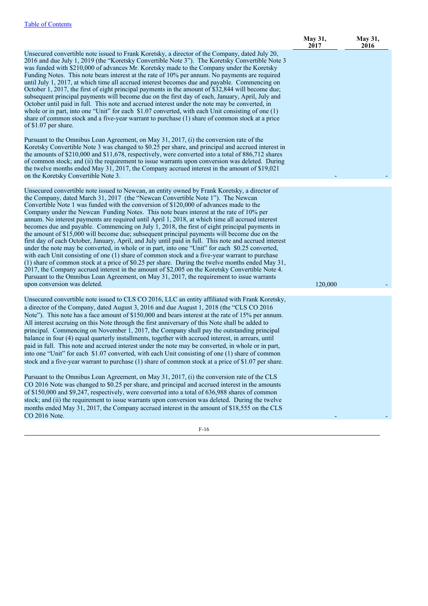| May 31,<br>2017 | May 31,<br>2016 |
|-----------------|-----------------|
|                 |                 |
|                 |                 |
| 120,000         |                 |
|                 |                 |
|                 |                 |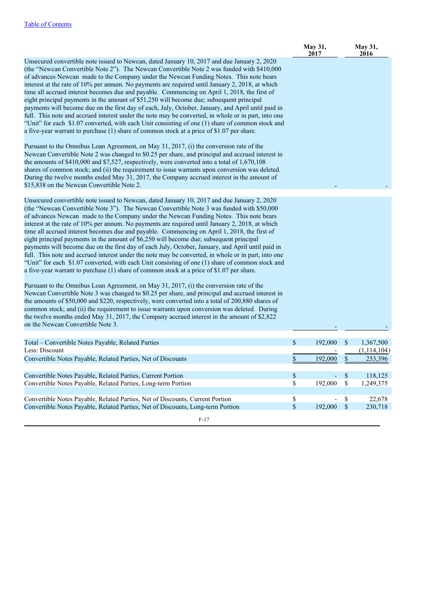|                                                                                                                                                                                                                                                                                                                                                                                                                                                                                                                                                                                                                                                                                                                                                                                                                                                                                                                                                                                                                                                                                                                                                                                                                                                                                                                                                                                                                                                                                                                                       | May 31,<br>2017 |                                   | <b>May 31,</b><br>2016 |
|---------------------------------------------------------------------------------------------------------------------------------------------------------------------------------------------------------------------------------------------------------------------------------------------------------------------------------------------------------------------------------------------------------------------------------------------------------------------------------------------------------------------------------------------------------------------------------------------------------------------------------------------------------------------------------------------------------------------------------------------------------------------------------------------------------------------------------------------------------------------------------------------------------------------------------------------------------------------------------------------------------------------------------------------------------------------------------------------------------------------------------------------------------------------------------------------------------------------------------------------------------------------------------------------------------------------------------------------------------------------------------------------------------------------------------------------------------------------------------------------------------------------------------------|-----------------|-----------------------------------|------------------------|
| Unsecured convertible note issued to Newcan, dated January 10, 2017 and due January 2, 2020<br>(the "Newcan Convertible Note 2"). The Newcan Convertible Note 2 was funded with \$410,000<br>of advances Newcan made to the Company under the Newcan Funding Notes. This note bears<br>interest at the rate of 10% per annum. No payments are required until January 2, 2018, at which<br>time all accrued interest becomes due and payable. Commencing on April 1, 2018, the first of<br>eight principal payments in the amount of \$51,250 will become due; subsequent principal<br>payments will become due on the first day of each, July, October, January, and April until paid in<br>full. This note and accrued interest under the note may be converted, in whole or in part, into one<br>"Unit" for each \$1.07 converted, with each Unit consisting of one (1) share of common stock and<br>a five-year warrant to purchase (1) share of common stock at a price of \$1.07 per share.<br>Pursuant to the Omnibus Loan Agreement, on May 31, 2017, (i) the conversion rate of the<br>Newcan Convertible Note 2 was changed to \$0.25 per share, and principal and accrued interest in<br>the amounts of \$410,000 and \$7,527, respectively, were converted into a total of 1,670,108<br>shares of common stock; and (ii) the requirement to issue warrants upon conversion was deleted.<br>During the twelve months ended May 31, 2017, the Company accrued interest in the amount of                                      |                 |                                   |                        |
| \$15,838 on the Newcan Convertible Note 2.                                                                                                                                                                                                                                                                                                                                                                                                                                                                                                                                                                                                                                                                                                                                                                                                                                                                                                                                                                                                                                                                                                                                                                                                                                                                                                                                                                                                                                                                                            |                 |                                   |                        |
| Unsecured convertible note issued to Newcan, dated January 10, 2017 and due January 2, 2020<br>(the "Newcan Convertible Note 3"). The Newcan Convertible Note 3 was funded with \$50,000<br>of advances Newcan made to the Company under the Newcan Funding Notes. This note bears<br>interest at the rate of 10% per annum. No payments are required until January 2, 2018, at which<br>time all accrued interest becomes due and payable. Commencing on April 1, 2018, the first of<br>eight principal payments in the amount of \$6,250 will become due; subsequent principal<br>payments will become due on the first day of each July, October, January, and April until paid in<br>full. This note and accrued interest under the note may be converted, in whole or in part, into one<br>"Unit" for each \$1.07 converted, with each Unit consisting of one (1) share of common stock and<br>a five-year warrant to purchase (1) share of common stock at a price of \$1.07 per share.<br>Pursuant to the Omnibus Loan Agreement, on May 31, 2017, (i) the conversion rate of the<br>Newcan Convertible Note 3 was changed to \$0.25 per share, and principal and accrued interest in<br>the amounts of \$50,000 and \$220, respectively, were converted into a total of 200,880 shares of<br>common stock; and (ii) the requirement to issue warrants upon conversion was deleted. During<br>the twelve months ended May 31, 2017, the Company accrued interest in the amount of \$2,822<br>on the Newcan Convertible Note 3. |                 |                                   |                        |
| Total - Convertible Notes Payable, Related Parties                                                                                                                                                                                                                                                                                                                                                                                                                                                                                                                                                                                                                                                                                                                                                                                                                                                                                                                                                                                                                                                                                                                                                                                                                                                                                                                                                                                                                                                                                    | \$<br>192,000   | \$                                | 1,367,500              |
| Less: Discount                                                                                                                                                                                                                                                                                                                                                                                                                                                                                                                                                                                                                                                                                                                                                                                                                                                                                                                                                                                                                                                                                                                                                                                                                                                                                                                                                                                                                                                                                                                        |                 |                                   | (1,114,104)            |
| Convertible Notes Payable, Related Parties, Net of Discounts                                                                                                                                                                                                                                                                                                                                                                                                                                                                                                                                                                                                                                                                                                                                                                                                                                                                                                                                                                                                                                                                                                                                                                                                                                                                                                                                                                                                                                                                          | \$<br>192,000   | \$                                | 253,396                |
| Convertible Notes Payable, Related Parties, Current Portion                                                                                                                                                                                                                                                                                                                                                                                                                                                                                                                                                                                                                                                                                                                                                                                                                                                                                                                                                                                                                                                                                                                                                                                                                                                                                                                                                                                                                                                                           | \$              | \$                                | 118,125                |
| Convertible Notes Payable, Related Parties, Long-term Portion                                                                                                                                                                                                                                                                                                                                                                                                                                                                                                                                                                                                                                                                                                                                                                                                                                                                                                                                                                                                                                                                                                                                                                                                                                                                                                                                                                                                                                                                         | \$<br>192,000   | $\mathbb{S}$                      | 1,249,375              |
| Convertible Notes Payable, Related Parties, Net of Discounts, Current Portion                                                                                                                                                                                                                                                                                                                                                                                                                                                                                                                                                                                                                                                                                                                                                                                                                                                                                                                                                                                                                                                                                                                                                                                                                                                                                                                                                                                                                                                         | \$              | $\mathbb{S}% _{t}\left( t\right)$ | 22,678                 |
| Convertible Notes Payable, Related Parties, Net of Discounts, Long-term Portion                                                                                                                                                                                                                                                                                                                                                                                                                                                                                                                                                                                                                                                                                                                                                                                                                                                                                                                                                                                                                                                                                                                                                                                                                                                                                                                                                                                                                                                       | \$<br>192,000   | $\mathbb{S}$                      | 230,718                |
| $F-17$                                                                                                                                                                                                                                                                                                                                                                                                                                                                                                                                                                                                                                                                                                                                                                                                                                                                                                                                                                                                                                                                                                                                                                                                                                                                                                                                                                                                                                                                                                                                |                 |                                   |                        |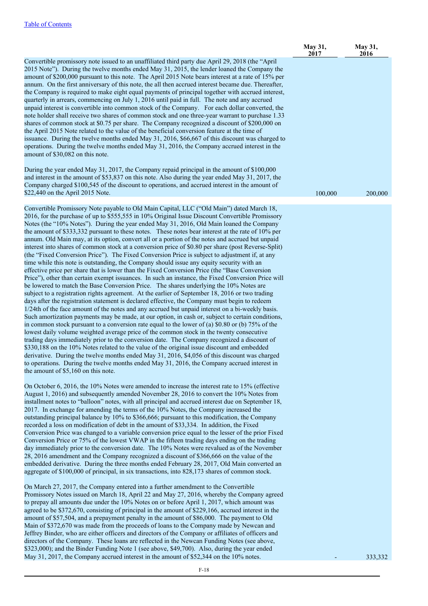|                                                                                                                                                                                                                                                                                                                                                                                                                                                                                                                                                                                                                                                                                                                                                                                                                                                                                                                                                                                                                                                                                                                                                                                                                                                                                                                                                                                                                                                                                                                                                                                                                                                                                                                                                                                                                                                                                                                                                                                                                                                                                                                                                               | May 31,<br>2017 | May 31,<br>2016 |
|---------------------------------------------------------------------------------------------------------------------------------------------------------------------------------------------------------------------------------------------------------------------------------------------------------------------------------------------------------------------------------------------------------------------------------------------------------------------------------------------------------------------------------------------------------------------------------------------------------------------------------------------------------------------------------------------------------------------------------------------------------------------------------------------------------------------------------------------------------------------------------------------------------------------------------------------------------------------------------------------------------------------------------------------------------------------------------------------------------------------------------------------------------------------------------------------------------------------------------------------------------------------------------------------------------------------------------------------------------------------------------------------------------------------------------------------------------------------------------------------------------------------------------------------------------------------------------------------------------------------------------------------------------------------------------------------------------------------------------------------------------------------------------------------------------------------------------------------------------------------------------------------------------------------------------------------------------------------------------------------------------------------------------------------------------------------------------------------------------------------------------------------------------------|-----------------|-----------------|
| Convertible promissory note issued to an unaffiliated third party due April 29, 2018 (the "April<br>2015 Note"). During the twelve months ended May 31, 2015, the lender loaned the Company the<br>amount of \$200,000 pursuant to this note. The April 2015 Note bears interest at a rate of 15% per<br>annum. On the first anniversary of this note, the all then accrued interest became due. Thereafter,<br>the Company is required to make eight equal payments of principal together with accrued interest,<br>quarterly in arrears, commencing on July 1, 2016 until paid in full. The note and any accrued<br>unpaid interest is convertible into common stock of the Company. For each dollar converted, the<br>note holder shall receive two shares of common stock and one three-year warrant to purchase 1.33<br>shares of common stock at \$0.75 per share. The Company recognized a discount of \$200,000 on<br>the April 2015 Note related to the value of the beneficial conversion feature at the time of<br>issuance. During the twelve months ended May 31, 2016, \$66,667 of this discount was charged to<br>operations. During the twelve months ended May 31, 2016, the Company accrued interest in the<br>amount of \$30,082 on this note.<br>During the year ended May 31, 2017, the Company repaid principal in the amount of \$100,000<br>and interest in the amount of \$53,837 on this note. Also during the year ended May 31, 2017, the<br>Company charged \$100,545 of the discount to operations, and accrued interest in the amount of<br>\$22,440 on the April 2015 Note.                                                                                                                                                                                                                                                                                                                                                                                                                                                                                                                                                   | 100,000         | 200,000         |
|                                                                                                                                                                                                                                                                                                                                                                                                                                                                                                                                                                                                                                                                                                                                                                                                                                                                                                                                                                                                                                                                                                                                                                                                                                                                                                                                                                                                                                                                                                                                                                                                                                                                                                                                                                                                                                                                                                                                                                                                                                                                                                                                                               |                 |                 |
| Convertible Promissory Note payable to Old Main Capital, LLC ("Old Main") dated March 18,<br>2016, for the purchase of up to \$555,555 in 10% Original Issue Discount Convertible Promissory<br>Notes (the "10% Notes"). During the year ended May 31, 2016, Old Main loaned the Company<br>the amount of \$333,332 pursuant to these notes. These notes bear interest at the rate of 10% per<br>annum. Old Main may, at its option, convert all or a portion of the notes and accrued but unpaid<br>interest into shares of common stock at a conversion price of \$0.80 per share (post Reverse-Split)<br>(the "Fixed Conversion Price"). The Fixed Conversion Price is subject to adjustment if, at any<br>time while this note is outstanding, the Company should issue any equity security with an<br>effective price per share that is lower than the Fixed Conversion Price (the "Base Conversion<br>Price"), other than certain exempt issuances. In such an instance, the Fixed Conversion Price will<br>be lowered to match the Base Conversion Price. The shares underlying the 10% Notes are<br>subject to a registration rights agreement. At the earlier of September 18, 2016 or two trading<br>days after the registration statement is declared effective, the Company must begin to redeem<br>1/24th of the face amount of the notes and any accrued but unpaid interest on a bi-weekly basis.<br>Such amortization payments may be made, at our option, in cash or, subject to certain conditions,<br>in common stock pursuant to a conversion rate equal to the lower of (a) \$0.80 or (b) $75\%$ of the<br>lowest daily volume weighted average price of the common stock in the twenty consecutive<br>trading days immediately prior to the conversion date. The Company recognized a discount of<br>\$330,188 on the 10% Notes related to the value of the original issue discount and embedded<br>derivative. During the twelve months ended May 31, 2016, \$4,056 of this discount was charged<br>to operations. During the twelve months ended May 31, 2016, the Company accrued interest in<br>the amount of \$5,160 on this note. |                 |                 |
| On October 6, 2016, the 10% Notes were amended to increase the interest rate to 15% (effective<br>August 1, 2016) and subsequently amended November 28, 2016 to convert the 10% Notes from<br>installment notes to "balloon" notes, with all principal and accrued interest due on September 18,<br>2017. In exchange for amending the terms of the 10% Notes, the Company increased the<br>outstanding principal balance by 10% to \$366,666; pursuant to this modification, the Company<br>recorded a loss on modification of debt in the amount of \$33,334. In addition, the Fixed<br>Conversion Price was changed to a variable conversion price equal to the lesser of the prior Fixed<br>Conversion Price or 75% of the lowest VWAP in the fifteen trading days ending on the trading<br>day immediately prior to the conversion date. The 10% Notes were revalued as of the November<br>28, 2016 amendment and the Company recognized a discount of \$366,666 on the value of the<br>embedded derivative. During the three months ended February 28, 2017, Old Main converted an<br>aggregate of \$100,000 of principal, in six transactions, into 828,173 shares of common stock.<br>On March 27, 2017, the Company entered into a further amendment to the Convertible<br>Promissory Notes issued on March 18, April 22 and May 27, 2016, whereby the Company agreed<br>to prepay all amounts due under the 10% Notes on or before April 1, 2017, which amount was                                                                                                                                                                                                                                                                                                                                                                                                                                                                                                                                                                                                                                                                                  |                 |                 |
| agreed to be \$372,670, consisting of principal in the amount of \$229,166, accrued interest in the<br>amount of \$57,504, and a prepayment penalty in the amount of \$86,000. The payment to Old<br>Main of \$372,670 was made from the proceeds of loans to the Company made by Newcan and<br>Jeffrey Binder, who are either officers and directors of the Company or affiliates of officers and<br>directors of the Company. These loans are reflected in the Newcan Funding Notes (see above,<br>\$323,000); and the Binder Funding Note 1 (see above, \$49,700). Also, during the year ended<br>May 31, 2017, the Company accrued interest in the amount of \$52,344 on the 10% notes.                                                                                                                                                                                                                                                                                                                                                                                                                                                                                                                                                                                                                                                                                                                                                                                                                                                                                                                                                                                                                                                                                                                                                                                                                                                                                                                                                                                                                                                                   |                 | 333,332         |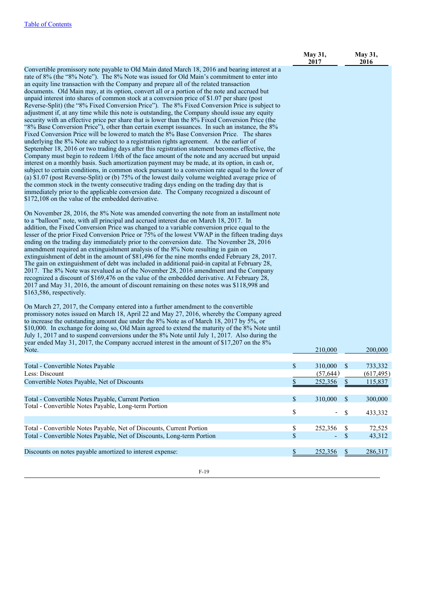|                                                                                                                                                                                                                                                                                                                                                                                                                                                                                                                                                                                                                                                                                                                                                                                                                                                                                                                                                                                                                                                                                                                                                                                                                                                                                                                                                                                                                                                                                                                                                                                                                                                                                                                                                                                                                                                     | <b>May 31,</b><br>2017         |               | <b>May 31,</b><br>2016 |
|-----------------------------------------------------------------------------------------------------------------------------------------------------------------------------------------------------------------------------------------------------------------------------------------------------------------------------------------------------------------------------------------------------------------------------------------------------------------------------------------------------------------------------------------------------------------------------------------------------------------------------------------------------------------------------------------------------------------------------------------------------------------------------------------------------------------------------------------------------------------------------------------------------------------------------------------------------------------------------------------------------------------------------------------------------------------------------------------------------------------------------------------------------------------------------------------------------------------------------------------------------------------------------------------------------------------------------------------------------------------------------------------------------------------------------------------------------------------------------------------------------------------------------------------------------------------------------------------------------------------------------------------------------------------------------------------------------------------------------------------------------------------------------------------------------------------------------------------------------|--------------------------------|---------------|------------------------|
| Convertible promissory note payable to Old Main dated March 18, 2016 and bearing interest at a<br>rate of 8% (the "8% Note"). The 8% Note was issued for Old Main's commitment to enter into<br>an equity line transaction with the Company and prepare all of the related transaction<br>documents. Old Main may, at its option, convert all or a portion of the note and accrued but<br>unpaid interest into shares of common stock at a conversion price of \$1.07 per share (post<br>Reverse-Split) (the "8% Fixed Conversion Price"). The 8% Fixed Conversion Price is subject to<br>adjustment if, at any time while this note is outstanding, the Company should issue any equity<br>security with an effective price per share that is lower than the 8% Fixed Conversion Price (the<br>"8% Base Conversion Price"), other than certain exempt issuances. In such an instance, the 8%<br>Fixed Conversion Price will be lowered to match the 8% Base Conversion Price. The shares<br>underlying the 8% Note are subject to a registration rights agreement. At the earlier of<br>September 18, 2016 or two trading days after this registration statement becomes effective, the<br>Company must begin to redeem 1/6th of the face amount of the note and any accrued but unpaid<br>interest on a monthly basis. Such amortization payment may be made, at its option, in cash or,<br>subject to certain conditions, in common stock pursuant to a conversion rate equal to the lower of<br>(a) \$1.07 (post Reverse-Split) or (b) 75% of the lowest daily volume weighted average price of<br>the common stock in the twenty consecutive trading days ending on the trading day that is<br>immediately prior to the applicable conversion date. The Company recognized a discount of<br>\$172,108 on the value of the embedded derivative. |                                |               |                        |
| On November 28, 2016, the 8% Note was amended converting the note from an installment note<br>to a "balloon" note, with all principal and accrued interest due on March 18, 2017. In<br>addition, the Fixed Conversion Price was changed to a variable conversion price equal to the<br>lesser of the prior Fixed Conversion Price or 75% of the lowest VWAP in the fifteen trading days<br>ending on the trading day immediately prior to the conversion date. The November 28, 2016<br>amendment required an extinguishment analysis of the 8% Note resulting in gain on<br>extinguishment of debt in the amount of \$81,496 for the nine months ended February 28, 2017.<br>The gain on extinguishment of debt was included in additional paid-in capital at February 28,<br>2017. The 8% Note was revalued as of the November 28, 2016 amendment and the Company<br>recognized a discount of \$169,476 on the value of the embedded derivative. At February 28,<br>2017 and May 31, 2016, the amount of discount remaining on these notes was \$118,998 and<br>$$163,586$ , respectively.                                                                                                                                                                                                                                                                                                                                                                                                                                                                                                                                                                                                                                                                                                                                                       |                                |               |                        |
| On March 27, 2017, the Company entered into a further amendment to the convertible<br>promissory notes issued on March 18, April 22 and May 27, 2016, whereby the Company agreed<br>to increase the outstanding amount due under the 8% Note as of March 18, 2017 by 5%, or<br>\$10,000. In exchange for doing so, Old Main agreed to extend the maturity of the 8% Note until<br>July 1, 2017 and to suspend conversions under the 8% Note until July 1, 2017. Also during the<br>year ended May 31, 2017, the Company accrued interest in the amount of \$17,207 on the 8%<br>Note.                                                                                                                                                                                                                                                                                                                                                                                                                                                                                                                                                                                                                                                                                                                                                                                                                                                                                                                                                                                                                                                                                                                                                                                                                                                               | 210,000                        |               | 200,000                |
|                                                                                                                                                                                                                                                                                                                                                                                                                                                                                                                                                                                                                                                                                                                                                                                                                                                                                                                                                                                                                                                                                                                                                                                                                                                                                                                                                                                                                                                                                                                                                                                                                                                                                                                                                                                                                                                     |                                |               |                        |
| Total - Convertible Notes Payable                                                                                                                                                                                                                                                                                                                                                                                                                                                                                                                                                                                                                                                                                                                                                                                                                                                                                                                                                                                                                                                                                                                                                                                                                                                                                                                                                                                                                                                                                                                                                                                                                                                                                                                                                                                                                   | \$<br>310,000                  | \$            | 733,332                |
| Less: Discount                                                                                                                                                                                                                                                                                                                                                                                                                                                                                                                                                                                                                                                                                                                                                                                                                                                                                                                                                                                                                                                                                                                                                                                                                                                                                                                                                                                                                                                                                                                                                                                                                                                                                                                                                                                                                                      | (57, 644)                      |               | (617, 495)             |
| Convertible Notes Payable, Net of Discounts                                                                                                                                                                                                                                                                                                                                                                                                                                                                                                                                                                                                                                                                                                                                                                                                                                                                                                                                                                                                                                                                                                                                                                                                                                                                                                                                                                                                                                                                                                                                                                                                                                                                                                                                                                                                         | \$<br>252,356                  | <u>\$</u>     | 115,837                |
|                                                                                                                                                                                                                                                                                                                                                                                                                                                                                                                                                                                                                                                                                                                                                                                                                                                                                                                                                                                                                                                                                                                                                                                                                                                                                                                                                                                                                                                                                                                                                                                                                                                                                                                                                                                                                                                     |                                |               |                        |
| Total - Convertible Notes Payable, Current Portion                                                                                                                                                                                                                                                                                                                                                                                                                                                                                                                                                                                                                                                                                                                                                                                                                                                                                                                                                                                                                                                                                                                                                                                                                                                                                                                                                                                                                                                                                                                                                                                                                                                                                                                                                                                                  | \$<br>310,000                  | \$            | 300,000                |
| Total - Convertible Notes Payable, Long-term Portion                                                                                                                                                                                                                                                                                                                                                                                                                                                                                                                                                                                                                                                                                                                                                                                                                                                                                                                                                                                                                                                                                                                                                                                                                                                                                                                                                                                                                                                                                                                                                                                                                                                                                                                                                                                                | \$<br>$\overline{\phantom{a}}$ | \$            | 433,332                |
| Total - Convertible Notes Payable, Net of Discounts, Current Portion                                                                                                                                                                                                                                                                                                                                                                                                                                                                                                                                                                                                                                                                                                                                                                                                                                                                                                                                                                                                                                                                                                                                                                                                                                                                                                                                                                                                                                                                                                                                                                                                                                                                                                                                                                                | \$<br>252,356                  | \$            | 72,525                 |
| Total - Convertible Notes Payable, Net of Discounts, Long-term Portion                                                                                                                                                                                                                                                                                                                                                                                                                                                                                                                                                                                                                                                                                                                                                                                                                                                                                                                                                                                                                                                                                                                                                                                                                                                                                                                                                                                                                                                                                                                                                                                                                                                                                                                                                                              | \$                             | \$            | 43,312                 |
|                                                                                                                                                                                                                                                                                                                                                                                                                                                                                                                                                                                                                                                                                                                                                                                                                                                                                                                                                                                                                                                                                                                                                                                                                                                                                                                                                                                                                                                                                                                                                                                                                                                                                                                                                                                                                                                     |                                |               |                        |
| Discounts on notes payable amortized to interest expense:                                                                                                                                                                                                                                                                                                                                                                                                                                                                                                                                                                                                                                                                                                                                                                                                                                                                                                                                                                                                                                                                                                                                                                                                                                                                                                                                                                                                                                                                                                                                                                                                                                                                                                                                                                                           | \$<br>252,356                  | $\frac{S}{2}$ | 286,317                |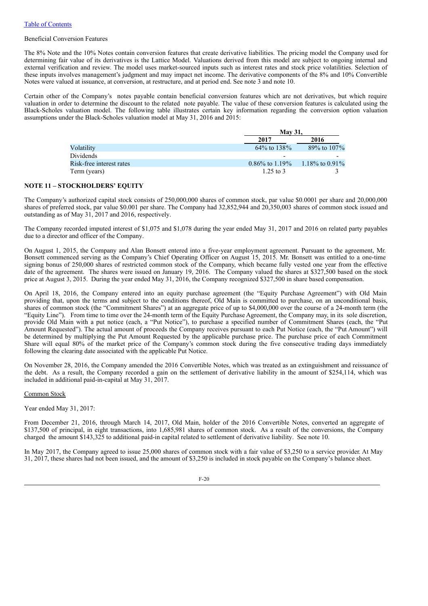Beneficial Conversion Features

The 8% Note and the 10% Notes contain conversion features that create derivative liabilities. The pricing model the Company used for determining fair value of its derivatives is the Lattice Model. Valuations derived from this model are subject to ongoing internal and external verification and review. The model uses market-sourced inputs such as interest rates and stock price volatilities. Selection of these inputs involves management's judgment and may impact net income. The derivative components of the 8% and 10% Convertible Notes were valued at issuance, at conversion, at restructure, and at period end. See note 3 and note 10.

Certain other of the Company's notes payable contain beneficial conversion features which are not derivatives, but which require valuation in order to determine the discount to the related note payable. The value of these conversion features is calculated using the Black-Scholes valuation model. The following table illustrates certain key information regarding the conversion option valuation assumptions under the Black-Scholes valuation model at May 31, 2016 and 2015:

|                          | <b>May 31.</b>    |                    |
|--------------------------|-------------------|--------------------|
|                          | 2017              | 2016               |
| Volatility               | $64\%$ to $138\%$ | 89% to 107%        |
| Dividends                |                   |                    |
| Risk-free interest rates | 0.86\% to 1.19\%  | 1.18\% to $0.91\%$ |
| Term (years)             | $1.25$ to 3       |                    |

## **NOTE 11 – STOCKHOLDERS' EQUITY**

The Company's authorized capital stock consists of 250,000,000 shares of common stock, par value \$0.0001 per share and 20,000,000 shares of preferred stock, par value \$0.001 per share. The Company had 32,852,944 and 20,350,003 shares of common stock issued and outstanding as of May 31, 2017 and 2016, respectively.

The Company recorded imputed interest of \$1,075 and \$1,078 during the year ended May 31, 2017 and 2016 on related party payables due to a director and officer of the Company.

On August 1, 2015, the Company and Alan Bonsett entered into a five-year employment agreement. Pursuant to the agreement, Mr. Bonsett commenced serving as the Company's Chief Operating Officer on August 15, 2015. Mr. Bonsett was entitled to a one-time signing bonus of 250,000 shares of restricted common stock of the Company, which became fully vested one year from the effective date of the agreement. The shares were issued on January 19, 2016. The Company valued the shares at \$327,500 based on the stock price at August 3, 2015. During the year ended May 31, 2016, the Company recognized \$327,500 in share based compensation.

On April 18, 2016, the Company entered into an equity purchase agreement (the "Equity Purchase Agreement") with Old Main providing that, upon the terms and subject to the conditions thereof, Old Main is committed to purchase, on an unconditional basis, shares of common stock (the "Commitment Shares") at an aggregate price of up to \$4,000,000 over the course of a 24-month term (the "Equity Line"). From time to time over the 24-month term of the Equity Purchase Agreement, the Company may, in its sole discretion, provide Old Main with a put notice (each, a "Put Notice"), to purchase a specified number of Commitment Shares (each, the "Put Amount Requested"). The actual amount of proceeds the Company receives pursuant to each Put Notice (each, the "Put Amount") will be determined by multiplying the Put Amount Requested by the applicable purchase price. The purchase price of each Commitment Share will equal 80% of the market price of the Company's common stock during the five consecutive trading days immediately following the clearing date associated with the applicable Put Notice.

On November 28, 2016, the Company amended the 2016 Convertible Notes, which was treated as an extinguishment and reissuance of the debt. As a result, the Company recorded a gain on the settlement of derivative liability in the amount of \$254,114, which was included in additional paid-in-capital at May 31, 2017.

Common Stock

Year ended May 31, 2017:

From December 21, 2016, through March 14, 2017, Old Main, holder of the 2016 Convertible Notes, converted an aggregate of \$137,500 of principal, in eight transactions, into 1,685,981 shares of common stock. As a result of the conversions, the Company charged the amount \$143,325 to additional paid-in capital related to settlement of derivative liability. See note 10.

In May 2017, the Company agreed to issue 25,000 shares of common stock with a fair value of \$3,250 to a service provider. At May 31, 2017, these shares had not been issued, and the amount of \$3,250 is included in stock payable on the Company's balance sheet.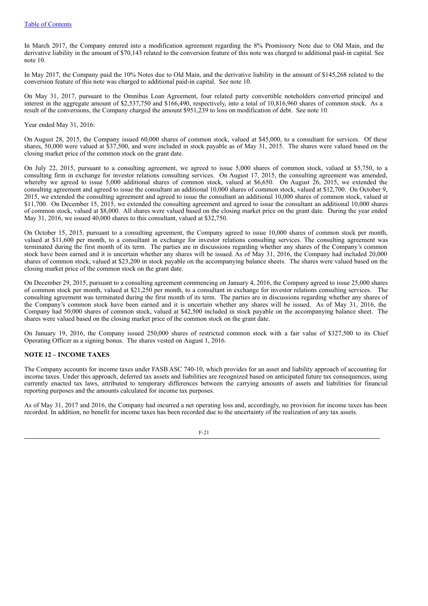In March 2017, the Company entered into a modification agreement regarding the 8% Promissory Note due to Old Main, and the derivative liability in the amount of \$70,143 related to the conversion feature of this note was charged to additional paid-in capital. See note 10.

In May 2017, the Company paid the 10% Notes due to Old Main, and the derivative liability in the amount of \$145,268 related to the conversion feature of this note was charged to additional paid-in capital. See note 10.

On May 31, 2017, pursuant to the Omnibus Loan Agreement, four related party convertible noteholders converted principal and interest in the aggregate amount of \$2,537,750 and \$166,490, respectively, into a total of 10,816,960 shares of common stock. As a result of the conversions, the Company charged the amount \$951,239 to loss on modification of debt. See note 10.

#### Year ended May 31, 2016:

On August 28, 2015, the Company issued 60,000 shares of common stock, valued at \$45,000, to a consultant for services. Of these shares, 50,000 were valued at \$37,500, and were included in stock payable as of May 31, 2015. The shares were valued based on the closing market price of the common stock on the grant date.

On July 22, 2015, pursuant to a consulting agreement, we agreed to issue 5,000 shares of common stock, valued at \$5,750, to a consulting firm in exchange for investor relations consulting services. On August 17, 2015, the consulting agreement was amended, whereby we agreed to issue 5,000 additional shares of common stock, valued at \$6,650. On August 26, 2015, we extended the consulting agreement and agreed to issue the consultant an additional 10,000 shares of common stock, valued at \$12,700. On October 9, 2015, we extended the consulting agreement and agreed to issue the consultant an additional 10,000 shares of common stock, valued at \$11,700. On December 15, 2015, we extended the consulting agreement and agreed to issue the consultant an additional 10,000 shares of common stock, valued at \$8,000. All shares were valued based on the closing market price on the grant date. During the year ended May 31, 2016, we issued 40,000 shares to this consultant, valued at \$32,750.

On October 15, 2015, pursuant to a consulting agreement, the Company agreed to issue 10,000 shares of common stock per month, valued at \$11,600 per month, to a consultant in exchange for investor relations consulting services. The consulting agreement was terminated during the first month of its term. The parties are in discussions regarding whether any shares of the Company's common stock have been earned and it is uncertain whether any shares will be issued. As of May 31, 2016, the Company had included 20,000 shares of common stock, valued at \$23,200 in stock payable on the accompanying balance sheets. The shares were valued based on the closing market price of the common stock on the grant date.

On December 29, 2015, pursuant to a consulting agreement commencing on January 4, 2016, the Company agreed to issue 25,000 shares of common stock per month, valued at \$21,250 per month, to a consultant in exchange for investor relations consulting services. The consulting agreement was terminated during the first month of its term. The parties are in discussions regarding whether any shares of the Company's common stock have been earned and it is uncertain whether any shares will be issued. As of May 31, 2016, the Company had 50,000 shares of common stock, valued at \$42,500 included in stock payable on the accompanying balance sheet. The shares were valued based on the closing market price of the common stock on the grant date.

On January 19, 2016, the Company issued 250,000 shares of restricted common stock with a fair value of \$327,500 to its Chief Operating Officer as a signing bonus. The shares vested on August 1, 2016.

## **NOTE 12 – INCOME TAXES**

The Company accounts for income taxes under FASB ASC 740-10, which provides for an asset and liability approach of accounting for income taxes. Under this approach, deferred tax assets and liabilities are recognized based on anticipated future tax consequences, using currently enacted tax laws, attributed to temporary differences between the carrying amounts of assets and liabilities for financial reporting purposes and the amounts calculated for income tax purposes.

As of May 31, 2017 and 2016, the Company had incurred a net operating loss and, accordingly, no provision for income taxes has been recorded. In addition, no benefit for income taxes has been recorded due to the uncertainty of the realization of any tax assets.

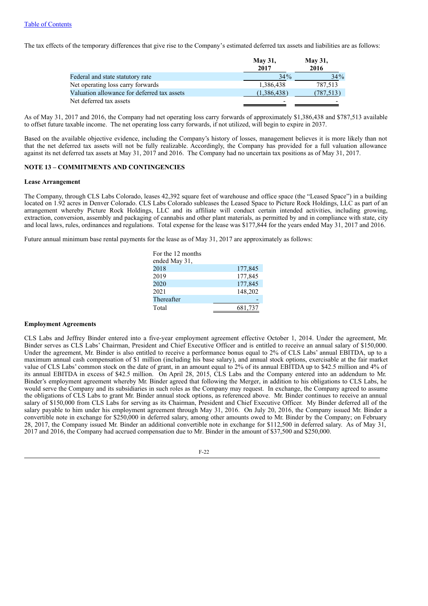The tax effects of the temporary differences that give rise to the Company's estimated deferred tax assets and liabilities are as follows:

|                                             | <b>May 31,</b><br>2017 | <b>May 31,</b><br>2016 |
|---------------------------------------------|------------------------|------------------------|
| Federal and state statutory rate            | 34%                    | 34%                    |
| Net operating loss carry forwards           | 1,386,438              | 787,513                |
| Valuation allowance for deferred tax assets | (1,386,438)            | (787,513)              |
| Net deferred tax assets                     | -                      | -                      |

As of May 31, 2017 and 2016, the Company had net operating loss carry forwards of approximately \$1,386,438 and \$787,513 available to offset future taxable income. The net operating loss carry forwards, if not utilized, will begin to expire in 2037.

Based on the available objective evidence, including the Company's history of losses, management believes it is more likely than not that the net deferred tax assets will not be fully realizable. Accordingly, the Company has provided for a full valuation allowance against its net deferred tax assets at May 31, 2017 and 2016. The Company had no uncertain tax positions as of May 31, 2017.

#### **NOTE 13 – COMMITMENTS AND CONTINGENCIES**

#### **Lease Arrangement**

The Company, through CLS Labs Colorado, leases 42,392 square feet of warehouse and office space (the "Leased Space") in a building located on 1.92 acres in Denver Colorado. CLS Labs Colorado subleases the Leased Space to Picture Rock Holdings, LLC as part of an arrangement whereby Picture Rock Holdings, LLC and its affiliate will conduct certain intended activities, including growing, extraction, conversion, assembly and packaging of cannabis and other plant materials, as permitted by and in compliance with state, city and local laws, rules, ordinances and regulations. Total expense for the lease was \$177,844 for the years ended May 31, 2017 and 2016.

Future annual minimum base rental payments for the lease as of May 31, 2017 are approximately as follows:

| 177,845 |
|---------|
| 177,845 |
| 177,845 |
| 148,202 |
|         |
| 681,737 |
|         |

#### **Employment Agreements**

CLS Labs and Jeffrey Binder entered into a five-year employment agreement effective October 1, 2014. Under the agreement, Mr. Binder serves as CLS Labs' Chairman, President and Chief Executive Officer and is entitled to receive an annual salary of \$150,000. Under the agreement, Mr. Binder is also entitled to receive a performance bonus equal to 2% of CLS Labs' annual EBITDA, up to a maximum annual cash compensation of \$1 million (including his base salary), and annual stock options, exercisable at the fair market value of CLS Labs' common stock on the date of grant, in an amount equal to 2% of its annual EBITDA up to \$42.5 million and 4% of its annual EBITDA in excess of \$42.5 million. On April 28, 2015, CLS Labs and the Company entered into an addendum to Mr. Binder's employment agreement whereby Mr. Binder agreed that following the Merger, in addition to his obligations to CLS Labs, he would serve the Company and its subsidiaries in such roles as the Company may request. In exchange, the Company agreed to assume the obligations of CLS Labs to grant Mr. Binder annual stock options, as referenced above. Mr. Binder continues to receive an annual salary of \$150,000 from CLS Labs for serving as its Chairman, President and Chief Executive Officer. My Binder deferred all of the salary payable to him under his employment agreement through May 31, 2016. On July 20, 2016, the Company issued Mr. Binder a convertible note in exchange for \$250,000 in deferred salary, among other amounts owed to Mr. Binder by the Company; on February 28, 2017, the Company issued Mr. Binder an additional convertible note in exchange for \$112,500 in deferred salary. As of May 31, 2017 and 2016, the Company had accrued compensation due to Mr. Binder in the amount of \$37,500 and \$250,000.

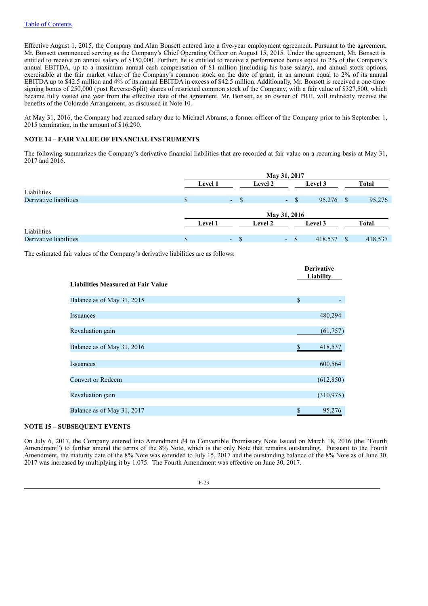Effective August 1, 2015, the Company and Alan Bonsett entered into a five-year employment agreement. Pursuant to the agreement, Mr. Bonsett commenced serving as the Company's Chief Operating Officer on August 15, 2015. Under the agreement, Mr. Bonsett is entitled to receive an annual salary of \$150,000. Further, he is entitled to receive a performance bonus equal to 2% of the Company's annual EBITDA, up to a maximum annual cash compensation of \$1 million (including his base salary), and annual stock options, exercisable at the fair market value of the Company's common stock on the date of grant, in an amount equal to 2% of its annual EBITDA up to \$42.5 million and 4% of its annual EBITDA in excess of \$42.5 million. Additionally, Mr. Bonsett is received a one-time signing bonus of 250,000 (post Reverse-Split) shares of restricted common stock of the Company, with a fair value of \$327,500, which became fully vested one year from the effective date of the agreement. Mr. Bonsett, as an owner of PRH, will indirectly receive the benefits of the Colorado Arrangement, as discussed in Note 10.

At May 31, 2016, the Company had accrued salary due to Michael Abrams, a former officer of the Company prior to his September 1, 2015 termination, in the amount of \$16,290.

## **NOTE 14 – FAIR VALUE OF FINANCIAL INSTRUMENTS**

The following summarizes the Company's derivative financial liabilities that are recorded at fair value on a recurring basis at May 31, 2017 and 2016.

| <b>Level 1</b> |  | Level 2                  |   | Level 3 |                              | Total                 |
|----------------|--|--------------------------|---|---------|------------------------------|-----------------------|
|                |  |                          |   |         |                              |                       |
|                |  |                          |   |         |                              | 95,276                |
|                |  |                          |   |         |                              |                       |
| <b>Level 1</b> |  | Level 2                  |   | Level 3 |                              | Total                 |
|                |  |                          |   |         |                              |                       |
|                |  | $\overline{\phantom{a}}$ | S | 418,537 |                              | 418,537               |
|                |  | $-$ \$<br>$-$ \$         |   | $- S$   | May 31, 2017<br>May 31, 2016 | 95,276 \$<br><b>S</b> |

The estimated fair values of the Company's derivative liabilities are as follows:

|                                           | <b>Derivative</b><br>Liability |
|-------------------------------------------|--------------------------------|
| <b>Liabilities Measured at Fair Value</b> |                                |
| Balance as of May 31, 2015                | $\mathcal{S}$                  |
| Issuances                                 | 480,294                        |
| Revaluation gain                          | (61, 757)                      |
| Balance as of May 31, 2016                | \$<br>418,537                  |
| Issuances                                 | 600,564                        |
| <b>Convert or Redeem</b>                  | (612, 850)                     |
| Revaluation gain                          | (310,975)                      |
| Balance as of May 31, 2017                | 95,276                         |

#### **NOTE 15 – SUBSEQUENT EVENTS**

On July 6, 2017, the Company entered into Amendment #4 to Convertible Promissory Note Issued on March 18, 2016 (the "Fourth Amendment") to further amend the terms of the 8% Note, which is the only Note that remains outstanding. Pursuant to the Fourth Amendment, the maturity date of the 8% Note was extended to July 15, 2017 and the outstanding balance of the 8% Note as of June 30, 2017 was increased by multiplying it by 1.075. The Fourth Amendment was effective on June 30, 2017.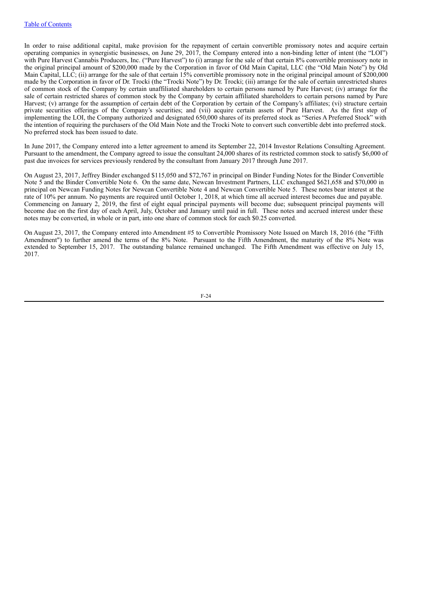In order to raise additional capital, make provision for the repayment of certain convertible promissory notes and acquire certain operating companies in synergistic businesses, on June 29, 2017, the Company entered into a non-binding letter of intent (the "LOI") with Pure Harvest Cannabis Producers, Inc. ("Pure Harvest") to (i) arrange for the sale of that certain 8% convertible promissory note in the original principal amount of \$200,000 made by the Corporation in favor of Old Main Capital, LLC (the "Old Main Note") by Old Main Capital, LLC; (ii) arrange for the sale of that certain 15% convertible promissory note in the original principal amount of \$200,000 made by the Corporation in favor of Dr. Trocki (the "Trocki Note") by Dr. Trocki; (iii) arrange for the sale of certain unrestricted shares of common stock of the Company by certain unaffiliated shareholders to certain persons named by Pure Harvest; (iv) arrange for the sale of certain restricted shares of common stock by the Company by certain affiliated shareholders to certain persons named by Pure Harvest; (v) arrange for the assumption of certain debt of the Corporation by certain of the Company's affiliates; (vi) structure certain private securities offerings of the Company's securities; and (vii) acquire certain assets of Pure Harvest. As the first step of implementing the LOI, the Company authorized and designated 650,000 shares of its preferred stock as "Series A Preferred Stock" with the intention of requiring the purchasers of the Old Main Note and the Trocki Note to convert such convertible debt into preferred stock. No preferred stock has been issued to date.

In June 2017, the Company entered into a letter agreement to amend its September 22, 2014 Investor Relations Consulting Agreement. Pursuant to the amendment, the Company agreed to issue the consultant 24,000 shares of its restricted common stock to satisfy \$6,000 of past due invoices for services previously rendered by the consultant from January 2017 through June 2017.

On August 23, 2017, Jeffrey Binder exchanged \$115,050 and \$72,767 in principal on Binder Funding Notes for the Binder Convertible Note 5 and the Binder Convertible Note 6. On the same date, Newcan Investment Partners, LLC exchanged \$621,658 and \$70,000 in principal on Newcan Funding Notes for Newcan Convertible Note 4 and Newcan Convertible Note 5. These notes bear interest at the rate of 10% per annum. No payments are required until October 1, 2018, at which time all accrued interest becomes due and payable. Commencing on January 2, 2019, the first of eight equal principal payments will become due; subsequent principal payments will become due on the first day of each April, July, October and January until paid in full. These notes and accrued interest under these notes may be converted, in whole or in part, into one share of common stock for each \$0.25 converted.

On August 23, 2017, the Company entered into Amendment #5 to Convertible Promissory Note Issued on March 18, 2016 (the "Fifth Amendment") to further amend the terms of the 8% Note. Pursuant to the Fifth Amendment, the maturity of the 8% Note was extended to September 15, 2017. The outstanding balance remained unchanged. The Fifth Amendment was effective on July 15, 2017.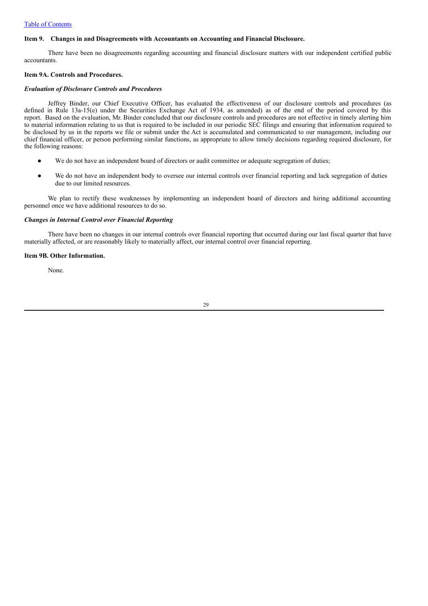## **Item 9. Changes in and Disagreements with Accountants on Accounting and Financial Disclosure.**

There have been no disagreements regarding accounting and financial disclosure matters with our independent certified public accountants.

### **Item 9A. Controls and Procedures.**

## *Evaluation of Disclosure Controls and Procedures*

Jeffrey Binder, our Chief Executive Officer, has evaluated the effectiveness of our disclosure controls and procedures (as defined in Rule 13a-15(e) under the Securities Exchange Act of 1934, as amended) as of the end of the period covered by this report. Based on the evaluation, Mr. Binder concluded that our disclosure controls and procedures are not effective in timely alerting him to material information relating to us that is required to be included in our periodic SEC filings and ensuring that information required to be disclosed by us in the reports we file or submit under the Act is accumulated and communicated to our management, including our chief financial officer, or person performing similar functions, as appropriate to allow timely decisions regarding required disclosure, for the following reasons:

- We do not have an independent board of directors or audit committee or adequate segregation of duties;
- We do not have an independent body to oversee our internal controls over financial reporting and lack segregation of duties due to our limited resources.

We plan to rectify these weaknesses by implementing an independent board of directors and hiring additional accounting personnel once we have additional resources to do so.

## *Changes in Internal Control over Financial Reporting*

There have been no changes in our internal controls over financial reporting that occurred during our last fiscal quarter that have materially affected, or are reasonably likely to materially affect, our internal control over financial reporting.

## **Item 9B. Other Information.**

None.

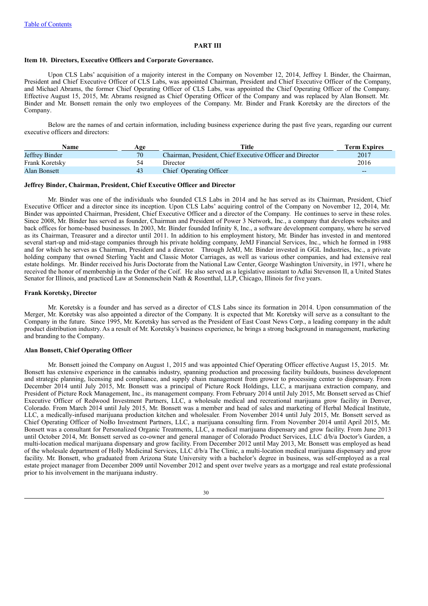## **PART III**

#### **Item 10. Directors, Executive Officers and Corporate Governance.**

Upon CLS Labs' acquisition of a majority interest in the Company on November 12, 2014, Jeffrey I. Binder, the Chairman, President and Chief Executive Officer of CLS Labs, was appointed Chairman, President and Chief Executive Officer of the Company, and Michael Abrams, the former Chief Operating Officer of CLS Labs, was appointed the Chief Operating Officer of the Company. Effective August 15, 2015, Mr. Abrams resigned as Chief Operating Officer of the Company and was replaced by Alan Bonsett. Mr. Binder and Mr. Bonsett remain the only two employees of the Company. Mr. Binder and Frank Koretsky are the directors of the Company.

Below are the names of and certain information, including business experience during the past five years, regarding our current executive officers and directors:

| Name           | Age | Title                                                     | Term Expires |
|----------------|-----|-----------------------------------------------------------|--------------|
| Jeffrey Binder | 70  | Chairman, President, Chief Executive Officer and Director | 2017         |
| Frank Koretsky |     | Director                                                  | 2016         |
| Alan Bonsett   | 43  | Chief Operating Officer                                   | $- -$        |

#### **Jeffrey Binder, Chairman, President, Chief Executive Officer and Director**

Mr. Binder was one of the individuals who founded CLS Labs in 2014 and he has served as its Chairman, President, Chief Executive Officer and a director since its inception. Upon CLS Labs' acquiring control of the Company on November 12, 2014, Mr. Binder was appointed Chairman, President, Chief Executive Officer and a director of the Company. He continues to serve in these roles. Since 2008, Mr. Binder has served as founder, Chairman and President of Power 3 Network, Inc., a company that develops websites and back offices for home-based businesses. In 2003, Mr. Binder founded Infinity 8, Inc., a software development company, where he served as its Chairman, Treasurer and a director until 2011. In addition to his employment history, Mr. Binder has invested in and mentored several start-up and mid-stage companies through his private holding company, JeMJ Financial Services, Inc., which he formed in 1988 and for which he serves as Chairman, President and a director. Through JeMJ, Mr. Binder invested in GGL Industries, Inc., a private holding company that owned Sterling Yacht and Classic Motor Carriages, as well as various other companies, and had extensive real estate holdings. Mr. Binder received his Juris Doctorate from the National Law Center, George Washington University, in 1971, where he received the honor of membership in the Order of the Coif. He also served as a legislative assistant to Adlai Stevenson II, a United States Senator for Illinois, and practiced Law at Sonnenschein Nath & Rosenthal, LLP, Chicago, Illinois for five years.

#### **Frank Koretsky, Director**

Mr. Koretsky is a founder and has served as a director of CLS Labs since its formation in 2014. Upon consummation of the Merger, Mr. Koretsky was also appointed a director of the Company. It is expected that Mr. Koretsky will serve as a consultant to the Company in the future. Since 1995, Mr. Koretsky has served as the President of East Coast News Corp., a leading company in the adult product distribution industry. As a result of Mr. Koretsky's business experience, he brings a strong background in management, marketing and branding to the Company.

## **Alan Bonsett, Chief Operating Officer**

Mr. Bonsett joined the Company on August 1, 2015 and was appointed Chief Operating Officer effective August 15, 2015. Mr. Bonsett has extensive experience in the cannabis industry, spanning production and processing facility buildouts, business development and strategic planning, licensing and compliance, and supply chain management from grower to processing center to dispensary. From December 2014 until July 2015, Mr. Bonsett was a principal of Picture Rock Holdings, LLC, a marijuana extraction company, and President of Picture Rock Management, Inc., its management company. From February 2014 until July 2015, Mr. Bonsett served as Chief Executive Officer of Redwood Investment Partners, LLC, a wholesale medical and recreational marijuana grow facility in Denver, Colorado. From March 2014 until July 2015, Mr. Bonsett was a member and head of sales and marketing of Herbal Medical Institute, LLC, a medically-infused marijuana production kitchen and wholesaler. From November 2014 until July 2015, Mr. Bonsett served as Chief Operating Officer of NoBo Investment Partners, LLC, a marijuana consulting firm. From November 2014 until April 2015, Mr. Bonsett was a consultant for Personalized Organic Treatments, LLC, a medical marijuana dispensary and grow facility. From June 2013 until October 2014, Mr. Bonsett served as co-owner and general manager of Colorado Product Services, LLC d/b/a Doctor's Garden, a multi-location medical marijuana dispensary and grow facility. From December 2012 until May 2013, Mr. Bonsett was employed as head of the wholesale department of Holly Medicinal Services, LLC d/b/a The Clinic, a multi-location medical marijuana dispensary and grow facility. Mr. Bonsett, who graduated from Arizona State University with a bachelor's degree in business, was self-employed as a real estate project manager from December 2009 until November 2012 and spent over twelve years as a mortgage and real estate professional prior to his involvement in the marijuana industry.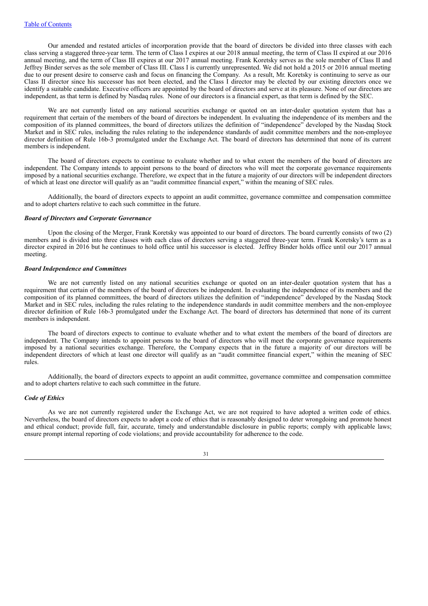Our amended and restated articles of incorporation provide that the board of directors be divided into three classes with each class serving a staggered three-year term. The term of Class I expires at our 2018 annual meeting, the term of Class II expired at our 2016 annual meeting, and the term of Class III expires at our 2017 annual meeting. Frank Koretsky serves as the sole member of Class II and Jeffrey Binder serves as the sole member of Class III. Class I is currently unrepresented. We did not hold a 2015 or 2016 annual meeting due to our present desire to conserve cash and focus on financing the Company. As a result, Mr. Koretsky is continuing to serve as our Class II director since his successor has not been elected, and the Class I director may be elected by our existing directors once we identify a suitable candidate. Executive officers are appointed by the board of directors and serve at its pleasure. None of our directors are independent, as that term is defined by Nasdaq rules. None of our directors is a financial expert, as that term is defined by the SEC.

We are not currently listed on any national securities exchange or quoted on an inter-dealer quotation system that has a requirement that certain of the members of the board of directors be independent. In evaluating the independence of its members and the composition of its planned committees, the board of directors utilizes the definition of "independence" developed by the Nasdaq Stock Market and in SEC rules, including the rules relating to the independence standards of audit committee members and the non-employee director definition of Rule 16b-3 promulgated under the Exchange Act. The board of directors has determined that none of its current members is independent.

The board of directors expects to continue to evaluate whether and to what extent the members of the board of directors are independent. The Company intends to appoint persons to the board of directors who will meet the corporate governance requirements imposed by a national securities exchange. Therefore, we expect that in the future a majority of our directors will be independent directors of which at least one director will qualify as an "audit committee financial expert," within the meaning of SEC rules.

Additionally, the board of directors expects to appoint an audit committee, governance committee and compensation committee and to adopt charters relative to each such committee in the future.

## *Board of Directors and Corporate Governance*

Upon the closing of the Merger, Frank Koretsky was appointed to our board of directors. The board currently consists of two (2) members and is divided into three classes with each class of directors serving a staggered three-year term. Frank Koretsky's term as a director expired in 2016 but he continues to hold office until his successor is elected. Jeffrey Binder holds office until our 2017 annual meeting.

### *Board Independence and Committees*

We are not currently listed on any national securities exchange or quoted on an inter-dealer quotation system that has a requirement that certain of the members of the board of directors be independent. In evaluating the independence of its members and the composition of its planned committees, the board of directors utilizes the definition of "independence" developed by the Nasdaq Stock Market and in SEC rules, including the rules relating to the independence standards in audit committee members and the non-employee director definition of Rule 16b-3 promulgated under the Exchange Act. The board of directors has determined that none of its current members is independent.

The board of directors expects to continue to evaluate whether and to what extent the members of the board of directors are independent. The Company intends to appoint persons to the board of directors who will meet the corporate governance requirements imposed by a national securities exchange. Therefore, the Company expects that in the future a majority of our directors will be independent directors of which at least one director will qualify as an "audit committee financial expert," within the meaning of SEC rules.

Additionally, the board of directors expects to appoint an audit committee, governance committee and compensation committee and to adopt charters relative to each such committee in the future.

## *Code of Ethics*

As we are not currently registered under the Exchange Act, we are not required to have adopted a written code of ethics. Nevertheless, the board of directors expects to adopt a code of ethics that is reasonably designed to deter wrongdoing and promote honest and ethical conduct; provide full, fair, accurate, timely and understandable disclosure in public reports; comply with applicable laws; ensure prompt internal reporting of code violations; and provide accountability for adherence to the code.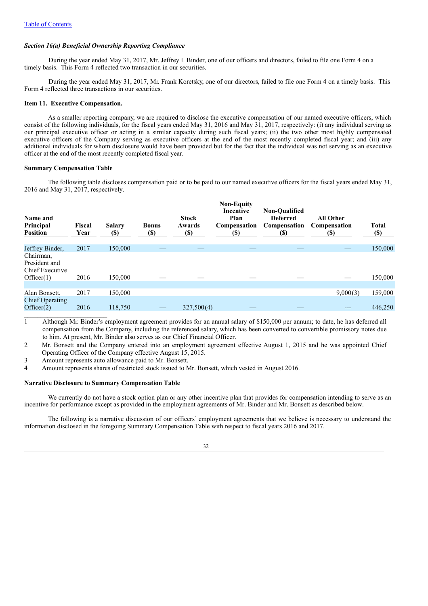## *Section 16(a) Beneficial Ownership Reporting Compliance*

During the year ended May 31, 2017, Mr. Jeffrey I. Binder, one of our officers and directors, failed to file one Form 4 on a timely basis. This Form 4 reflected two transaction in our securities.

During the year ended May 31, 2017, Mr. Frank Koretsky, one of our directors, failed to file one Form 4 on a timely basis. This Form 4 reflected three transactions in our securities.

### **Item 11. Executive Compensation.**

As a smaller reporting company, we are required to disclose the executive compensation of our named executive officers, which consist of the following individuals, for the fiscal years ended May 31, 2016 and May 31, 2017, respectively: (i) any individual serving as our principal executive officer or acting in a similar capacity during such fiscal years; (ii) the two other most highly compensated executive officers of the Company serving as executive officers at the end of the most recently completed fiscal year; and (iii) any additional individuals for whom disclosure would have been provided but for the fact that the individual was not serving as an executive officer at the end of the most recently completed fiscal year.

## **Summary Compensation Table**

The following table discloses compensation paid or to be paid to our named executive officers for the fiscal years ended May 31, 2016 and May 31, 2017, respectively.

| Name and<br>Principal<br><b>Position</b>       | Fiscal<br>Year | <b>Salary</b><br><b>(\$)</b> | <b>Bonus</b><br><b>(\$)</b> | <b>Stock</b><br>Awards<br><b>(\$)</b> | <b>Non-Equity</b><br>Incentive<br>Plan<br><b>Compensation</b><br><b>(S)</b> | <b>Non-Oualified</b><br><b>Deferred</b><br>Compensation<br>(S) | <b>All Other</b><br>Compensation<br>(S) | <b>Total</b><br>$(\$)$ |
|------------------------------------------------|----------------|------------------------------|-----------------------------|---------------------------------------|-----------------------------------------------------------------------------|----------------------------------------------------------------|-----------------------------------------|------------------------|
| Jeffrey Binder,<br>Chairman,                   | 2017           | 150,000                      |                             |                                       |                                                                             |                                                                |                                         | 150,000                |
| President and<br>Chief Executive<br>Officer(1) | 2016           | 150,000                      |                             |                                       |                                                                             |                                                                |                                         | 150,000                |
|                                                |                |                              |                             |                                       |                                                                             |                                                                |                                         |                        |
| Alan Bonsett,<br><b>Chief Operating</b>        | 2017           | 150.000                      |                             |                                       |                                                                             |                                                                | 9,000(3)                                | 159,000                |
| Officer(2)                                     | 2016           | 118,750                      |                             | 327,500(4)                            |                                                                             |                                                                | ---                                     | 446,250                |

1 Although Mr. Binder's employment agreement provides for an annual salary of \$150,000 per annum; to date, he has deferred all compensation from the Company, including the referenced salary, which has been converted to convertible promissory notes due to him. At present, Mr. Binder also serves as our Chief Financial Officer.

2 Mr. Bonsett and the Company entered into an employment agreement effective August 1, 2015 and he was appointed Chief Operating Officer of the Company effective August 15, 2015.

3 Amount represents auto allowance paid to Mr. Bonsett.

4 Amount represents shares of restricted stock issued to Mr. Bonsett, which vested in August 2016.

## **Narrative Disclosure to Summary Compensation Table**

We currently do not have a stock option plan or any other incentive plan that provides for compensation intending to serve as an incentive for performance except as provided in the employment agreements of Mr. Binder and Mr. Bonsett as described below.

The following is a narrative discussion of our officers' employment agreements that we believe is necessary to understand the information disclosed in the foregoing Summary Compensation Table with respect to fiscal years 2016 and 2017.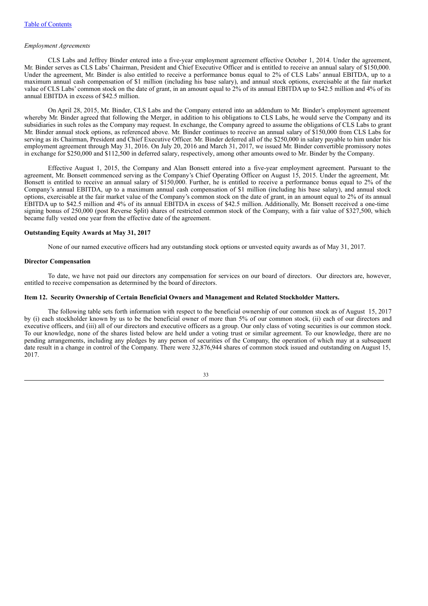#### *Employment Agreements*

CLS Labs and Jeffrey Binder entered into a five-year employment agreement effective October 1, 2014. Under the agreement, Mr. Binder serves as CLS Labs' Chairman, President and Chief Executive Officer and is entitled to receive an annual salary of \$150,000. Under the agreement, Mr. Binder is also entitled to receive a performance bonus equal to 2% of CLS Labs' annual EBITDA, up to a maximum annual cash compensation of \$1 million (including his base salary), and annual stock options, exercisable at the fair market value of CLS Labs' common stock on the date of grant, in an amount equal to 2% of its annual EBITDA up to \$42.5 million and 4% of its annual EBITDA in excess of \$42.5 million.

On April 28, 2015, Mr. Binder, CLS Labs and the Company entered into an addendum to Mr. Binder's employment agreement whereby Mr. Binder agreed that following the Merger, in addition to his obligations to CLS Labs, he would serve the Company and its subsidiaries in such roles as the Company may request. In exchange, the Company agreed to assume the obligations of CLS Labs to grant Mr. Binder annual stock options, as referenced above. Mr. Binder continues to receive an annual salary of \$150,000 from CLS Labs for serving as its Chairman, President and Chief Executive Officer. Mr. Binder deferred all of the \$250,000 in salary payable to him under his employment agreement through May 31, 2016. On July 20, 2016 and March 31, 2017, we issued Mr. Binder convertible promissory notes in exchange for \$250,000 and \$112,500 in deferred salary, respectively, among other amounts owed to Mr. Binder by the Company.

Effective August 1, 2015, the Company and Alan Bonsett entered into a five-year employment agreement. Pursuant to the agreement, Mr. Bonsett commenced serving as the Company's Chief Operating Officer on August 15, 2015. Under the agreement, Mr. Bonsett is entitled to receive an annual salary of \$150,000. Further, he is entitled to receive a performance bonus equal to 2% of the Company's annual EBITDA, up to a maximum annual cash compensation of \$1 million (including his base salary), and annual stock options, exercisable at the fair market value of the Company's common stock on the date of grant, in an amount equal to 2% of its annual EBITDA up to \$42.5 million and 4% of its annual EBITDA in excess of \$42.5 million. Additionally, Mr. Bonsett received a one-time signing bonus of 250,000 (post Reverse Split) shares of restricted common stock of the Company, with a fair value of \$327,500, which became fully vested one year from the effective date of the agreement.

## **Outstanding Equity Awards at May 31, 2017**

None of our named executive officers had any outstanding stock options or unvested equity awards as of May 31, 2017.

#### **Director Compensation**

To date, we have not paid our directors any compensation for services on our board of directors. Our directors are, however, entitled to receive compensation as determined by the board of directors.

#### **Item 12. Security Ownership of Certain Beneficial Owners and Management and Related Stockholder Matters.**

The following table sets forth information with respect to the beneficial ownership of our common stock as of August 15, 2017 by (i) each stockholder known by us to be the beneficial owner of more than 5% of our common stock, (ii) each of our directors and executive officers, and (iii) all of our directors and executive officers as a group. Our only class of voting securities is our common stock. To our knowledge, none of the shares listed below are held under a voting trust or similar agreement. To our knowledge, there are no pending arrangements, including any pledges by any person of securities of the Company, the operation of which may at a subsequent date result in a change in control of the Company. There were 32,876,944 shares of common stock issued and outstanding on August 15, 2017.

33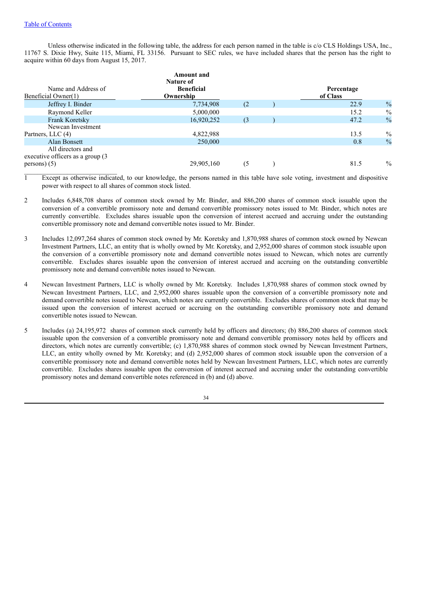Unless otherwise indicated in the following table, the address for each person named in the table is c/o CLS Holdings USA, Inc., 11767 S. Dixie Hwy, Suite 115, Miami, FL 33156. Pursuant to SEC rules, we have included shares that the person has the right to acquire within 60 days from August 15, 2017.

|                                                        | Amount and<br>Nature of        |     |                        |               |
|--------------------------------------------------------|--------------------------------|-----|------------------------|---------------|
| Name and Address of<br>Beneficial Owner(1)             | <b>Beneficial</b><br>Ownership |     | Percentage<br>of Class |               |
| Jeffrey I. Binder                                      | 7,734,908                      | (2) | 22.9                   | $\frac{0}{0}$ |
| Raymond Keller                                         | 5,000,000                      |     | 15.2                   | $\%$          |
| Frank Koretsky                                         | 16,920,252                     | (3) | 47.2                   | $\frac{0}{0}$ |
| Newcan Investment                                      |                                |     |                        |               |
| Partners, LLC (4)                                      | 4,822,988                      |     | 13.5                   | $\%$          |
| Alan Bonsett                                           | 250,000                        |     | 0.8                    | $\frac{0}{0}$ |
| All directors and<br>executive officers as a group (3) |                                |     |                        |               |
| persons) (5)                                           | 29,905,160                     | (5) | 81.5                   | $\%$          |

1 Except as otherwise indicated, to our knowledge, the persons named in this table have sole voting, investment and dispositive power with respect to all shares of common stock listed.

- 2 Includes 6,848,708 shares of common stock owned by Mr. Binder, and 886,200 shares of common stock issuable upon the conversion of a convertible promissory note and demand convertible promissory notes issued to Mr. Binder, which notes are currently convertible. Excludes shares issuable upon the conversion of interest accrued and accruing under the outstanding convertible promissory note and demand convertible notes issued to Mr. Binder.
- 3 Includes 12,097,264 shares of common stock owned by Mr. Koretsky and 1,870,988 shares of common stock owned by Newcan Investment Partners, LLC, an entity that is wholly owned by Mr. Koretsky, and 2,952,000 shares of common stock issuable upon the conversion of a convertible promissory note and demand convertible notes issued to Newcan, which notes are currently convertible. Excludes shares issuable upon the conversion of interest accrued and accruing on the outstanding convertible promissory note and demand convertible notes issued to Newcan.
- 4 Newcan Investment Partners, LLC is wholly owned by Mr. Koretsky. Includes 1,870,988 shares of common stock owned by Newcan Investment Partners, LLC, and 2,952,000 shares issuable upon the conversion of a convertible promissory note and demand convertible notes issued to Newcan, which notes are currently convertible. Excludes shares of common stock that may be issued upon the conversion of interest accrued or accruing on the outstanding convertible promissory note and demand convertible notes issued to Newcan.
- 5 Includes (a) 24,195,972 shares of common stock currently held by officers and directors; (b) 886,200 shares of common stock issuable upon the conversion of a convertible promissory note and demand convertible promissory notes held by officers and directors, which notes are currently convertible; (c) 1,870,988 shares of common stock owned by Newcan Investment Partners, LLC, an entity wholly owned by Mr. Koretsky; and (d) 2,952,000 shares of common stock issuable upon the conversion of a convertible promissory note and demand convertible notes held by Newcan Investment Partners, LLC, which notes are currently convertible. Excludes shares issuable upon the conversion of interest accrued and accruing under the outstanding convertible promissory notes and demand convertible notes referenced in (b) and (d) above.

34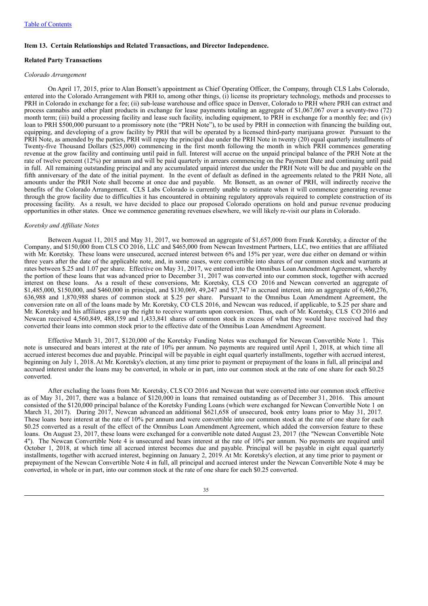#### **Item 13. Certain Relationships and Related Transactions, and Director Independence.**

### **Related Party Transactions**

## *Colorado Arrangement*

On April 17, 2015, prior to Alan Bonsett's appointment as Chief Operating Officer, the Company, through CLS Labs Colorado, entered into the Colorado Arrangement with PRH to, among other things, (i) license its proprietary technology, methods and processes to PRH in Colorado in exchange for a fee; (ii) sub-lease warehouse and office space in Denver, Colorado to PRH where PRH can extract and process cannabis and other plant products in exchange for lease payments totaling an aggregate of \$1,067,067 over a seventy-two (72) month term; (iii) build a processing facility and lease such facility, including equipment, to PRH in exchange for a monthly fee; and (iv) loan to PRH \$500,000 pursuant to a promissory note (the "PRH Note"), to be used by PRH in connection with financing the building out, equipping, and developing of a grow facility by PRH that will be operated by a licensed third-party marijuana grower. Pursuant to the PRH Note, as amended by the parties, PRH will repay the principal due under the PRH Note in twenty (20) equal quarterly installments of Twenty-five Thousand Dollars (\$25,000) commencing in the first month following the month in which PRH commences generating revenue at the grow facility and continuing until paid in full. Interest will accrue on the unpaid principal balance of the PRH Note at the rate of twelve percent (12%) per annum and will be paid quarterly in arrears commencing on the Payment Date and continuing until paid in full. All remaining outstanding principal and any accumulated unpaid interest due under the PRH Note will be due and payable on the fifth anniversary of the date of the initial payment. In the event of default as defined in the agreements related to the PRH Note, all amounts under the PRH Note shall become at once due and payable. Mr. Bonsett, as an owner of PRH, will indirectly receive the benefits of the Colorado Arrangement. CLS Labs Colorado is currently unable to estimate when it will commence generating revenue through the grow facility due to difficulties it has encountered in obtaining regulatory approvals required to complete construction of its processing facility. As a result, we have decided to place our proposed Colorado operations on hold and pursue revenue producing opportunities in other states. Once we commence generating revenues elsewhere, we will likely re-visit our plans in Colorado.

#### *Koretsky and Af iliate Notes*

Between August 11, 2015 and May 31, 2017, we borrowed an aggregate of \$1,657,000 from Frank Koretsky, a director of the Company, and \$150,000 from CLS CO 2016, LLC and \$465,000 from Newcan Investment Partners, LLC, two entities that are affiliated with Mr. Koretsky. These loans were unsecured, accrued interest between 6% and 15% per year, were due either on demand or within three years after the date of the applicable note, and, in some cases, were convertible into shares of our common stock and warrants at rates between \$.25 and 1.07 per share. Effective on May 31, 2017, we entered into the Omnibus Loan Amendment Agreement, whereby the portion of these loans that was advanced prior to December 31, 2017 was converted into our common stock, together with accrued interest on these loans. As a result of these conversions, Mr. Koretsky, CLS CO 2016 and Newcan converted an aggregate of \$1,485,000, \$150,000, and \$460,000 in principal, and \$130,069, 49,247 and \$7,747 in accrued interest, into an aggregate of 6,460,276, 636,988 and 1,870,988 shares of common stock at \$.25 per share. Pursuant to the Omnibus Loan Amendment Agreement, the conversion rate on all of the loans made by Mr. Koretsky, CO CLS 2016, and Newcan was reduced, if applicable, to \$.25 per share and Mr. Koretsky and his affiliates gave up the right to receive warrants upon conversion. Thus, each of Mr. Koretsky, CLS CO 2016 and Newcan received 4,560,849, 488,159 and 1,433,841 shares of common stock in excess of what they would have received had they converted their loans into common stock prior to the effective date of the Omnibus Loan Amendment Agreement.

Effective March 31, 2017, \$120,000 of the Koretsky Funding Notes was exchanged for Newcan Convertible Note 1. This note is unsecured and bears interest at the rate of 10% per annum. No payments are required until April 1, 2018, at which time all accrued interest becomes due and payable. Principal will be payable in eight equal quarterly installments, together with accrued interest, beginning on July 1, 2018. At Mr. Koretsky's election, at any time prior to payment or prepayment of the loans in full, all principal and accrued interest under the loans may be converted, in whole or in part, into our common stock at the rate of one share for each \$0.25 converted.

After excluding the loans from Mr. Koretsky, CLS CO 2016 and Newcan that were converted into our common stock effective as of May 31, 2017, there was a balance of \$120,000 in loans that remained outstanding as of December 31, 2016. This amount consisted of the \$120,000 principal balance of the Koretsky Funding Loans (which were exchanged for Newcan Convertible Note 1 on March 31, 2017). During 2017, Newcan advanced an additional \$621,658 of unsecured, book entry loans prior to May 31, 2017. These loans bore interest at the rate of 10% per annum and were convertible into our common stock at the rate of one share for each \$0.25 converted as a result of the effect of the Omnibus Loan Amendment Agreement, which added the conversion feature to these loans. On August 23, 2017, these loans were exchanged for a convertible note dated August 23, 2017 (the "Newcan Convertible Note 4"). The Newcan Convertible Note 4 is unsecured and bears interest at the rate of 10% per annum. No payments are required until October 1, 2018, at which time all accrued interest becomes due and payable. Principal will be payable in eight equal quarterly installments, together with accrued interest, beginning on January 2, 2019. At Mr. Koretsky's election, at any time prior to payment or prepayment of the Newcan Convertible Note 4 in full, all principal and accrued interest under the Newcan Convertible Note 4 may be converted, in whole or in part, into our common stock at the rate of one share for each \$0.25 converted.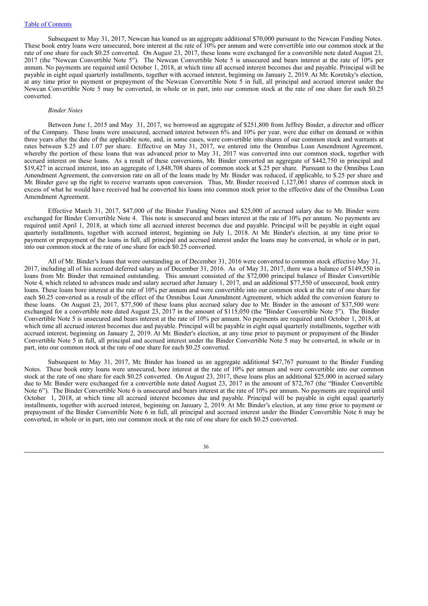Subsequent to May 31, 2017, Newcan has loaned us an aggregate additional \$70,000 pursuant to the Newcan Funding Notes. These book entry loans were unsecured, bore interest at the rate of 10% per annum and were convertible into our common stock at the rate of one share for each \$0.25 converted. On August 23, 2017, these loans were exchanged for a convertible note dated August 23, 2017 (the "Newcan Convertible Note 5"). The Newcan Convertible Note 5 is unsecured and bears interest at the rate of 10% per annum. No payments are required until October 1, 2018, at which time all accrued interest becomes due and payable. Principal will be payable in eight equal quarterly installments, together with accrued interest, beginning on January 2, 2019. At Mr. Koretsky's election, at any time prior to payment or prepayment of the Newcan Convertible Note 5 in full, all principal and accrued interest under the Newcan Convertible Note 5 may be converted, in whole or in part, into our common stock at the rate of one share for each \$0.25 converted.

#### *Binder Notes*

Between June 1, 2015 and May 31, 2017, we borrowed an aggregate of \$251,800 from Jeffrey Binder, a director and officer of the Company. These loans were unsecured, accrued interest between 6% and 10% per year, were due either on demand or within three years after the date of the applicable note, and, in some cases, were convertible into shares of our common stock and warrants at rates between \$.25 and 1.07 per share. Effective on May 31, 2017, we entered into the Omnibus Loan Amendment Agreement, whereby the portion of these loans that was advanced prior to May 31, 2017 was converted into our common stock, together with accrued interest on these loans. As a result of these conversions, Mr. Binder converted an aggregate of \$442,750 in principal and \$19,427 in accrued interest, into an aggregate of 1,848,708 shares of common stock at \$.25 per share. Pursuant to the Omnibus Loan Amendment Agreement, the conversion rate on all of the loans made by Mr. Binder was reduced, if applicable, to \$.25 per share and Mr. Binder gave up the right to receive warrants upon conversion. Thus, Mr. Binder received 1,127,061 shares of common stock in excess of what he would have received had he converted his loans into common stock prior to the effective date of the Omnibus Loan Amendment Agreement.

Effective March 31, 2017, \$47,000 of the Binder Funding Notes and \$25,000 of accrued salary due to Mr. Binder were exchanged for Binder Convertible Note 4. This note is unsecured and bears interest at the rate of 10% per annum. No payments are required until April 1, 2018, at which time all accrued interest becomes due and payable. Principal will be payable in eight equal quarterly installments, together with accrued interest, beginning on July 1, 2018. At Mr. Binder's election, at any time prior to payment or prepayment of the loans in full, all principal and accrued interest under the loans may be converted, in whole or in part, into our common stock at the rate of one share for each \$0.25 converted.

All of Mr. Binder's loans that were outstanding as of December 31, 2016 were converted to common stock effective May 31, 2017, including all of his accrued deferred salary as of December 31, 2016. As of May 31, 2017, there was a balance of \$149,550 in loans from Mr. Binder that remained outstanding. This amount consisted of the \$72,000 principal balance of Binder Convertible Note 4, which related to advances made and salary accrued after January 1, 2017, and an additional \$77,550 of unsecured, book entry loans. These loans bore interest at the rate of 10% per annum and were convertible into our common stock at the rate of one share for each \$0.25 converted as a result of the effect of the Omnibus Loan Amendment Agreement, which added the conversion feature to these loans. On August 23, 2017, \$77,500 of these loans plus accrued salary due to Mr. Binder in the amount of \$37,500 were exchanged for a convertible note dated August 23, 2017 in the amount of \$115,050 (the "Binder Convertible Note 5"). The Binder Convertible Note 5 is unsecured and bears interest at the rate of 10% per annum. No payments are required until October 1, 2018, at which time all accrued interest becomes due and payable. Principal will be payable in eight equal quarterly installments, together with accrued interest, beginning on January 2, 2019. At Mr. Binder's election, at any time prior to payment or prepayment of the Binder Convertible Note 5 in full, all principal and accrued interest under the Binder Convertible Note 5 may be converted, in whole or in part, into our common stock at the rate of one share for each \$0.25 converted.

Subsequent to May 31, 2017, Mr. Binder has loaned us an aggregate additional \$47,767 pursuant to the Binder Funding Notes. These book entry loans were unsecured, bore interest at the rate of 10% per annum and were convertible into our common stock at the rate of one share for each \$0.25 converted. On August 23, 2017, these loans plus an additional \$25,000 in accrued salary due to Mr. Binder were exchanged for a convertible note dated August 23, 2017 in the amount of \$72,767 (the "Binder Convertible Note 6"). The Binder Convertible Note 6 is unsecured and bears interest at the rate of 10% per annum. No payments are required until October 1, 2018, at which time all accrued interest becomes due and payable. Principal will be payable in eight equal quarterly installments, together with accrued interest, beginning on January 2, 2019. At Mr. Binder's election, at any time prior to payment or prepayment of the Binder Convertible Note 6 in full, all principal and accrued interest under the Binder Convertible Note 6 may be converted, in whole or in part, into our common stock at the rate of one share for each \$0.25 converted.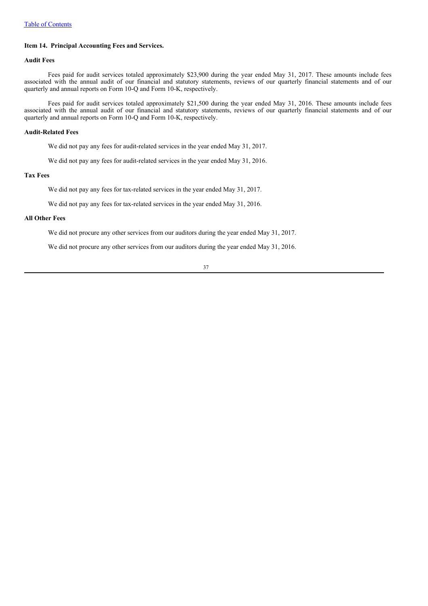## **Item 14. Principal Accounting Fees and Services.**

## **Audit Fees**

Fees paid for audit services totaled approximately \$23,900 during the year ended May 31, 2017. These amounts include fees associated with the annual audit of our financial and statutory statements, reviews of our quarterly financial statements and of our quarterly and annual reports on Form 10-Q and Form 10-K, respectively.

Fees paid for audit services totaled approximately \$21,500 during the year ended May 31, 2016. These amounts include fees associated with the annual audit of our financial and statutory statements, reviews of our quarterly financial statements and of our quarterly and annual reports on Form 10-Q and Form 10-K, respectively.

## **Audit-Related Fees**

We did not pay any fees for audit-related services in the year ended May 31, 2017.

We did not pay any fees for audit-related services in the year ended May 31, 2016.

## **Tax Fees**

We did not pay any fees for tax-related services in the year ended May 31, 2017.

We did not pay any fees for tax-related services in the year ended May 31, 2016.

## **All Other Fees**

We did not procure any other services from our auditors during the year ended May 31, 2017.

We did not procure any other services from our auditors during the year ended May 31, 2016.

#### 37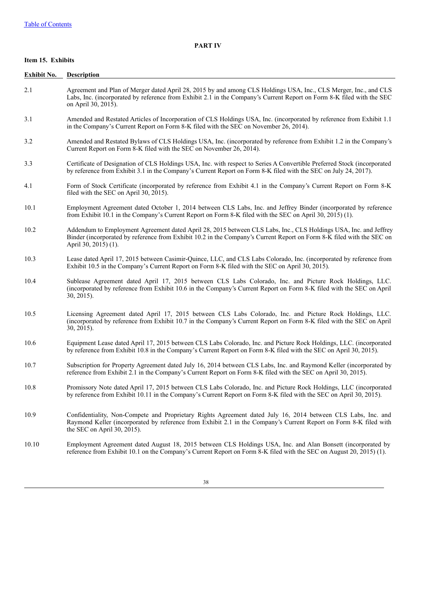**PART IV**

## **Item 15. Exhibits**

| <b>Exhibit No.</b> | <b>Description</b>                                                                                                                                                                                                                                                |
|--------------------|-------------------------------------------------------------------------------------------------------------------------------------------------------------------------------------------------------------------------------------------------------------------|
| 2.1                | Agreement and Plan of Merger dated April 28, 2015 by and among CLS Holdings USA, Inc., CLS Merger, Inc., and CLS<br>Labs, Inc. (incorporated by reference from Exhibit 2.1 in the Company's Current Report on Form 8-K filed with the SEC<br>on April 30, 2015).  |
| 3.1                | Amended and Restated Articles of Incorporation of CLS Holdings USA, Inc. (incorporated by reference from Exhibit 1.1<br>in the Company's Current Report on Form 8-K filed with the SEC on November 26, 2014).                                                     |
| 3.2                | Amended and Restated Bylaws of CLS Holdings USA, Inc. (incorporated by reference from Exhibit 1.2 in the Company's<br>Current Report on Form 8-K filed with the SEC on November 26, 2014).                                                                        |
| 3.3                | Certificate of Designation of CLS Holdings USA, Inc. with respect to Series A Convertible Preferred Stock (incorporated<br>by reference from Exhibit 3.1 in the Company's Current Report on Form 8-K filed with the SEC on July 24, 2017).                        |
| 4.1                | Form of Stock Certificate (incorporated by reference from Exhibit 4.1 in the Company's Current Report on Form 8-K<br>filed with the SEC on April 30, 2015).                                                                                                       |
| 10.1               | Employment Agreement dated October 1, 2014 between CLS Labs, Inc. and Jeffrey Binder (incorporated by reference<br>from Exhibit 10.1 in the Company's Current Report on Form 8-K filed with the SEC on April 30, 2015) (1).                                       |
| 10.2               | Addendum to Employment Agreement dated April 28, 2015 between CLS Labs, Inc., CLS Holdings USA, Inc. and Jeffrey<br>Binder (incorporated by reference from Exhibit 10.2 in the Company's Current Report on Form 8-K filed with the SEC on<br>April 30, 2015) (1). |
| 10.3               | Lease dated April 17, 2015 between Casimir-Quince, LLC, and CLS Labs Colorado, Inc. (incorporated by reference from<br>Exhibit 10.5 in the Company's Current Report on Form 8-K filed with the SEC on April 30, 2015).                                            |
| 10.4               | Sublease Agreement dated April 17, 2015 between CLS Labs Colorado, Inc. and Picture Rock Holdings, LLC.<br>(incorporated by reference from Exhibit 10.6 in the Company's Current Report on Form 8-K filed with the SEC on April<br>30, 2015).                     |
| 10.5               | Licensing Agreement dated April 17, 2015 between CLS Labs Colorado, Inc. and Picture Rock Holdings, LLC.<br>(incorporated by reference from Exhibit 10.7 in the Company's Current Report on Form 8-K filed with the SEC on April<br>30, 2015).                    |
| 10.6               | Equipment Lease dated April 17, 2015 between CLS Labs Colorado, Inc. and Picture Rock Holdings, LLC. (incorporated<br>by reference from Exhibit 10.8 in the Company's Current Report on Form 8-K filed with the SEC on April 30, 2015).                           |
| 10.7               | Subscription for Property Agreement dated July 16, 2014 between CLS Labs, Inc. and Raymond Keller (incorporated by<br>reference from Exhibit 2.1 in the Company's Current Report on Form 8-K filed with the SEC on April 30, 2015).                               |
| 10.8               | Promissory Note dated April 17, 2015 between CLS Labs Colorado, Inc. and Picture Rock Holdings, LLC (incorporated<br>by reference from Exhibit 10.11 in the Company's Current Report on Form 8-K filed with the SEC on April 30, 2015).                           |
| 10.9               | Confidentiality, Non-Compete and Proprietary Rights Agreement dated July 16, 2014 between CLS Labs, Inc. and<br>Raymond Keller (incorporated by reference from Exhibit 2.1 in the Company's Current Report on Form 8-K filed with<br>the SEC on April 30, 2015).  |
| 10.10              | Employment Agreement dated August 18, 2015 between CLS Holdings USA, Inc. and Alan Bonsett (incorporated by<br>reference from Exhibit 10.1 on the Company's Current Report on Form 8-K filed with the SEC on August 20, 2015) (1).                                |

38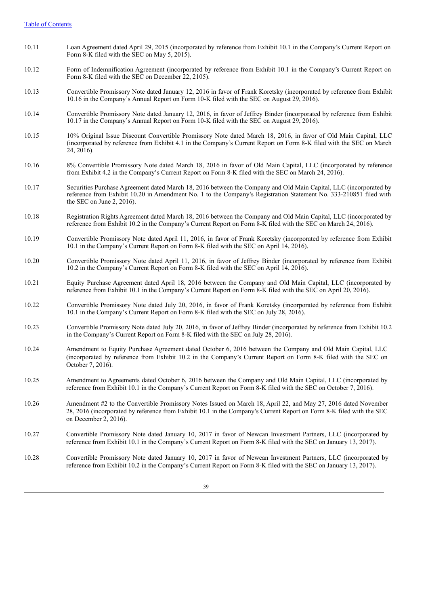- 10.11 Loan Agreement dated April 29, 2015 (incorporated by reference from Exhibit 10.1 in the Company's Current Report on Form 8-K filed with the SEC on May 5, 2015).
- 10.12 Form of Indemnification Agreement (incorporated by reference from Exhibit 10.1 in the Company's Current Report on Form 8-K filed with the SEC on December 22, 2105).
- 10.13 Convertible Promissory Note dated January 12, 2016 in favor of Frank Koretsky (incorporated by reference from Exhibit 10.16 in the Company's Annual Report on Form 10-K filed with the SEC on August 29, 2016).
- 10.14 Convertible Promissory Note dated January 12, 2016, in favor of Jeffrey Binder (incorporated by reference from Exhibit 10.17 in the Company's Annual Report on Form 10-K filed with the SEC on August 29, 2016).
- 10.15 10% Original Issue Discount Convertible Promissory Note dated March 18, 2016, in favor of Old Main Capital, LLC (incorporated by reference from Exhibit 4.1 in the Company's Current Report on Form 8-K filed with the SEC on March 24, 2016).
- 10.16 8% Convertible Promissory Note dated March 18, 2016 in favor of Old Main Capital, LLC (incorporated by reference from Exhibit 4.2 in the Company's Current Report on Form 8-K filed with the SEC on March 24, 2016).
- 10.17 Securities Purchase Agreement dated March 18, 2016 between the Company and Old Main Capital, LLC (incorporated by reference from Exhibit 10.20 in Amendment No. 1 to the Company's Registration Statement No. 333-210851 filed with the SEC on June 2, 2016).
- 10.18 Registration Rights Agreement dated March 18, 2016 between the Company and Old Main Capital, LLC (incorporated by reference from Exhibit 10.2 in the Company's Current Report on Form 8-K filed with the SEC on March 24, 2016).
- 10.19 Convertible Promissory Note dated April 11, 2016, in favor of Frank Koretsky (incorporated by reference from Exhibit 10.1 in the Company's Current Report on Form 8-K filed with the SEC on April 14, 2016).
- 10.20 Convertible Promissory Note dated April 11, 2016, in favor of Jeffrey Binder (incorporated by reference from Exhibit 10.2 in the Company's Current Report on Form 8-K filed with the SEC on April 14, 2016).
- 10.21 Equity Purchase Agreement dated April 18, 2016 between the Company and Old Main Capital, LLC (incorporated by reference from Exhibit 10.1 in the Company's Current Report on Form 8-K filed with the SEC on April 20, 2016).
- 10.22 Convertible Promissory Note dated July 20, 2016, in favor of Frank Koretsky (incorporated by reference from Exhibit 10.1 in the Company's Current Report on Form 8-K filed with the SEC on July 28, 2016).
- 10.23 Convertible Promissory Note dated July 20, 2016, in favor of Jeffrey Binder (incorporated by reference from Exhibit 10.2 in the Company's Current Report on Form 8-K filed with the SEC on July 28, 2016).
- 10.24 Amendment to Equity Purchase Agreement dated October 6, 2016 between the Company and Old Main Capital, LLC (incorporated by reference from Exhibit 10.2 in the Company's Current Report on Form 8-K filed with the SEC on October 7, 2016).
- 10.25 Amendment to Agreements dated October 6, 2016 between the Company and Old Main Capital, LLC (incorporated by reference from Exhibit 10.1 in the Company's Current Report on Form 8-K filed with the SEC on October 7, 2016).
- 10.26 Amendment #2 to the Convertible Promissory Notes Issued on March 18, April 22, and May 27, 2016 dated November 28, 2016 (incorporated by reference from Exhibit 10.1 in the Company's Current Report on Form 8-K filed with the SEC on December 2, 2016).
- 10.27 Convertible Promissory Note dated January 10, 2017 in favor of Newcan Investment Partners, LLC (incorporated by reference from Exhibit 10.1 in the Company's Current Report on Form 8-K filed with the SEC on January 13, 2017).
- 10.28 Convertible Promissory Note dated January 10, 2017 in favor of Newcan Investment Partners, LLC (incorporated by reference from Exhibit 10.2 in the Company's Current Report on Form 8-K filed with the SEC on January 13, 2017).

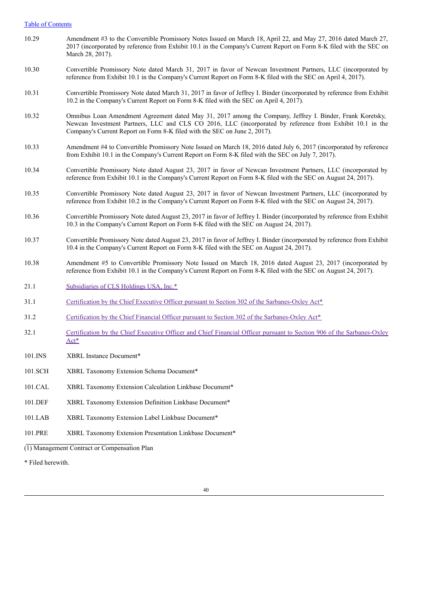## Table of Contents

| 10.29             | Amendment #3 to the Convertible Promissory Notes Issued on March 18, April 22, and May 27, 2016 dated March 27,<br>2017 (incorporated by reference from Exhibit 10.1 in the Company's Current Report on Form 8-K filed with the SEC on<br>March 28, 2017).                                         |
|-------------------|----------------------------------------------------------------------------------------------------------------------------------------------------------------------------------------------------------------------------------------------------------------------------------------------------|
| 10.30             | Convertible Promissory Note dated March 31, 2017 in favor of Newcan Investment Partners, LLC (incorporated by<br>reference from Exhibit 10.1 in the Company's Current Report on Form 8-K filed with the SEC on April 4, 2017).                                                                     |
| 10.31             | Convertible Promissory Note dated March 31, 2017 in favor of Jeffrey I. Binder (incorporated by reference from Exhibit<br>10.2 in the Company's Current Report on Form 8-K filed with the SEC on April 4, 2017).                                                                                   |
| 10.32             | Omnibus Loan Amendment Agreement dated May 31, 2017 among the Company, Jeffrey I. Binder, Frank Koretsky,<br>Newcan Investment Partners, LLC and CLS CO 2016, LLC (incorporated by reference from Exhibit 10.1 in the<br>Company's Current Report on Form 8-K filed with the SEC on June 2, 2017). |
| 10.33             | Amendment #4 to Convertible Promissory Note Issued on March 18, 2016 dated July 6, 2017 (incorporated by reference<br>from Exhibit 10.1 in the Company's Current Report on Form 8-K filed with the SEC on July 7, 2017).                                                                           |
| 10.34             | Convertible Promissory Note dated August 23, 2017 in favor of Newcan Investment Partners, LLC (incorporated by<br>reference from Exhibit 10.1 in the Company's Current Report on Form 8-K filed with the SEC on August 24, 2017).                                                                  |
| 10.35             | Convertible Promissory Note dated August 23, 2017 in favor of Newcan Investment Partners, LLC (incorporated by<br>reference from Exhibit 10.2 in the Company's Current Report on Form 8-K filed with the SEC on August 24, 2017).                                                                  |
| 10.36             | Convertible Promissory Note dated August 23, 2017 in favor of Jeffrey I. Binder (incorporated by reference from Exhibit<br>10.3 in the Company's Current Report on Form 8-K filed with the SEC on August 24, 2017).                                                                                |
| 10.37             | Convertible Promissory Note dated August 23, 2017 in favor of Jeffrey I. Binder (incorporated by reference from Exhibit<br>10.4 in the Company's Current Report on Form 8-K filed with the SEC on August 24, 2017).                                                                                |
| 10.38             | Amendment #5 to Convertible Promissory Note Issued on March 18, 2016 dated August 23, 2017 (incorporated by<br>reference from Exhibit 10.1 in the Company's Current Report on Form 8-K filed with the SEC on August 24, 2017).                                                                     |
| 21.1              | Subsidiaries of CLS Holdings USA, Inc.*                                                                                                                                                                                                                                                            |
| 31.1              | Certification by the Chief Executive Officer pursuant to Section 302 of the Sarbanes-Oxley Act*                                                                                                                                                                                                    |
| 31.2              | Certification by the Chief Financial Officer pursuant to Section 302 of the Sarbanes-Oxley Act*                                                                                                                                                                                                    |
| 32.1              | Certification by the Chief Executive Officer and Chief Financial Officer pursuant to Section 906 of the Sarbanes-Oxley<br>Act*                                                                                                                                                                     |
| 101.INS           | XBRL Instance Document*                                                                                                                                                                                                                                                                            |
| 101.SCH           | XBRL Taxonomy Extension Schema Document*                                                                                                                                                                                                                                                           |
| 101.CAL           | XBRL Taxonomy Extension Calculation Linkbase Document*                                                                                                                                                                                                                                             |
| 101.DEF           | XBRL Taxonomy Extension Definition Linkbase Document*                                                                                                                                                                                                                                              |
| 101.LAB           | XBRL Taxonomy Extension Label Linkbase Document*                                                                                                                                                                                                                                                   |
| 101.PRE           | XBRL Taxonomy Extension Presentation Linkbase Document*                                                                                                                                                                                                                                            |
|                   | (1) Management Contract or Compensation Plan                                                                                                                                                                                                                                                       |
| * Filed herewith. |                                                                                                                                                                                                                                                                                                    |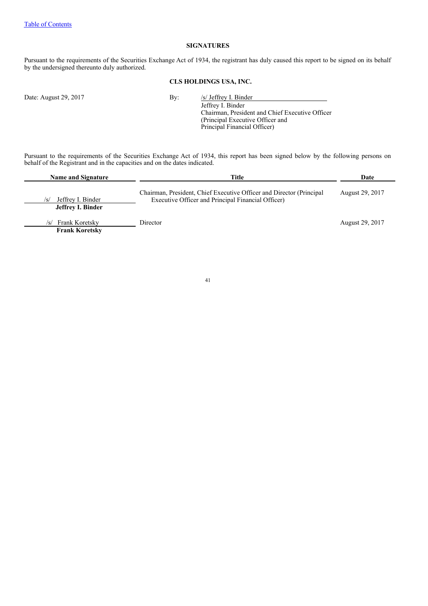## **SIGNATURES**

Pursuant to the requirements of the Securities Exchange Act of 1934, the registrant has duly caused this report to be signed on its behalf by the undersigned thereunto duly authorized.

## **CLS HOLDINGS USA, INC.**

Date: August 29, 2017 By: *Is/ Jeffrey I. Binder* 

Jeffrey I. Binder Chairman, President and Chief Executive Officer (Principal Executive Officer and Principal Financial Officer)

Pursuant to the requirements of the Securities Exchange Act of 1934, this report has been signed below by the following persons on behalf of the Registrant and in the capacities and on the dates indicated.

| <b>Name and Signature</b>                            | <b>Title</b>                                                                                                               |                        |  |
|------------------------------------------------------|----------------------------------------------------------------------------------------------------------------------------|------------------------|--|
| Jeffrey I. Binder<br>/s/<br><b>Jeffrey I. Binder</b> | Chairman, President, Chief Executive Officer and Director (Principal<br>Executive Officer and Principal Financial Officer) | August 29, 2017        |  |
| /s/ Frank Koretsky<br><b>Frank Koretsky</b>          | Director                                                                                                                   | <b>August 29, 2017</b> |  |

41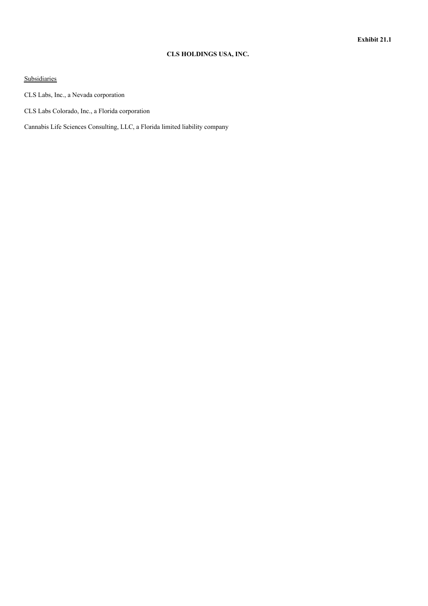## **CLS HOLDINGS USA, INC.**

## **Subsidiaries**

CLS Labs, Inc., a Nevada corporation

CLS Labs Colorado, Inc., a Florida corporation

Cannabis Life Sciences Consulting, LLC, a Florida limited liability company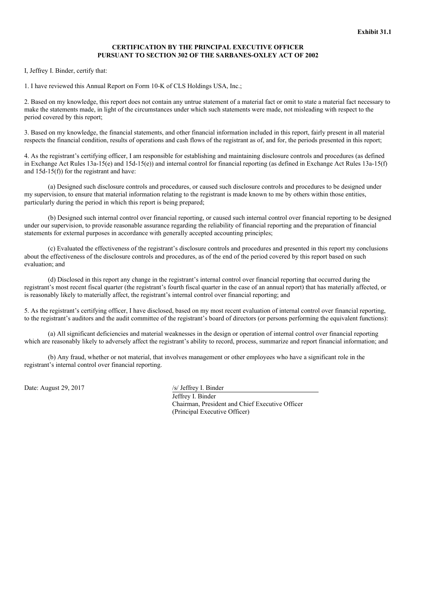## **CERTIFICATION BY THE PRINCIPAL EXECUTIVE OFFICER PURSUANT TO SECTION 302 OF THE SARBANES-OXLEY ACT OF 2002**

I, Jeffrey I. Binder, certify that:

1. I have reviewed this Annual Report on Form 10-K of CLS Holdings USA, Inc.;

2. Based on my knowledge, this report does not contain any untrue statement of a material fact or omit to state a material fact necessary to make the statements made, in light of the circumstances under which such statements were made, not misleading with respect to the period covered by this report;

3. Based on my knowledge, the financial statements, and other financial information included in this report, fairly present in all material respects the financial condition, results of operations and cash flows of the registrant as of, and for, the periods presented in this report;

4. As the registrant's certifying officer, I am responsible for establishing and maintaining disclosure controls and procedures (as defined in Exchange Act Rules 13a-15(e) and 15d-15(e)) and internal control for financial reporting (as defined in Exchange Act Rules 13a-15(f) and 15d-15(f)) for the registrant and have:

(a) Designed such disclosure controls and procedures, or caused such disclosure controls and procedures to be designed under my supervision, to ensure that material information relating to the registrant is made known to me by others within those entities, particularly during the period in which this report is being prepared;

(b) Designed such internal control over financial reporting, or caused such internal control over financial reporting to be designed under our supervision, to provide reasonable assurance regarding the reliability of financial reporting and the preparation of financial statements for external purposes in accordance with generally accepted accounting principles;

(c) Evaluated the effectiveness of the registrant's disclosure controls and procedures and presented in this report my conclusions about the effectiveness of the disclosure controls and procedures, as of the end of the period covered by this report based on such evaluation; and

(d) Disclosed in this report any change in the registrant's internal control over financial reporting that occurred during the registrant's most recent fiscal quarter (the registrant's fourth fiscal quarter in the case of an annual report) that has materially affected, or is reasonably likely to materially affect, the registrant's internal control over financial reporting; and

5. As the registrant's certifying officer, I have disclosed, based on my most recent evaluation of internal control over financial reporting, to the registrant's auditors and the audit committee of the registrant's board of directors (or persons performing the equivalent functions):

(a) All significant deficiencies and material weaknesses in the design or operation of internal control over financial reporting which are reasonably likely to adversely affect the registrant's ability to record, process, summarize and report financial information; and

(b) Any fraud, whether or not material, that involves management or other employees who have a significant role in the registrant's internal control over financial reporting.

Date: August 29, 2017 /s/ Jeffrey I. Binder

Jeffrey I. Binder Chairman, President and Chief Executive Officer (Principal Executive Officer)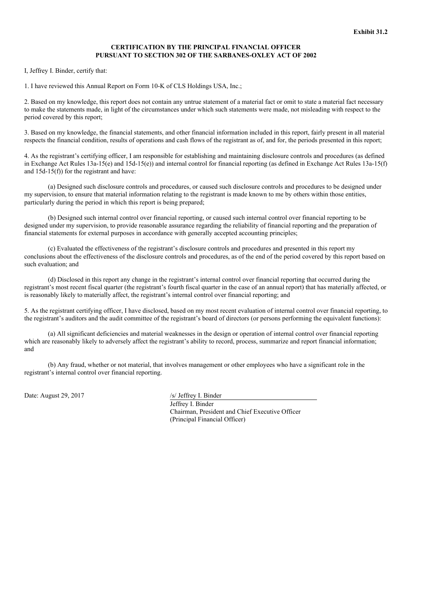## **CERTIFICATION BY THE PRINCIPAL FINANCIAL OFFICER PURSUANT TO SECTION 302 OF THE SARBANES-OXLEY ACT OF 2002**

I, Jeffrey I. Binder, certify that:

1. I have reviewed this Annual Report on Form 10-K of CLS Holdings USA, Inc.;

2. Based on my knowledge, this report does not contain any untrue statement of a material fact or omit to state a material fact necessary to make the statements made, in light of the circumstances under which such statements were made, not misleading with respect to the period covered by this report;

3. Based on my knowledge, the financial statements, and other financial information included in this report, fairly present in all material respects the financial condition, results of operations and cash flows of the registrant as of, and for, the periods presented in this report;

4. As the registrant's certifying officer, I am responsible for establishing and maintaining disclosure controls and procedures (as defined in Exchange Act Rules 13a-15(e) and 15d-15(e)) and internal control for financial reporting (as defined in Exchange Act Rules 13a-15(f) and 15d-15(f)) for the registrant and have:

(a) Designed such disclosure controls and procedures, or caused such disclosure controls and procedures to be designed under my supervision, to ensure that material information relating to the registrant is made known to me by others within those entities, particularly during the period in which this report is being prepared;

(b) Designed such internal control over financial reporting, or caused such internal control over financial reporting to be designed under my supervision, to provide reasonable assurance regarding the reliability of financial reporting and the preparation of financial statements for external purposes in accordance with generally accepted accounting principles;

(c) Evaluated the effectiveness of the registrant's disclosure controls and procedures and presented in this report my conclusions about the effectiveness of the disclosure controls and procedures, as of the end of the period covered by this report based on such evaluation; and

(d) Disclosed in this report any change in the registrant's internal control over financial reporting that occurred during the registrant's most recent fiscal quarter (the registrant's fourth fiscal quarter in the case of an annual report) that has materially affected, or is reasonably likely to materially affect, the registrant's internal control over financial reporting; and

5. As the registrant certifying officer, I have disclosed, based on my most recent evaluation of internal control over financial reporting, to the registrant's auditors and the audit committee of the registrant's board of directors (or persons performing the equivalent functions):

(a) All significant deficiencies and material weaknesses in the design or operation of internal control over financial reporting which are reasonably likely to adversely affect the registrant's ability to record, process, summarize and report financial information; and

(b) Any fraud, whether or not material, that involves management or other employees who have a significant role in the registrant's internal control over financial reporting.

Date: August 29, 2017 /s/ Jeffrey I. Binder

Jeffrey I. Binder Chairman, President and Chief Executive Officer (Principal Financial Officer)